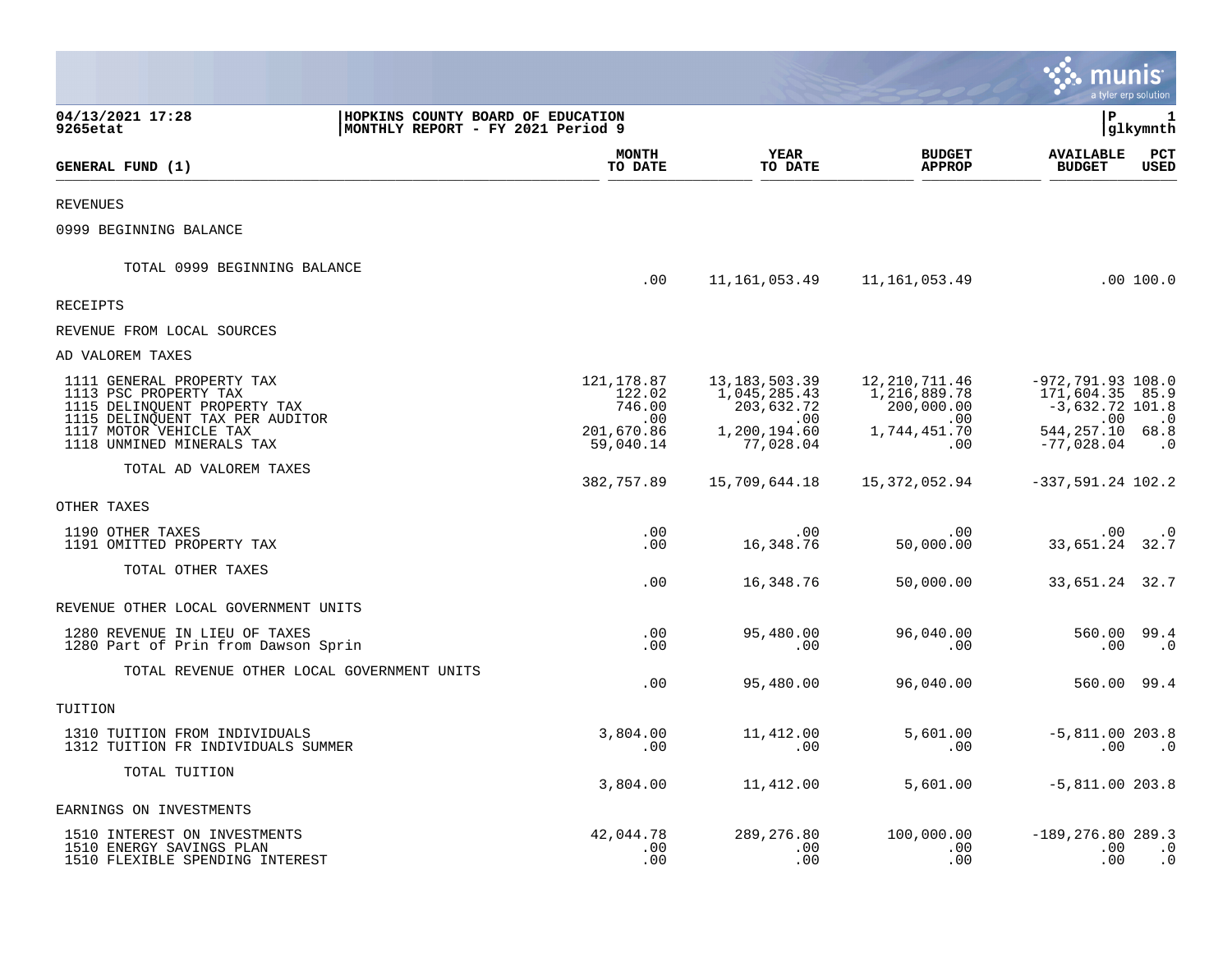|                                                                                                                       |                                                                        |                                        |                                               |                                                      | munis                                                        | a tyler erp solution        |
|-----------------------------------------------------------------------------------------------------------------------|------------------------------------------------------------------------|----------------------------------------|-----------------------------------------------|------------------------------------------------------|--------------------------------------------------------------|-----------------------------|
| 04/13/2021 17:28<br>9265etat                                                                                          | HOPKINS COUNTY BOARD OF EDUCATION<br>MONTHLY REPORT - FY 2021 Period 9 |                                        |                                               |                                                      | ΙP                                                           | 1<br>glkymnth               |
| GENERAL FUND (1)                                                                                                      |                                                                        | <b>MONTH</b><br>TO DATE                | <b>YEAR</b><br>TO DATE                        | <b>BUDGET</b><br><b>APPROP</b>                       | <b>AVAILABLE</b><br><b>BUDGET</b>                            | $_{\rm PCT}$<br><b>USED</b> |
| <b>REVENUES</b>                                                                                                       |                                                                        |                                        |                                               |                                                      |                                                              |                             |
| 0999 BEGINNING BALANCE                                                                                                |                                                                        |                                        |                                               |                                                      |                                                              |                             |
| TOTAL 0999 BEGINNING BALANCE                                                                                          |                                                                        | .00                                    | 11,161,053.49                                 | 11,161,053.49                                        |                                                              | .00 100.0                   |
| <b>RECEIPTS</b>                                                                                                       |                                                                        |                                        |                                               |                                                      |                                                              |                             |
| REVENUE FROM LOCAL SOURCES                                                                                            |                                                                        |                                        |                                               |                                                      |                                                              |                             |
| AD VALOREM TAXES                                                                                                      |                                                                        |                                        |                                               |                                                      |                                                              |                             |
| 1111 GENERAL PROPERTY TAX<br>1113 PSC PROPERTY TAX<br>1115 DELINQUENT PROPERTY TAX<br>1115 DELINQUENT TAX PER AUDITOR |                                                                        | 121, 178.87<br>122.02<br>746.00<br>.00 | 13, 183, 503.39<br>1,045,285.43<br>203,632.72 | 12, 210, 711.46<br>1,216,889.78<br>200,000.00<br>.00 | $-972, 791.93$ 108.0<br>171,604.35 85.9<br>$-3,632.72$ 101.8 | $\cdot$ 0                   |
| 1117 MOTOR VEHICLE TAX<br>1118 UNMINED MINERALS TAX                                                                   |                                                                        | 201,670.86<br>59,040.14                | .00<br>1,200,194.60<br>77,028.04              | 1,744,451.70<br>.00                                  | .00<br>544, 257. 10 68. 8<br>$-77,028.04$                    | $\cdot$ 0                   |
| TOTAL AD VALOREM TAXES                                                                                                |                                                                        | 382,757.89                             | 15,709,644.18                                 | 15,372,052.94                                        | $-337,591.24$ 102.2                                          |                             |
| OTHER TAXES                                                                                                           |                                                                        |                                        |                                               |                                                      |                                                              |                             |
| 1190 OTHER TAXES<br>1191 OMITTED PROPERTY TAX                                                                         |                                                                        | .00<br>.00                             | $.00 \,$<br>16,348.76                         | .00<br>50,000.00                                     | $.00 \,$<br>33,651.24 32.7                                   | $\cdot$ 0                   |
| TOTAL OTHER TAXES                                                                                                     |                                                                        | .00                                    | 16,348.76                                     | 50,000.00                                            | 33,651.24 32.7                                               |                             |
| REVENUE OTHER LOCAL GOVERNMENT UNITS                                                                                  |                                                                        |                                        |                                               |                                                      |                                                              |                             |
| 1280 REVENUE IN LIEU OF TAXES<br>1280 Part of Prin from Dawson Sprin                                                  |                                                                        | .00<br>.00                             | 95,480.00<br>.00                              | 96,040.00<br>.00                                     | 560.00<br>.00                                                | 99.4<br>$\cdot$ 0           |
| TOTAL REVENUE OTHER LOCAL GOVERNMENT UNITS                                                                            |                                                                        | .00                                    | 95,480.00                                     | 96,040.00                                            | 560.00 99.4                                                  |                             |
| TUITION                                                                                                               |                                                                        |                                        |                                               |                                                      |                                                              |                             |
| 1310 TUITION FROM INDIVIDUALS<br>1312 TUITION FR INDIVIDUALS SUMMER                                                   |                                                                        | 3,804.00<br>.00                        | 11,412.00<br>.00                              | 5,601.00<br>.00                                      | $-5,811.00 203.8$<br>.00                                     | $\cdot$ 0                   |
| TOTAL TUITION                                                                                                         |                                                                        | 3,804.00                               | 11,412.00                                     | 5,601.00                                             | $-5,811.00$ 203.8                                            |                             |
| EARNINGS ON INVESTMENTS                                                                                               |                                                                        |                                        |                                               |                                                      |                                                              |                             |
| 1510 INTEREST ON INVESTMENTS<br>1510 ENERGY SAVINGS PLAN<br>1510 FLEXIBLE SPENDING INTEREST                           |                                                                        | 42,044.78<br>.00<br>.00                | 289,276.80<br>.00<br>.00                      | 100,000.00<br>.00<br>.00                             | $-189, 276.80 289.3$<br>$.00 \,$<br>.00                      | $\cdot$ 0<br>$\cdot$ 0      |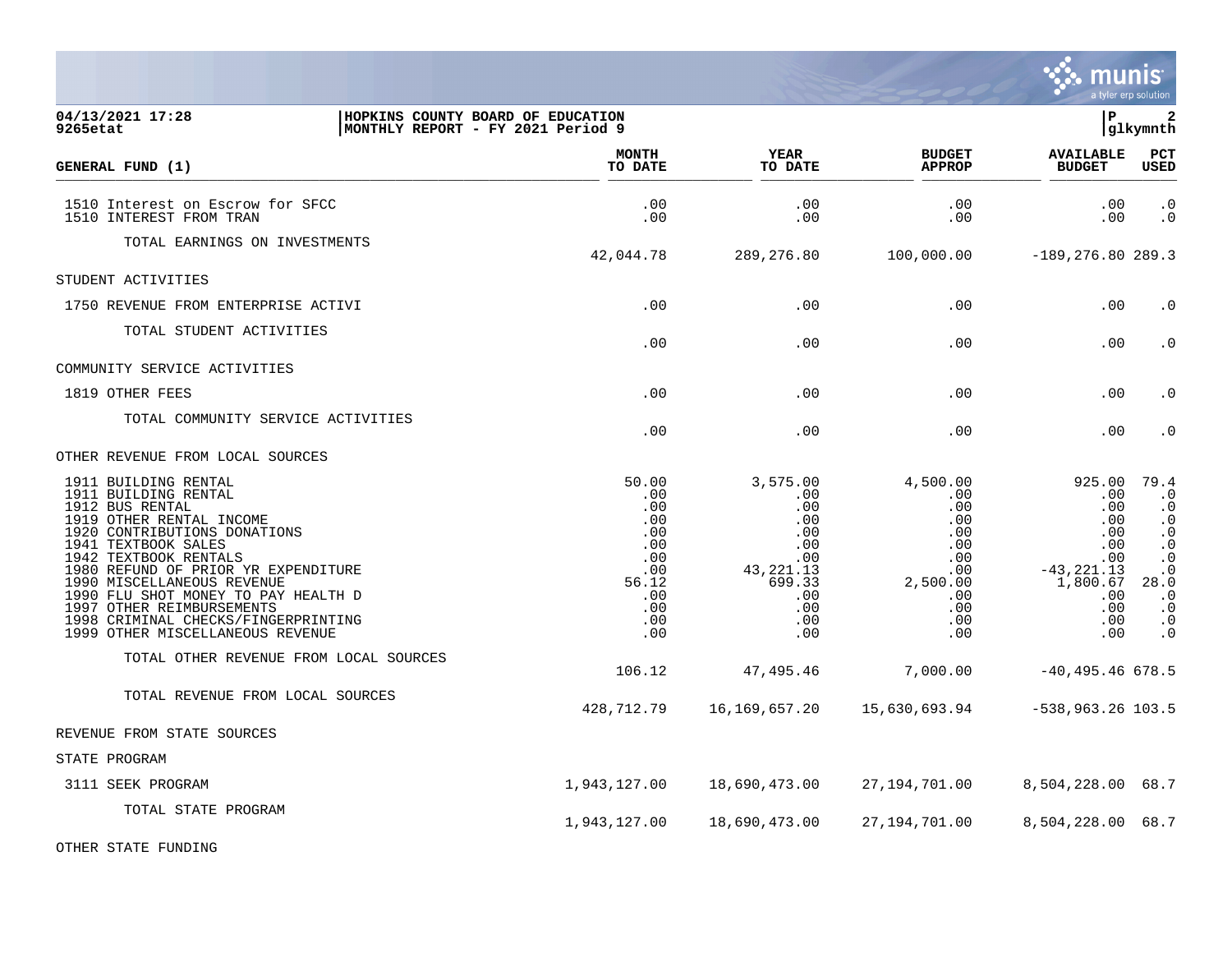|                                                                                                                                                                                                                                                                                                                                                                                                 |                                                                                             |                                                                                                              |                                                                                                   |                                                                                                           | a tyler erp solution                                                                                                                                        |
|-------------------------------------------------------------------------------------------------------------------------------------------------------------------------------------------------------------------------------------------------------------------------------------------------------------------------------------------------------------------------------------------------|---------------------------------------------------------------------------------------------|--------------------------------------------------------------------------------------------------------------|---------------------------------------------------------------------------------------------------|-----------------------------------------------------------------------------------------------------------|-------------------------------------------------------------------------------------------------------------------------------------------------------------|
| 04/13/2021 17:28<br>HOPKINS COUNTY BOARD OF EDUCATION<br>MONTHLY REPORT - FY 2021 Period 9<br>9265etat                                                                                                                                                                                                                                                                                          |                                                                                             |                                                                                                              |                                                                                                   | l P                                                                                                       | $\overline{\mathbf{2}}$<br> glkymnth                                                                                                                        |
| GENERAL FUND (1)                                                                                                                                                                                                                                                                                                                                                                                | <b>MONTH</b><br>TO DATE                                                                     | <b>YEAR</b><br>TO DATE                                                                                       | <b>BUDGET</b><br><b>APPROP</b>                                                                    | <b>AVAILABLE</b><br><b>BUDGET</b>                                                                         | <b>PCT</b><br><b>USED</b>                                                                                                                                   |
| 1510 Interest on Escrow for SFCC<br>1510 INTEREST FROM TRAN                                                                                                                                                                                                                                                                                                                                     | .00<br>.00                                                                                  | .00<br>.00                                                                                                   | .00<br>.00                                                                                        | .00<br>.00                                                                                                | $\begin{matrix} . & 0 \\ . & 0 \end{matrix}$                                                                                                                |
| TOTAL EARNINGS ON INVESTMENTS                                                                                                                                                                                                                                                                                                                                                                   | 42,044.78                                                                                   | 289, 276.80                                                                                                  | 100,000.00                                                                                        | $-189, 276.80 289.3$                                                                                      |                                                                                                                                                             |
| STUDENT ACTIVITIES                                                                                                                                                                                                                                                                                                                                                                              |                                                                                             |                                                                                                              |                                                                                                   |                                                                                                           |                                                                                                                                                             |
| 1750 REVENUE FROM ENTERPRISE ACTIVI                                                                                                                                                                                                                                                                                                                                                             | .00                                                                                         | .00                                                                                                          | .00                                                                                               | .00                                                                                                       | $\cdot$ 0                                                                                                                                                   |
| TOTAL STUDENT ACTIVITIES                                                                                                                                                                                                                                                                                                                                                                        | .00                                                                                         | .00                                                                                                          | .00                                                                                               | .00                                                                                                       | $\cdot$ 0                                                                                                                                                   |
| COMMUNITY SERVICE ACTIVITIES                                                                                                                                                                                                                                                                                                                                                                    |                                                                                             |                                                                                                              |                                                                                                   |                                                                                                           |                                                                                                                                                             |
| 1819 OTHER FEES                                                                                                                                                                                                                                                                                                                                                                                 | .00                                                                                         | .00                                                                                                          | .00                                                                                               | .00                                                                                                       | $\cdot$ 0                                                                                                                                                   |
| TOTAL COMMUNITY SERVICE ACTIVITIES                                                                                                                                                                                                                                                                                                                                                              | .00                                                                                         | .00                                                                                                          | .00                                                                                               | .00                                                                                                       | $\cdot$ 0                                                                                                                                                   |
| OTHER REVENUE FROM LOCAL SOURCES                                                                                                                                                                                                                                                                                                                                                                |                                                                                             |                                                                                                              |                                                                                                   |                                                                                                           |                                                                                                                                                             |
| 1911 BUILDING RENTAL<br>1911 BUILDING RENTAL<br>1912 BUS RENTAL<br>1919 OTHER RENTAL INCOME<br>1920 CONTRIBUTIONS DONATIONS<br>1941 TEXTBOOK SALES<br>1942 TEXTBOOK RENTALS<br>1980 REFUND OF PRIOR YR EXPENDITURE<br>1990 MISCELLANEOUS REVENUE<br>1990 FLU SHOT MONEY TO PAY HEALTH D<br>1997 OTHER REIMBURSEMENTS<br>1998 CRIMINAL CHECKS/FINGERPRINTING<br>1999 OTHER MISCELLANEOUS REVENUE | 50.00<br>.00<br>.00<br>.00<br>.00<br>.00<br>.00<br>.00<br>56.12<br>.00<br>.00<br>.00<br>.00 | 3,575.00<br>$.00 \,$<br>.00<br>.00<br>.00<br>.00<br>.00<br>43, 221. 13<br>699.33<br>.00<br>.00<br>.00<br>.00 | 4,500.00<br>.00<br>.00<br>.00<br>.00<br>.00<br>.00<br>.00<br>2,500.00<br>.00<br>.00<br>.00<br>.00 | 925.00<br>.00<br>.00<br>.00<br>.00<br>.00<br>.00<br>$-43, 221.13$<br>1,800.67<br>.00<br>.00<br>.00<br>.00 | 79.4<br>$\cdot$ 0<br>$\cdot$ 0<br>$\cdot$ 0<br>$\cdot$ 0<br>$\cdot$ 0<br>$\cdot$ 0<br>$\cdot$ 0<br>28.0<br>$\cdot$ 0<br>$\cdot$ 0<br>$\cdot$ 0<br>$\cdot$ 0 |
| TOTAL OTHER REVENUE FROM LOCAL SOURCES                                                                                                                                                                                                                                                                                                                                                          | 106.12                                                                                      | 47,495.46                                                                                                    | 7,000.00                                                                                          | $-40,495.46$ 678.5                                                                                        |                                                                                                                                                             |
| TOTAL REVENUE FROM LOCAL SOURCES                                                                                                                                                                                                                                                                                                                                                                | 428,712.79                                                                                  | 16,169,657.20                                                                                                | 15,630,693.94                                                                                     | $-538,963.26$ 103.5                                                                                       |                                                                                                                                                             |
| REVENUE FROM STATE SOURCES                                                                                                                                                                                                                                                                                                                                                                      |                                                                                             |                                                                                                              |                                                                                                   |                                                                                                           |                                                                                                                                                             |
| STATE PROGRAM                                                                                                                                                                                                                                                                                                                                                                                   |                                                                                             |                                                                                                              |                                                                                                   |                                                                                                           |                                                                                                                                                             |
| 3111 SEEK PROGRAM                                                                                                                                                                                                                                                                                                                                                                               | 1,943,127.00                                                                                | 18,690,473.00                                                                                                | 27,194,701.00                                                                                     | 8,504,228.00 68.7                                                                                         |                                                                                                                                                             |
| TOTAL STATE PROGRAM                                                                                                                                                                                                                                                                                                                                                                             | 1,943,127.00                                                                                | 18,690,473.00                                                                                                | 27,194,701.00                                                                                     | 8,504,228.00 68.7                                                                                         |                                                                                                                                                             |
| OTHER STATE FUNDING                                                                                                                                                                                                                                                                                                                                                                             |                                                                                             |                                                                                                              |                                                                                                   |                                                                                                           |                                                                                                                                                             |

 $\ddot{\mathbf{w}}$  munis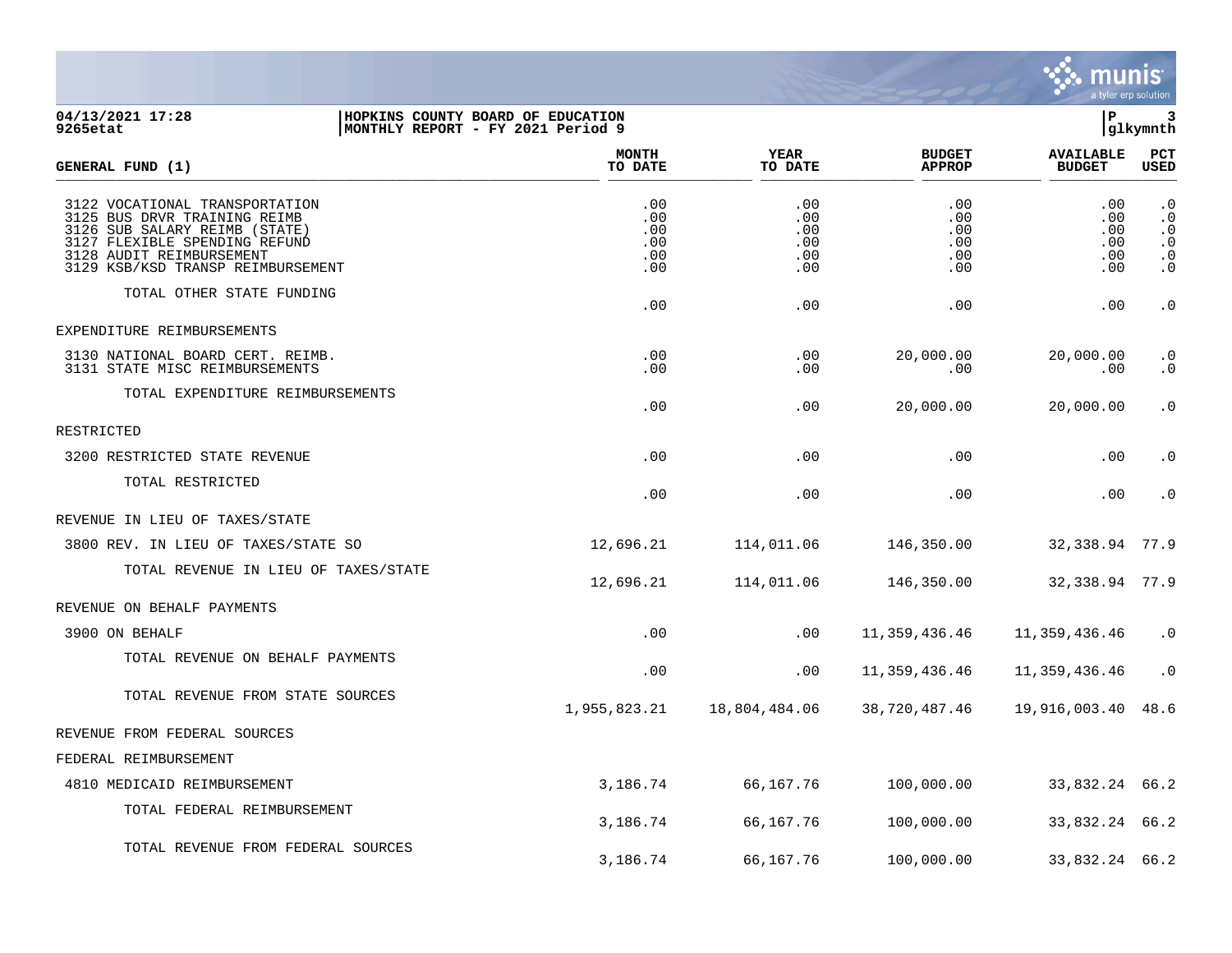

## **04/13/2021 17:28 |HOPKINS COUNTY BOARD OF EDUCATION |P 3 9265etat |MONTHLY REPORT - FY 2021 Period 9 |glkymnth**

| GENERAL FUND (1)                                                                                                                                                                                  | <b>MONTH</b><br>TO DATE                | <b>YEAR</b><br>TO DATE                 | <b>BUDGET</b><br><b>APPROP</b>         | <b>AVAILABLE</b><br><b>BUDGET</b>      | <b>PCT</b><br>USED                                                         |
|---------------------------------------------------------------------------------------------------------------------------------------------------------------------------------------------------|----------------------------------------|----------------------------------------|----------------------------------------|----------------------------------------|----------------------------------------------------------------------------|
| 3122 VOCATIONAL TRANSPORTATION<br>3125 BUS DRVR TRAINING REIMB<br>3126 SUB SALARY REIMB (STATE)<br>3127 FLEXIBLE SPENDING REFUND<br>3128 AUDIT REIMBURSEMENT<br>3129 KSB/KSD TRANSP REIMBURSEMENT | .00<br>.00<br>.00<br>.00<br>.00<br>.00 | .00<br>.00<br>.00<br>.00<br>.00<br>.00 | .00<br>.00<br>.00<br>.00<br>.00<br>.00 | .00<br>.00<br>.00<br>.00<br>.00<br>.00 | $\cdot$ 0<br>$\cdot$ 0<br>$\cdot$ 0<br>$\cdot$ 0<br>$\cdot$ 0<br>$\cdot$ 0 |
| TOTAL OTHER STATE FUNDING                                                                                                                                                                         | .00                                    | .00                                    | .00                                    | .00                                    | $\cdot$ 0                                                                  |
| EXPENDITURE REIMBURSEMENTS                                                                                                                                                                        |                                        |                                        |                                        |                                        |                                                                            |
| 3130 NATIONAL BOARD CERT. REIMB.<br>3131 STATE MISC REIMBURSEMENTS                                                                                                                                | .00<br>.00                             | .00<br>.00                             | 20,000.00<br>.00.                      | 20,000.00<br>.00                       | . 0<br>$\cdot$ 0                                                           |
| TOTAL EXPENDITURE REIMBURSEMENTS                                                                                                                                                                  | .00                                    | .00                                    | 20,000.00                              | 20,000.00                              | $\cdot$ 0                                                                  |
| RESTRICTED                                                                                                                                                                                        |                                        |                                        |                                        |                                        |                                                                            |
| 3200 RESTRICTED STATE REVENUE                                                                                                                                                                     | .00                                    | .00                                    | .00                                    | .00                                    | $\cdot$ 0                                                                  |
| TOTAL RESTRICTED                                                                                                                                                                                  | .00                                    | .00                                    | .00                                    | .00                                    | $\cdot$ 0                                                                  |
| REVENUE IN LIEU OF TAXES/STATE                                                                                                                                                                    |                                        |                                        |                                        |                                        |                                                                            |
| 3800 REV. IN LIEU OF TAXES/STATE SO                                                                                                                                                               | 12,696.21                              | 114,011.06                             | 146,350.00                             | 32,338.94                              | 77.9                                                                       |
| TOTAL REVENUE IN LIEU OF TAXES/STATE                                                                                                                                                              | 12,696.21                              | 114,011.06                             | 146,350.00                             | 32, 338.94 77.9                        |                                                                            |
| REVENUE ON BEHALF PAYMENTS                                                                                                                                                                        |                                        |                                        |                                        |                                        |                                                                            |
| 3900 ON BEHALF                                                                                                                                                                                    | .00                                    | .00                                    | 11,359,436.46                          | 11,359,436.46                          | $\cdot$ 0                                                                  |
| TOTAL REVENUE ON BEHALF PAYMENTS                                                                                                                                                                  | .00                                    | .00                                    | 11,359,436.46                          | 11,359,436.46                          | $\cdot$ 0                                                                  |
| TOTAL REVENUE FROM STATE SOURCES                                                                                                                                                                  | 1,955,823.21                           | 18,804,484.06                          | 38,720,487.46                          | 19,916,003.40                          | 48.6                                                                       |
| REVENUE FROM FEDERAL SOURCES                                                                                                                                                                      |                                        |                                        |                                        |                                        |                                                                            |
| FEDERAL REIMBURSEMENT                                                                                                                                                                             |                                        |                                        |                                        |                                        |                                                                            |
| 4810 MEDICAID REIMBURSEMENT                                                                                                                                                                       | 3,186.74                               | 66,167.76                              | 100,000.00                             | 33,832.24 66.2                         |                                                                            |
| TOTAL FEDERAL REIMBURSEMENT                                                                                                                                                                       | 3,186.74                               | 66,167.76                              | 100,000.00                             | 33,832.24 66.2                         |                                                                            |
| TOTAL REVENUE FROM FEDERAL SOURCES                                                                                                                                                                | 3,186.74                               | 66,167.76                              | 100,000.00                             | 33,832.24 66.2                         |                                                                            |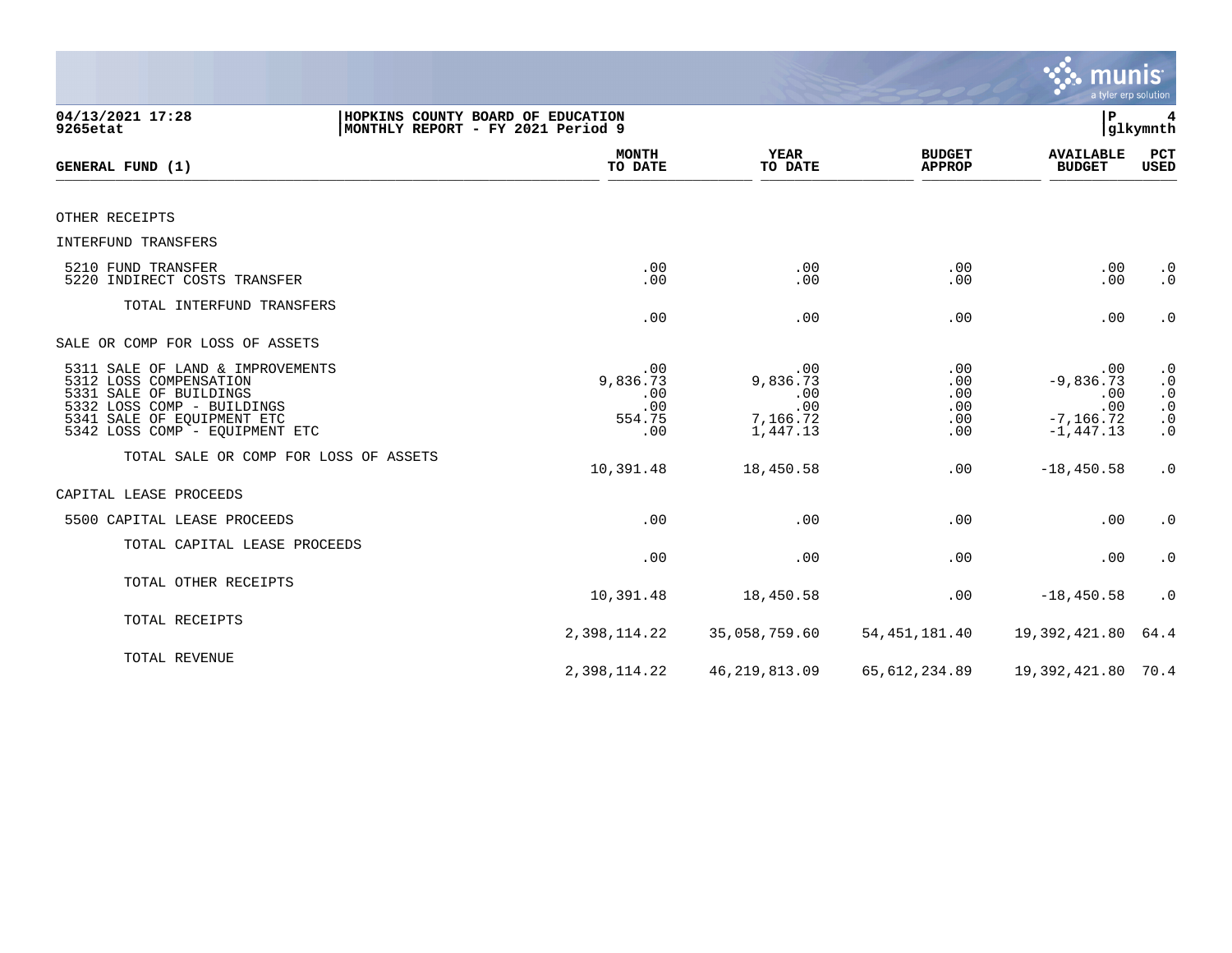|                                                                                                                                                                                    |                                                                        |                                                       |                                        | <b>munis</b>                                                     | a tyler erp solution                                                                     |
|------------------------------------------------------------------------------------------------------------------------------------------------------------------------------------|------------------------------------------------------------------------|-------------------------------------------------------|----------------------------------------|------------------------------------------------------------------|------------------------------------------------------------------------------------------|
| 04/13/2021 17:28<br>9265etat                                                                                                                                                       | HOPKINS COUNTY BOARD OF EDUCATION<br>MONTHLY REPORT - FY 2021 Period 9 |                                                       |                                        | l P                                                              | glkymnth                                                                                 |
| GENERAL FUND (1)                                                                                                                                                                   | <b>MONTH</b><br>TO DATE                                                | YEAR<br>TO DATE                                       | <b>BUDGET</b><br><b>APPROP</b>         | <b>AVAILABLE</b><br><b>BUDGET</b>                                | PCT<br>USED                                                                              |
| OTHER RECEIPTS                                                                                                                                                                     |                                                                        |                                                       |                                        |                                                                  |                                                                                          |
| INTERFUND TRANSFERS                                                                                                                                                                |                                                                        |                                                       |                                        |                                                                  |                                                                                          |
| 5210 FUND TRANSFER<br>5220 INDIRECT COSTS TRANSFER                                                                                                                                 | .00<br>.00                                                             | .00<br>.00                                            | .00<br>.00                             | .00<br>.00                                                       | $\cdot$ 0<br>$\cdot$ 0                                                                   |
| TOTAL INTERFUND TRANSFERS                                                                                                                                                          | .00                                                                    | .00                                                   | .00                                    | .00                                                              | $\cdot$ 0                                                                                |
| SALE OR COMP FOR LOSS OF ASSETS                                                                                                                                                    |                                                                        |                                                       |                                        |                                                                  |                                                                                          |
| 5311 SALE OF LAND & IMPROVEMENTS<br>5312 LOSS COMPENSATION<br>5331 SALE OF BUILDINGS<br>5332 LOSS COMP - BUILDINGS<br>5341 SALE OF EQUIPMENT ETC<br>5342 LOSS COMP - EQUIPMENT ETC | .00<br>9,836.73<br>.00<br>.00<br>554.75<br>.00                         | .00<br>9,836.73<br>.00<br>.00<br>7,166.72<br>1,447.13 | .00<br>.00<br>.00<br>.00<br>.00<br>.00 | .00<br>$-9,836.73$<br>.00<br>.00<br>$-7, 166.72$<br>$-1, 447.13$ | $\cdot$ 0<br>$\cdot$ 0<br>$\cdot$ 0<br>$\ddot{0}$<br>$\cdot$ 0<br>$\boldsymbol{\cdot}$ 0 |
| TOTAL SALE OR COMP FOR LOSS OF ASSETS                                                                                                                                              | 10,391.48                                                              | 18,450.58                                             | .00                                    | $-18, 450.58$                                                    | $\cdot$ 0                                                                                |
| CAPITAL LEASE PROCEEDS                                                                                                                                                             |                                                                        |                                                       |                                        |                                                                  |                                                                                          |
| 5500 CAPITAL LEASE PROCEEDS                                                                                                                                                        | .00                                                                    | .00                                                   | .00                                    | .00                                                              | $\boldsymbol{\cdot}$ 0                                                                   |
| TOTAL CAPITAL LEASE PROCEEDS                                                                                                                                                       | .00                                                                    | .00                                                   | .00                                    | .00                                                              | $\cdot$ 0                                                                                |
| TOTAL OTHER RECEIPTS                                                                                                                                                               | 10,391.48                                                              | 18,450.58                                             | .00                                    | $-18, 450.58$                                                    | $\cdot$ 0                                                                                |
| TOTAL RECEIPTS                                                                                                                                                                     | 2,398,114.22                                                           | 35,058,759.60                                         | 54, 451, 181.40                        | 19,392,421.80                                                    | 64.4                                                                                     |
| TOTAL REVENUE                                                                                                                                                                      | 2,398,114.22                                                           | 46, 219, 813.09                                       | 65, 612, 234.89                        | 19,392,421.80 70.4                                               |                                                                                          |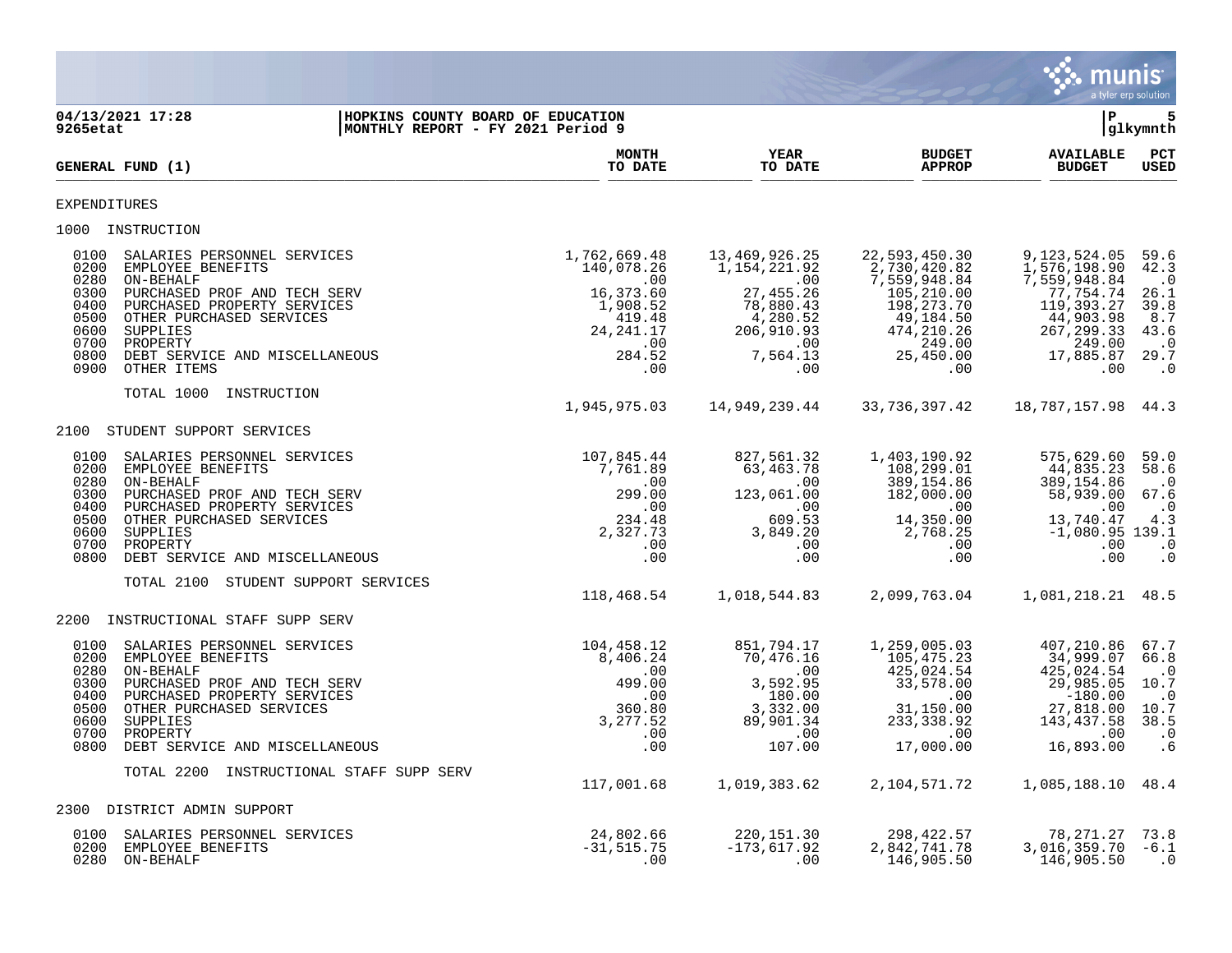|                                                                                                                                                                                                                                                                                                                   |                               |                                                                                                            |                                                                                                                          |                                                                                                                                         | <b>munis</b>                                                                                                                      | a tyler erp solution                                                                       |
|-------------------------------------------------------------------------------------------------------------------------------------------------------------------------------------------------------------------------------------------------------------------------------------------------------------------|-------------------------------|------------------------------------------------------------------------------------------------------------|--------------------------------------------------------------------------------------------------------------------------|-----------------------------------------------------------------------------------------------------------------------------------------|-----------------------------------------------------------------------------------------------------------------------------------|--------------------------------------------------------------------------------------------|
| 04/13/2021 17:28<br>9265etat                                                                                                                                                                                                                                                                                      |                               | HOPKINS COUNTY BOARD OF EDUCATION<br> MONTHLY REPORT - FY 2021 Period 9                                    |                                                                                                                          |                                                                                                                                         | ΙP                                                                                                                                | 5<br> glkymnth                                                                             |
| GENERAL FUND (1)                                                                                                                                                                                                                                                                                                  |                               | <b>MONTH</b><br>TO DATE                                                                                    | <b>YEAR</b><br>TO DATE                                                                                                   | <b>BUDGET</b><br><b>APPROP</b>                                                                                                          | <b>AVAILABLE</b><br><b>BUDGET</b>                                                                                                 | PCT<br>USED                                                                                |
| EXPENDITURES                                                                                                                                                                                                                                                                                                      |                               |                                                                                                            |                                                                                                                          |                                                                                                                                         |                                                                                                                                   |                                                                                            |
| 1000 INSTRUCTION                                                                                                                                                                                                                                                                                                  |                               |                                                                                                            |                                                                                                                          |                                                                                                                                         |                                                                                                                                   |                                                                                            |
| 0100<br>SALARIES PERSONNEL SERVICES<br>0200<br>EMPLOYEE BENEFITS<br>0280<br>ON-BEHALF<br>0300<br>PURCHASED PROF AND TECH SERV<br>0400<br>PURCHASED PROPERTY SERVICES<br>0500<br>OTHER PURCHASED SERVICES<br>0600<br>SUPPLIES<br>0700<br>PROPERTY<br>0800<br>DEBT SERVICE AND MISCELLANEOUS<br>0900<br>OTHER ITEMS |                               | 1,762,669.48<br>140,078.26<br>.00<br>16,373.60<br>1,908.52<br>419.48<br>24, 241.17<br>.00<br>284.52<br>.00 | 13,469,926.25<br>1,154,221.92<br>$\sim$ 00<br>27,455.26<br>78,880.43<br>4,280.52<br>206,910.93<br>.00<br>7,564.13<br>.00 | 22,593,450.30<br>2,730,420.82<br>7,559,948.84<br>105,210.00<br>198,273.70<br>49,184.50<br>474,210.26<br>249.00<br>25,450.00<br>$.00 \,$ | 9,123,524.05<br>1,576,198.90<br>7,559,948.84<br>77,754.74<br>119,393.27<br>44,903.98<br>267, 299.33<br>249.00<br>17,885.87<br>.00 | 59.6<br>42.3<br>$\cdot$ 0<br>26.1<br>39.8<br>8.7<br>43.6<br>$\cdot$ 0<br>29.7<br>$\cdot$ 0 |
| TOTAL 1000 INSTRUCTION                                                                                                                                                                                                                                                                                            |                               | 1,945,975.03                                                                                               | 14,949,239.44                                                                                                            | 33,736,397.42                                                                                                                           | 18,787,157.98 44.3                                                                                                                |                                                                                            |
| 2100 STUDENT SUPPORT SERVICES                                                                                                                                                                                                                                                                                     |                               |                                                                                                            |                                                                                                                          |                                                                                                                                         |                                                                                                                                   |                                                                                            |
| SALARIES PERSONNEL SERVICES<br>0100<br>0200<br>EMPLOYEE BENEFITS<br>0280<br>ON-BEHALF<br>0300<br>PURCHASED PROF AND TECH SERV<br>0400<br>PURCHASED PROPERTY SERVICES<br>0500<br>OTHER PURCHASED SERVICES<br>0600<br>SUPPLIES<br>0700<br>PROPERTY<br>0800<br>DEBT SERVICE AND MISCELLANEOUS                        |                               | 107,845.44<br>7,761.89<br>.00<br>299.00<br>.00<br>234.48<br>2,327.73<br>.00<br>.00                         | 827,561.32<br>63,463.78<br>$\sim 00$<br>123,061.00<br>$\sim$ 00<br>609.53<br>3,849.20<br>.00<br>.00                      | 1,403,190.92<br>108,299.01<br>389,154.86<br>182,000.00<br>.00<br>14,350.00<br>2,768.25<br>.00<br>.00                                    | 575,629.60<br>44,835.23<br>389,154.86<br>58,939.00<br>.00<br>13,740.47<br>$-1,080.95$ 139.1<br>.00<br>.00                         | 59.0<br>58.6<br>$\cdot$ 0<br>67.6<br>$\cdot$ 0<br>4.3<br>$\cdot$ 0<br>$\cdot$ 0            |
| TOTAL 2100 STUDENT SUPPORT SERVICES                                                                                                                                                                                                                                                                               |                               | 118,468.54                                                                                                 | 1,018,544.83                                                                                                             | 2,099,763.04                                                                                                                            | 1,081,218.21 48.5                                                                                                                 |                                                                                            |
| 2200 INSTRUCTIONAL STAFF SUPP SERV                                                                                                                                                                                                                                                                                |                               |                                                                                                            |                                                                                                                          |                                                                                                                                         |                                                                                                                                   |                                                                                            |
| 0100<br>SALARIES PERSONNEL SERVICES<br>0200<br>EMPLOYEE BENEFITS<br>0280<br>ON-BEHALF<br>0300<br>PURCHASED PROF AND TECH SERV<br>0400<br>PURCHASED PROPERTY SERVICES<br>0500<br>OTHER PURCHASED SERVICES<br>0600<br>SUPPLIES<br>0700<br>PROPERTY<br>0800 DEBT SERVICE AND MISCELLANEOUS                           |                               | 104,458.12<br>8,406.24<br>.00<br>499.00<br>.00<br>360.80<br>3,277.52<br>.00<br>.00                         | 851,794.17<br>70,476.16<br>.00<br>3,592.95<br>180.00<br>3,332.00<br>89,901.34<br>$\overline{00}$<br>107.00               | 1,259,005.03<br>105,475.23<br>425,024.54<br>33,578.00<br>$.00\,$<br>31,150.00<br>233, 338.92<br>.00<br>17,000.00                        | 407,210.86<br>34,999.07<br>425,024.54<br>29,985.05<br>$-180.00$<br>27,818.00<br>143,437.58<br>$\ddotsc 00$<br>16,893.00           | 67.7<br>66.8<br>$\cdot$ 0<br>10.7<br>$\cdot$ 0<br>10.7<br>38.5<br>$\cdot$ 0<br>.6          |
| TOTAL 2200                                                                                                                                                                                                                                                                                                        | INSTRUCTIONAL STAFF SUPP SERV |                                                                                                            |                                                                                                                          |                                                                                                                                         |                                                                                                                                   |                                                                                            |
|                                                                                                                                                                                                                                                                                                                   |                               | 117,001.68                                                                                                 | 1,019,383.62                                                                                                             | 2,104,571.72                                                                                                                            | 1,085,188.10 48.4                                                                                                                 |                                                                                            |
| DISTRICT ADMIN SUPPORT<br>2300<br>SALARIES PERSONNEL SERVICES<br>0100<br>0200<br>EMPLOYEE BENEFITS                                                                                                                                                                                                                |                               | 24,802.66<br>$-31, 515.75$                                                                                 | 220, 151.30<br>$-173,617.92$                                                                                             | 298, 422.57<br>2,842,741.78                                                                                                             | 78,271.27<br>3,016,359.70                                                                                                         | 73.8<br>$-6.1$                                                                             |
| 0280<br>ON-BEHALF                                                                                                                                                                                                                                                                                                 |                               | .00                                                                                                        | .00                                                                                                                      | 146,905.50                                                                                                                              | 146,905.50                                                                                                                        | $\cdot$ 0                                                                                  |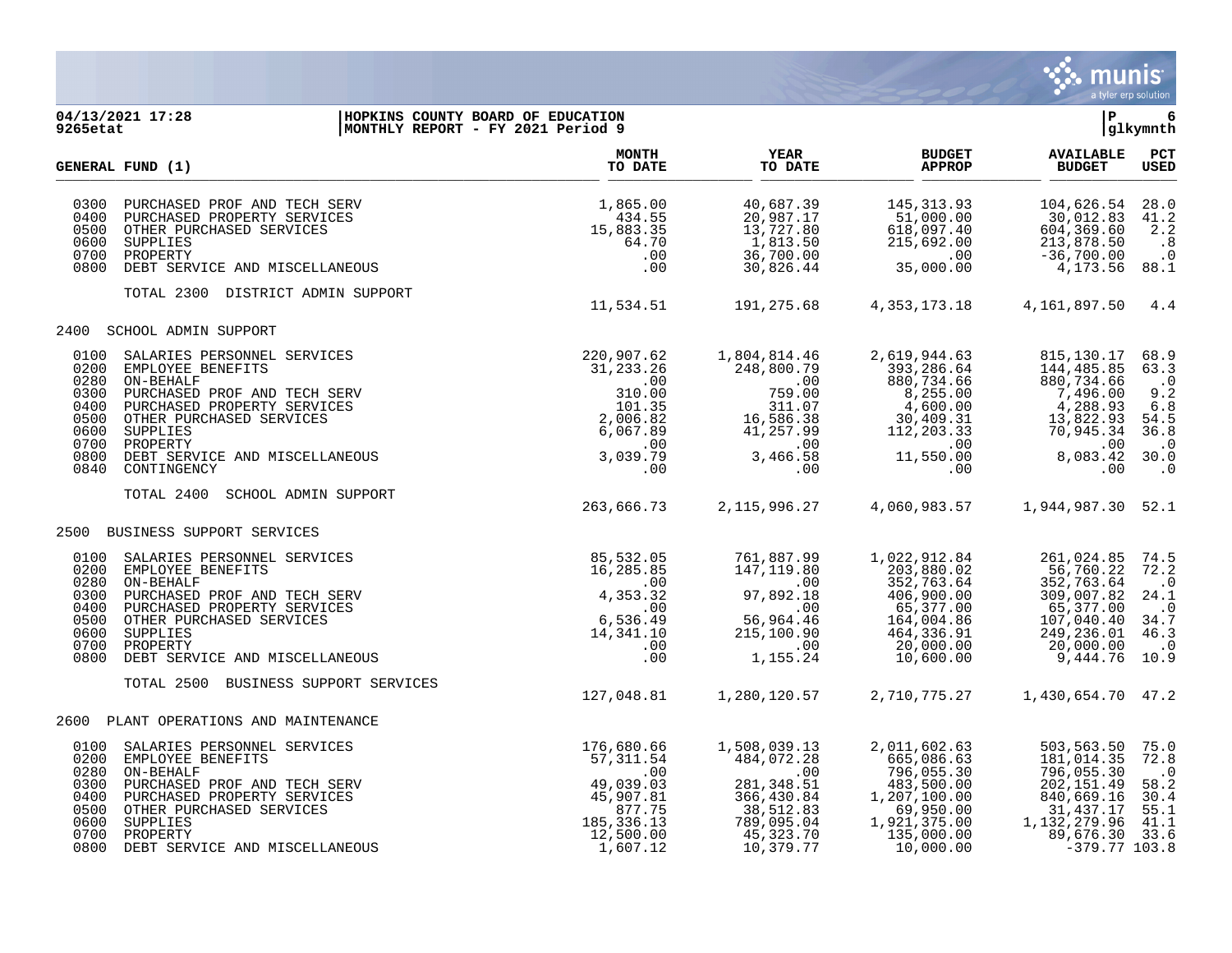

## **04/13/2021 17:28 |HOPKINS COUNTY BOARD OF EDUCATION |P 6 9265etat |MONTHLY REPORT - FY 2021 Period 9 |glkymnth**

|                                                                              | GENERAL FUND (1)                                                                                                                                                                                                                  | <b>MONTH</b><br>TO DATE                                                                                     | <b>YEAR</b><br>TO DATE                                                                                              | <b>BUDGET</b><br><b>APPROP</b>                                                                                                 | <b>AVAILABLE</b><br><b>BUDGET</b>                                                                                               | PCT<br><b>USED</b>                                                                        |
|------------------------------------------------------------------------------|-----------------------------------------------------------------------------------------------------------------------------------------------------------------------------------------------------------------------------------|-------------------------------------------------------------------------------------------------------------|---------------------------------------------------------------------------------------------------------------------|--------------------------------------------------------------------------------------------------------------------------------|---------------------------------------------------------------------------------------------------------------------------------|-------------------------------------------------------------------------------------------|
| 0300<br>0400<br>0500<br>0600<br>0700<br>0800                                 | PURCHASED PROF AND TECH SERV<br>PURCHASED PROPERTY SERVICES<br>OTHER PURCHASED SERVICES<br>SUPPLIES<br>PROPERTY<br>DEBT SERVICE AND MISCELLANEOUS                                                                                 | 1,865.00<br>434.55<br>15,883.35<br>64.70<br>.00<br>.00                                                      | 40,687.39<br>20,987.17<br>13,727.80<br>1,813.50<br>36,700.00<br>30,826.44                                           | 145, 313.93<br>51,000.00<br>618,097.40<br>215,692.00<br>.00<br>35,000.00                                                       | 104,626.54<br>30,012.83<br>604,369.60<br>213,878.50<br>$-36,700.00$<br>4,173.56                                                 | 28.0<br>41.2<br>2.2<br>.8<br>$\cdot$ 0<br>88.1                                            |
|                                                                              | TOTAL 2300 DISTRICT ADMIN SUPPORT                                                                                                                                                                                                 | 11,534.51                                                                                                   | 191,275.68                                                                                                          | 4, 353, 173. 18                                                                                                                | 4,161,897.50                                                                                                                    | 4.4                                                                                       |
| 2400                                                                         | SCHOOL ADMIN SUPPORT                                                                                                                                                                                                              |                                                                                                             |                                                                                                                     |                                                                                                                                |                                                                                                                                 |                                                                                           |
| 0100<br>0200<br>0280<br>0300<br>0400<br>0500<br>0600<br>0700<br>0800<br>0840 | SALARIES PERSONNEL SERVICES<br>EMPLOYEE BENEFITS<br>ON-BEHALF<br>PURCHASED PROF AND TECH SERV<br>PURCHASED PROPERTY SERVICES<br>OTHER PURCHASED SERVICES<br>SUPPLIES<br>PROPERTY<br>DEBT SERVICE AND MISCELLANEOUS<br>CONTINGENCY | 220,907.62<br>31,233.26<br>.00<br>310.00<br>101.35<br>2,006.82<br>6,067.89<br>.00<br>3,039.79<br>.00        | 1,804,814.46<br>248,800.79<br>$.00 \,$<br>759.00<br>311.07<br>16,586.38<br>41,257.99<br>$.00 \,$<br>3,466.58<br>.00 | 2,619,944.63<br>393,286.64<br>880,734.66<br>8,255.00<br>4,600.00<br>30,409.31<br>112,203.33<br>$.00 \,$<br>11,550.00<br>.00    | 815, 130. 17<br>144,485.85<br>880,734.66<br>7,496.00<br>4,288.93<br>13,822.93<br>70,945.34<br>.00<br>8,083.42<br>.00            | 68.9<br>63.3<br>$\cdot$ 0<br>9.2<br>6.8<br>54.5<br>36.8<br>$\cdot$ 0<br>30.0<br>$\cdot$ 0 |
|                                                                              | TOTAL 2400<br>SCHOOL ADMIN SUPPORT                                                                                                                                                                                                | 263,666.73                                                                                                  | 2, 115, 996. 27                                                                                                     | 4,060,983.57                                                                                                                   | 1,944,987.30                                                                                                                    | 52.1                                                                                      |
| 2500                                                                         | BUSINESS SUPPORT SERVICES                                                                                                                                                                                                         |                                                                                                             |                                                                                                                     |                                                                                                                                |                                                                                                                                 |                                                                                           |
| 0100<br>0200<br>0280<br>0300<br>0400<br>0500<br>0600<br>0700<br>0800         | SALARIES PERSONNEL SERVICES<br>EMPLOYEE BENEFITS<br>ON-BEHALF<br>PURCHASED PROF AND TECH SERV<br>PURCHASED PROPERTY SERVICES<br>OTHER PURCHASED SERVICES<br>SUPPLIES<br>PROPERTY<br>DEBT SERVICE AND MISCELLANEOUS                | 85,532.05<br>16,285.85<br>$.00 \,$<br>4,353.32<br>.00<br>6,536.49<br>14,341.10<br>.00<br>.00                | 761,887.99<br>147,119.80<br>.00<br>97,892.18<br>.00<br>56,964.46<br>215,100.90<br>.00<br>1,155.24                   | 1,022,912.84<br>203,880.02<br>352,763.64<br>406,900.00<br>65,377.00<br>164,004.86<br>464,336.91<br>20,000.00<br>10,600.00      | 261,024.85<br>56,760.22<br>352,763.64<br>309,007.82<br>65,377.00<br>107,040.40<br>249, 236.01<br>20,000.00<br>9,444.76          | 74.5<br>72.2<br>$\cdot$ .0<br>24.1<br>$\cdot$ 0<br>34.7<br>46.3<br>$\cdot$ 0<br>10.9      |
|                                                                              | TOTAL 2500<br>BUSINESS SUPPORT SERVICES                                                                                                                                                                                           | 127,048.81                                                                                                  | 1,280,120.57                                                                                                        | 2,710,775.27                                                                                                                   | 1,430,654.70                                                                                                                    | 47.2                                                                                      |
| 2600                                                                         | PLANT OPERATIONS AND MAINTENANCE                                                                                                                                                                                                  |                                                                                                             |                                                                                                                     |                                                                                                                                |                                                                                                                                 |                                                                                           |
| 0100<br>0200<br>0280<br>0300<br>0400<br>0500<br>0600<br>0700<br>0800         | SALARIES PERSONNEL SERVICES<br>EMPLOYEE BENEFITS<br>ON-BEHALF<br>PURCHASED PROF AND TECH SERV<br>PURCHASED PROPERTY SERVICES<br>OTHER PURCHASED SERVICES<br>SUPPLIES<br>PROPERTY<br>DEBT SERVICE AND MISCELLANEOUS                | 176,680.66<br>57,311.54<br>.00<br>49,039.03<br>45,907.81<br>877.75<br>185, 336. 13<br>12,500.00<br>1,607.12 | 1,508,039.13<br>484,072.28<br>.00<br>281, 348.51<br>366,430.84<br>38,512.83<br>789,095.04<br>45,323.70<br>10,379.77 | 2,011,602.63<br>665,086.63<br>796,055.30<br>483,500.00<br>1,207,100.00<br>69,950.00<br>1,921,375.00<br>135,000.00<br>10,000.00 | 503,563.50<br>181,014.35<br>796,055.30<br>202,151.49<br>840,669.16<br>31,437.17<br>1,132,279.96<br>89,676.30<br>$-379.77$ 103.8 | 75.0<br>72.8<br>$\cdot$ 0<br>58.2<br>30.4<br>55.1<br>41.1<br>33.6                         |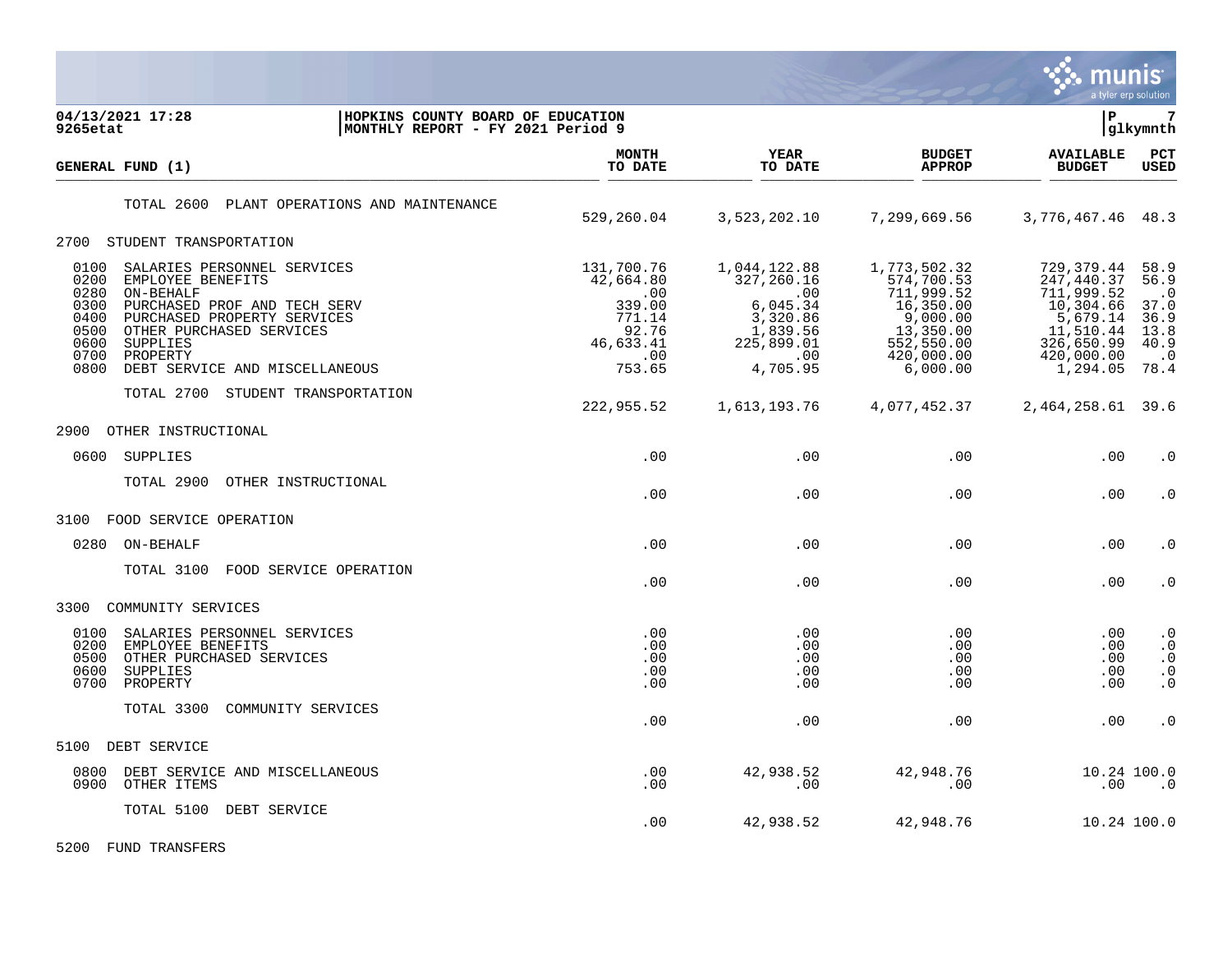

| 04/13/2021 17:28<br>9265etat                                                                                                                                                                                                                                                               | HOPKINS COUNTY BOARD OF EDUCATION<br>MONTHLY REPORT - FY 2021 Period 9                    |                                                                                                        |                                                                                                                        | lР                                                                                                                    | $7\phantom{.0}$<br> glkymnth                                                   |
|--------------------------------------------------------------------------------------------------------------------------------------------------------------------------------------------------------------------------------------------------------------------------------------------|-------------------------------------------------------------------------------------------|--------------------------------------------------------------------------------------------------------|------------------------------------------------------------------------------------------------------------------------|-----------------------------------------------------------------------------------------------------------------------|--------------------------------------------------------------------------------|
| GENERAL FUND (1)                                                                                                                                                                                                                                                                           | <b>MONTH</b><br>TO DATE                                                                   | <b>YEAR</b><br>TO DATE                                                                                 | <b>BUDGET</b><br><b>APPROP</b>                                                                                         | <b>AVAILABLE</b><br><b>BUDGET</b>                                                                                     | PCT<br><b>USED</b>                                                             |
| PLANT OPERATIONS AND MAINTENANCE<br>TOTAL 2600                                                                                                                                                                                                                                             | 529,260.04                                                                                | 3,523,202.10                                                                                           | 7,299,669.56                                                                                                           | 3,776,467.46                                                                                                          | 48.3                                                                           |
| 2700 STUDENT TRANSPORTATION                                                                                                                                                                                                                                                                |                                                                                           |                                                                                                        |                                                                                                                        |                                                                                                                       |                                                                                |
| 0100<br>SALARIES PERSONNEL SERVICES<br>0200<br>EMPLOYEE BENEFITS<br>0280<br>ON-BEHALF<br>0300<br>PURCHASED PROF AND TECH SERV<br>0400<br>PURCHASED PROPERTY SERVICES<br>0500<br>OTHER PURCHASED SERVICES<br>0600<br>SUPPLIES<br>0700<br>PROPERTY<br>0800<br>DEBT SERVICE AND MISCELLANEOUS | 131,700.76<br>42,664.80<br>.00<br>339.00<br>771.14<br>92.76<br>46,633.41<br>.00<br>753.65 | 1,044,122.88<br>327,260.16<br>.00<br>6,045.34<br>3,320.86<br>1,839.56<br>225,899.01<br>.00<br>4,705.95 | 1,773,502.32<br>574,700.53<br>711,999.52<br>16,350.00<br>9,000.00<br>13,350.00<br>552,550.00<br>420,000.00<br>6,000.00 | 729, 379.44<br>247,440.37<br>711,999.52<br>10,304.66<br>5,679.14<br>11,510.44<br>326,650.99<br>420,000.00<br>1,294.05 | 58.9<br>56.9<br>$\cdot$ 0<br>37.0<br>36.9<br>13.8<br>40.9<br>$\cdot$ 0<br>78.4 |
| TOTAL 2700<br>STUDENT TRANSPORTATION                                                                                                                                                                                                                                                       | 222,955.52                                                                                | 1,613,193.76                                                                                           | 4,077,452.37                                                                                                           | 2,464,258.61                                                                                                          | 39.6                                                                           |
| 2900<br>OTHER INSTRUCTIONAL                                                                                                                                                                                                                                                                |                                                                                           |                                                                                                        |                                                                                                                        |                                                                                                                       |                                                                                |
| SUPPLIES<br>0600                                                                                                                                                                                                                                                                           | .00                                                                                       | .00                                                                                                    | .00                                                                                                                    | .00                                                                                                                   | $\cdot$ 0                                                                      |
| OTHER INSTRUCTIONAL<br>TOTAL 2900                                                                                                                                                                                                                                                          | .00                                                                                       | .00                                                                                                    | .00                                                                                                                    | .00                                                                                                                   | $\cdot$ 0                                                                      |
| 3100<br>FOOD SERVICE OPERATION                                                                                                                                                                                                                                                             |                                                                                           |                                                                                                        |                                                                                                                        |                                                                                                                       |                                                                                |
| 0280<br>ON-BEHALF                                                                                                                                                                                                                                                                          | .00                                                                                       | .00                                                                                                    | .00                                                                                                                    | .00                                                                                                                   | $\cdot$ 0                                                                      |
| TOTAL 3100<br>FOOD SERVICE OPERATION                                                                                                                                                                                                                                                       | .00                                                                                       | .00                                                                                                    | .00                                                                                                                    | .00                                                                                                                   | $\cdot$ 0                                                                      |
| 3300<br>COMMUNITY SERVICES                                                                                                                                                                                                                                                                 |                                                                                           |                                                                                                        |                                                                                                                        |                                                                                                                       |                                                                                |
| 0100<br>SALARIES PERSONNEL SERVICES<br>0200<br>EMPLOYEE BENEFITS<br>0500<br>OTHER PURCHASED SERVICES<br>0600<br>SUPPLIES<br>0700<br>PROPERTY                                                                                                                                               | .00<br>.00<br>.00<br>.00<br>.00                                                           | .00<br>.00<br>.00<br>.00<br>.00                                                                        | .00<br>.00<br>.00<br>.00<br>.00                                                                                        | .00<br>.00<br>.00<br>.00<br>.00                                                                                       | $\cdot$ 0<br>$\cdot$ 0<br>$\cdot$ 0<br>$\cdot$ 0<br>$\cdot$ 0                  |
| TOTAL 3300<br>COMMUNITY SERVICES                                                                                                                                                                                                                                                           | .00                                                                                       | .00                                                                                                    | $.00 \ \rm$                                                                                                            | .00                                                                                                                   | $\cdot$ 0                                                                      |
| DEBT SERVICE<br>5100                                                                                                                                                                                                                                                                       |                                                                                           |                                                                                                        |                                                                                                                        |                                                                                                                       |                                                                                |
| 0800<br>DEBT SERVICE AND MISCELLANEOUS<br>0900<br>OTHER ITEMS                                                                                                                                                                                                                              | .00<br>.00                                                                                | 42,938.52<br>.00                                                                                       | 42,948.76<br>.00                                                                                                       | 10.24 100.0<br>.00                                                                                                    | $\cdot$ 0                                                                      |
| TOTAL 5100<br>DEBT SERVICE                                                                                                                                                                                                                                                                 | .00                                                                                       | 42,938.52                                                                                              | 42,948.76                                                                                                              | 10.24 100.0                                                                                                           |                                                                                |

5200 FUND TRANSFERS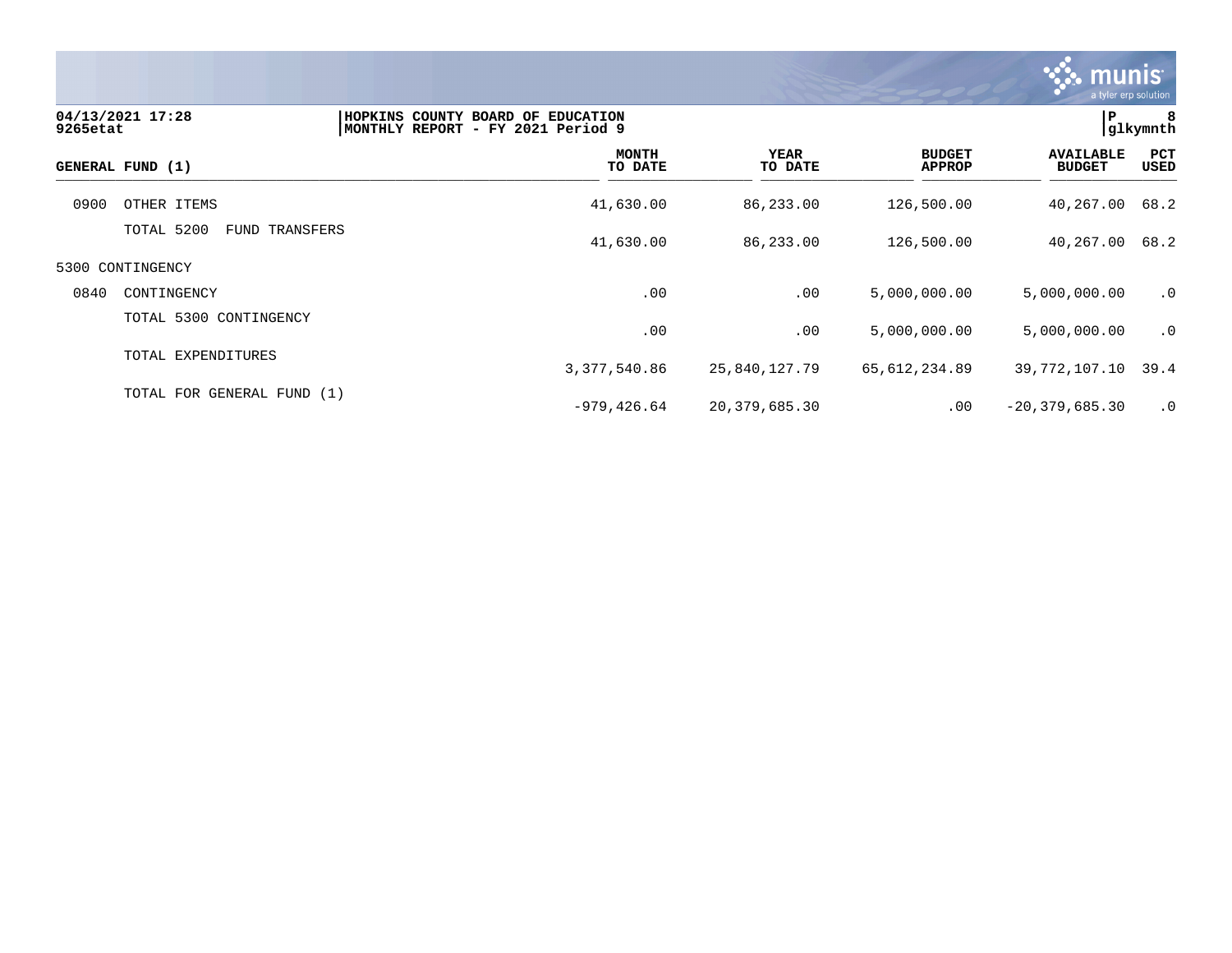

| 9265etat | 04/13/2021 17:28                    | HOPKINS COUNTY BOARD OF EDUCATION<br>MONTHLY REPORT - FY 2021 Period 9 |                 |                                | P                                 | 8<br> glkymnth |
|----------|-------------------------------------|------------------------------------------------------------------------|-----------------|--------------------------------|-----------------------------------|----------------|
|          | GENERAL FUND (1)                    | <b>MONTH</b><br>TO DATE                                                | YEAR<br>TO DATE | <b>BUDGET</b><br><b>APPROP</b> | <b>AVAILABLE</b><br><b>BUDGET</b> | PCT<br>USED    |
| 0900     | OTHER ITEMS                         | 41,630.00                                                              | 86,233.00       | 126,500.00                     | 40,267.00                         | 68.2           |
|          | TOTAL 5200<br><b>FUND TRANSFERS</b> | 41,630.00                                                              | 86,233.00       | 126,500.00                     | 40,267.00                         | 68.2           |
|          | 5300 CONTINGENCY                    |                                                                        |                 |                                |                                   |                |
| 0840     | CONTINGENCY                         | .00                                                                    | .00             | 5,000,000.00                   | 5,000,000.00                      | $\cdot$ 0      |
|          | TOTAL 5300 CONTINGENCY              | .00                                                                    | .00             | 5,000,000.00                   | 5,000,000.00                      | .0             |
|          | TOTAL EXPENDITURES                  | 3,377,540.86                                                           | 25,840,127.79   | 65,612,234.89                  | 39, 772, 107. 10 39. 4            |                |
|          | TOTAL FOR GENERAL FUND (1)          | $-979, 426.64$                                                         | 20,379,685.30   | $.00 \,$                       | $-20, 379, 685.30$                | $\cdot$ 0      |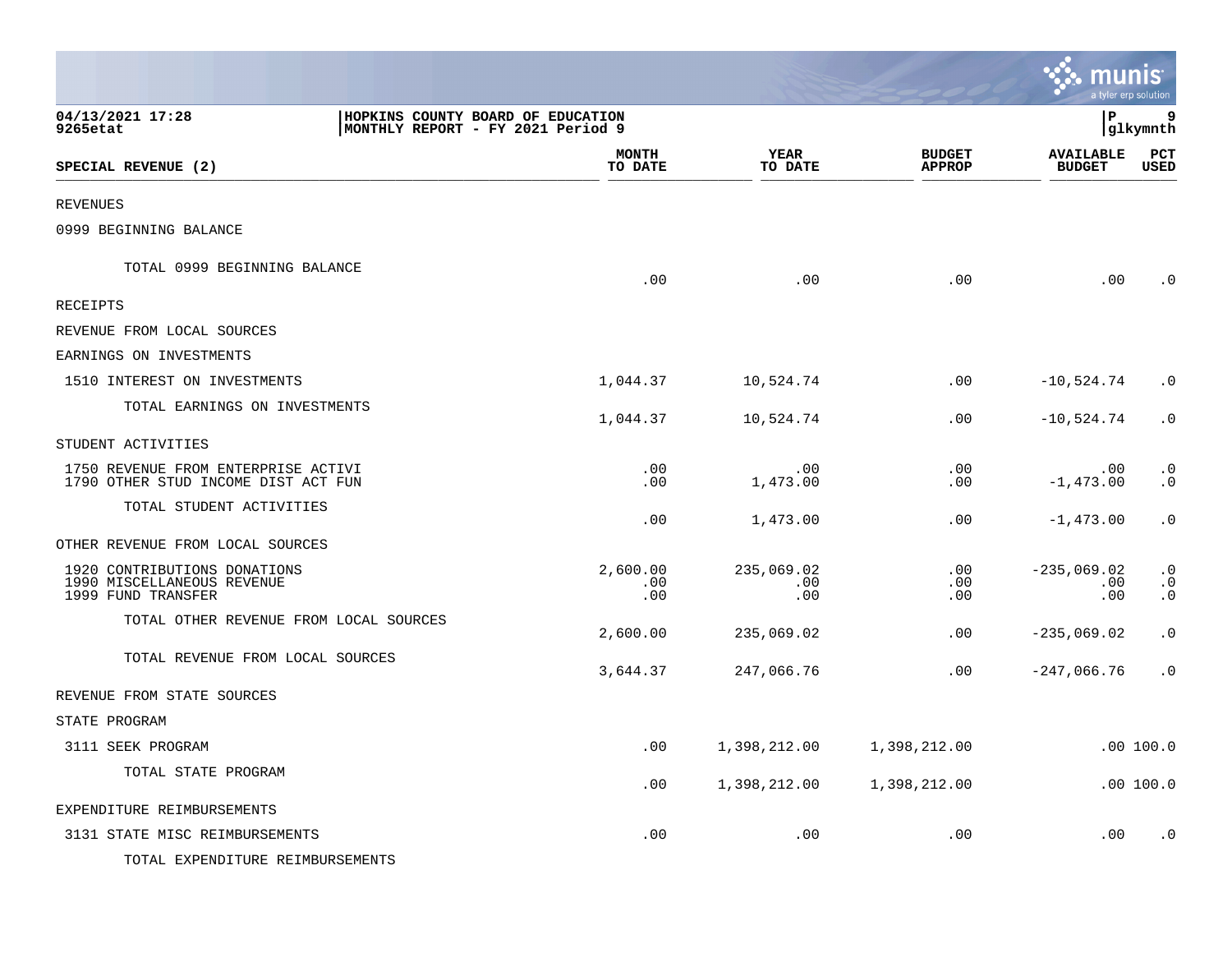|                                                                                                        |                         |                          |                                | munis<br>a tyler erp solution     |                                     |
|--------------------------------------------------------------------------------------------------------|-------------------------|--------------------------|--------------------------------|-----------------------------------|-------------------------------------|
| 04/13/2021 17:28<br>HOPKINS COUNTY BOARD OF EDUCATION<br>9265etat<br>MONTHLY REPORT - FY 2021 Period 9 |                         |                          |                                | l P                               | 9<br> glkymnth                      |
| SPECIAL REVENUE (2)                                                                                    | <b>MONTH</b><br>TO DATE | YEAR<br>TO DATE          | <b>BUDGET</b><br><b>APPROP</b> | <b>AVAILABLE</b><br><b>BUDGET</b> | PCT<br><b>USED</b>                  |
| <b>REVENUES</b>                                                                                        |                         |                          |                                |                                   |                                     |
| 0999 BEGINNING BALANCE                                                                                 |                         |                          |                                |                                   |                                     |
| TOTAL 0999 BEGINNING BALANCE                                                                           | .00                     | .00                      | .00                            | .00                               | $\cdot$ 0                           |
| <b>RECEIPTS</b>                                                                                        |                         |                          |                                |                                   |                                     |
| REVENUE FROM LOCAL SOURCES                                                                             |                         |                          |                                |                                   |                                     |
| EARNINGS ON INVESTMENTS                                                                                |                         |                          |                                |                                   |                                     |
| 1510 INTEREST ON INVESTMENTS                                                                           | 1,044.37                | 10,524.74                | .00                            | $-10,524.74$                      | $\cdot$ 0                           |
| TOTAL EARNINGS ON INVESTMENTS                                                                          | 1,044.37                | 10,524.74                | .00                            | $-10,524.74$                      | $\cdot$ 0                           |
| STUDENT ACTIVITIES                                                                                     |                         |                          |                                |                                   |                                     |
| 1750 REVENUE FROM ENTERPRISE ACTIVI<br>1790 OTHER STUD INCOME DIST ACT FUN                             | .00<br>.00              | .00<br>1,473.00          | .00<br>.00                     | .00<br>$-1,473.00$                | $\cdot$ 0<br>$\cdot$ 0              |
| TOTAL STUDENT ACTIVITIES                                                                               | .00                     | 1,473.00                 | .00                            | $-1,473.00$                       | $\cdot$ 0                           |
| OTHER REVENUE FROM LOCAL SOURCES                                                                       |                         |                          |                                |                                   |                                     |
| 1920 CONTRIBUTIONS DONATIONS<br>1990 MISCELLANEOUS REVENUE<br>1999 FUND TRANSFER                       | 2,600.00<br>.00<br>.00  | 235,069.02<br>.00<br>.00 | .00<br>.00<br>.00              | $-235,069.02$<br>.00<br>.00       | $\cdot$ 0<br>$\cdot$ 0<br>$\cdot$ 0 |
| TOTAL OTHER REVENUE FROM LOCAL SOURCES                                                                 | 2,600.00                | 235,069.02               | .00                            | $-235,069.02$                     | $\cdot$ 0                           |
| TOTAL REVENUE FROM LOCAL SOURCES                                                                       | 3,644.37                | 247,066.76               | .00                            | $-247,066.76$                     | $\cdot$ 0                           |
| REVENUE FROM STATE SOURCES                                                                             |                         |                          |                                |                                   |                                     |
| STATE PROGRAM                                                                                          |                         |                          |                                |                                   |                                     |
| 3111 SEEK PROGRAM                                                                                      | .00                     | 1,398,212.00             | 1,398,212.00                   |                                   | .00 100.0                           |
| TOTAL STATE PROGRAM                                                                                    | .00                     | 1,398,212.00             | 1,398,212.00                   |                                   | .00 100.0                           |
| EXPENDITURE REIMBURSEMENTS                                                                             |                         |                          |                                |                                   |                                     |
| 3131 STATE MISC REIMBURSEMENTS                                                                         | .00                     | .00                      | .00                            | .00                               | $\cdot$ 0                           |
| TOTAL EXPENDITURE REIMBURSEMENTS                                                                       |                         |                          |                                |                                   |                                     |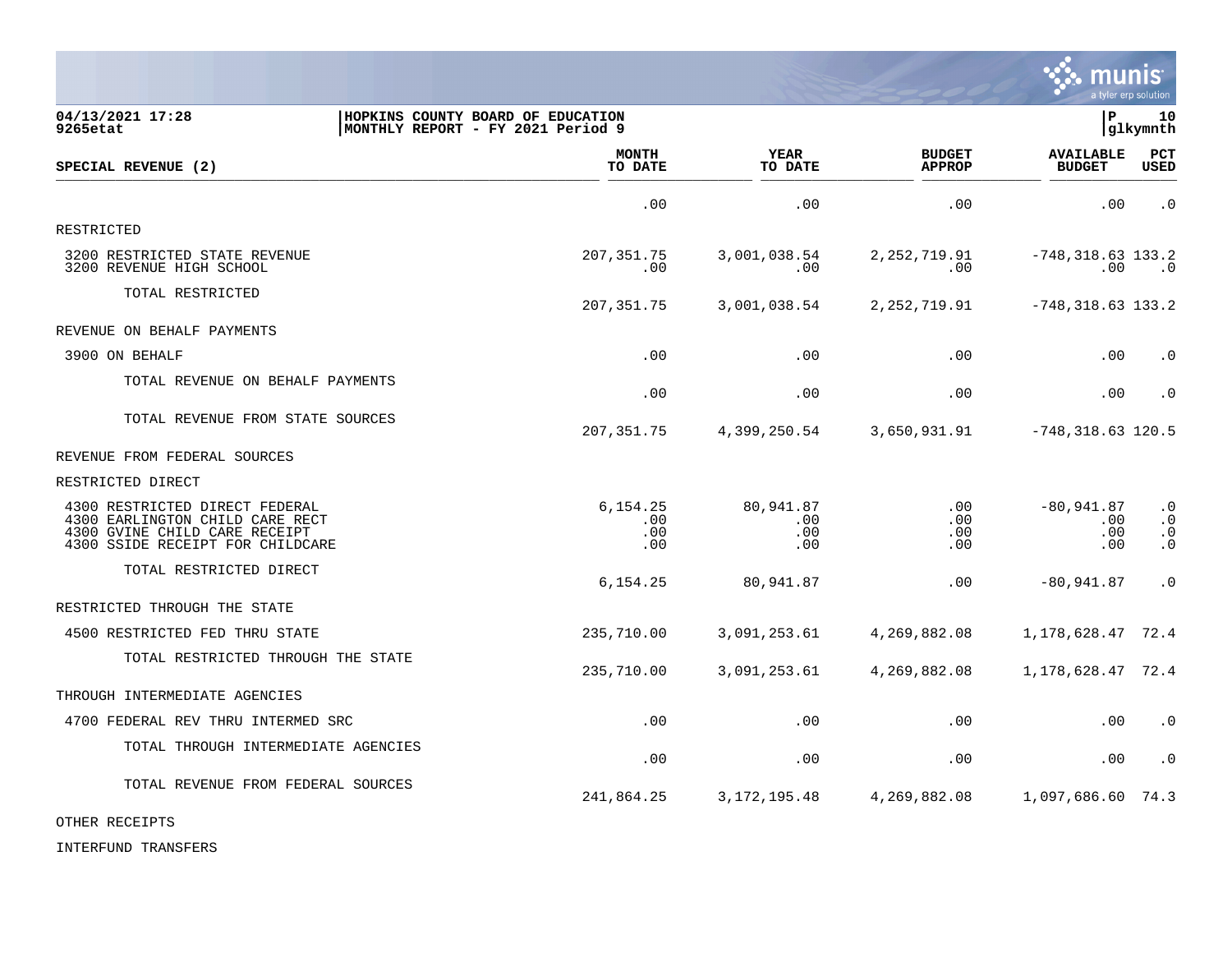|                                                                                                                                        |                                                                        |                                |                                |                                        | a tyler erp solution                             |
|----------------------------------------------------------------------------------------------------------------------------------------|------------------------------------------------------------------------|--------------------------------|--------------------------------|----------------------------------------|--------------------------------------------------|
| 04/13/2021 17:28<br>9265etat                                                                                                           | HOPKINS COUNTY BOARD OF EDUCATION<br>MONTHLY REPORT - FY 2021 Period 9 |                                |                                | l P                                    | 10<br> glkymnth                                  |
| SPECIAL REVENUE (2)                                                                                                                    | <b>MONTH</b><br>TO DATE                                                | <b>YEAR</b><br>TO DATE         | <b>BUDGET</b><br><b>APPROP</b> | <b>AVAILABLE</b><br><b>BUDGET</b>      | PCT<br><b>USED</b>                               |
|                                                                                                                                        | .00                                                                    | .00                            | .00                            | .00                                    | $\cdot$ 0                                        |
| RESTRICTED                                                                                                                             |                                                                        |                                |                                |                                        |                                                  |
| 3200 RESTRICTED STATE REVENUE<br>3200 REVENUE HIGH SCHOOL                                                                              | 207, 351. 75<br>.00                                                    | 3,001,038.54<br>.00            | 2, 252, 719.91<br>.00          | $-748, 318.63$ 133.2<br>$.00 \,$       | $\cdot$ 0                                        |
| TOTAL RESTRICTED                                                                                                                       | 207,351.75                                                             | 3,001,038.54                   | 2, 252, 719.91                 | $-748, 318.63$ 133.2                   |                                                  |
| REVENUE ON BEHALF PAYMENTS                                                                                                             |                                                                        |                                |                                |                                        |                                                  |
| 3900 ON BEHALF                                                                                                                         | .00                                                                    | .00                            | .00                            | .00                                    | $\cdot$ 0                                        |
| TOTAL REVENUE ON BEHALF PAYMENTS                                                                                                       | .00                                                                    | .00                            | .00                            | .00                                    | $\cdot$ 0                                        |
| TOTAL REVENUE FROM STATE SOURCES                                                                                                       | 207,351.75                                                             | 4,399,250.54                   | 3,650,931.91                   | $-748,318.63$ 120.5                    |                                                  |
| REVENUE FROM FEDERAL SOURCES                                                                                                           |                                                                        |                                |                                |                                        |                                                  |
| RESTRICTED DIRECT                                                                                                                      |                                                                        |                                |                                |                                        |                                                  |
| 4300 RESTRICTED DIRECT FEDERAL<br>4300 EARLINGTON CHILD CARE RECT<br>4300 GVINE CHILD CARE RECEIPT<br>4300 SSIDE RECEIPT FOR CHILDCARE | 6,154.25<br>.00<br>.00<br>.00                                          | 80,941.87<br>.00<br>.00<br>.00 | .00<br>.00<br>.00<br>.00       | $-80,941.87$<br>$.00 \,$<br>.00<br>.00 | $\cdot$ 0<br>$\cdot$ 0<br>$\cdot$ 0<br>$\cdot$ 0 |
| TOTAL RESTRICTED DIRECT                                                                                                                | 6, 154.25                                                              | 80,941.87                      | .00                            | $-80,941.87$                           | $\cdot$ 0                                        |
| RESTRICTED THROUGH THE STATE                                                                                                           |                                                                        |                                |                                |                                        |                                                  |
| 4500 RESTRICTED FED THRU STATE                                                                                                         | 235,710.00                                                             | 3,091,253.61                   | 4,269,882.08                   | 1, 178, 628. 47 72. 4                  |                                                  |
| TOTAL RESTRICTED THROUGH THE STATE                                                                                                     | 235,710.00                                                             | 3,091,253.61                   | 4,269,882.08                   | 1, 178, 628. 47 72. 4                  |                                                  |
| THROUGH INTERMEDIATE AGENCIES                                                                                                          |                                                                        |                                |                                |                                        |                                                  |
| 4700 FEDERAL REV THRU INTERMED SRC                                                                                                     | .00                                                                    | .00                            | .00                            | .00                                    | $\cdot$ 0                                        |
| TOTAL THROUGH INTERMEDIATE AGENCIES                                                                                                    | .00                                                                    | .00                            | .00                            | .00                                    | $\cdot$ 0                                        |
| TOTAL REVENUE FROM FEDERAL SOURCES                                                                                                     | 241,864.25                                                             | 3, 172, 195.48                 | 4,269,882.08                   | 1,097,686.60 74.3                      |                                                  |

 $\ddot{\mathbf{w}}$  munis

OTHER RECEIPTS

INTERFUND TRANSFERS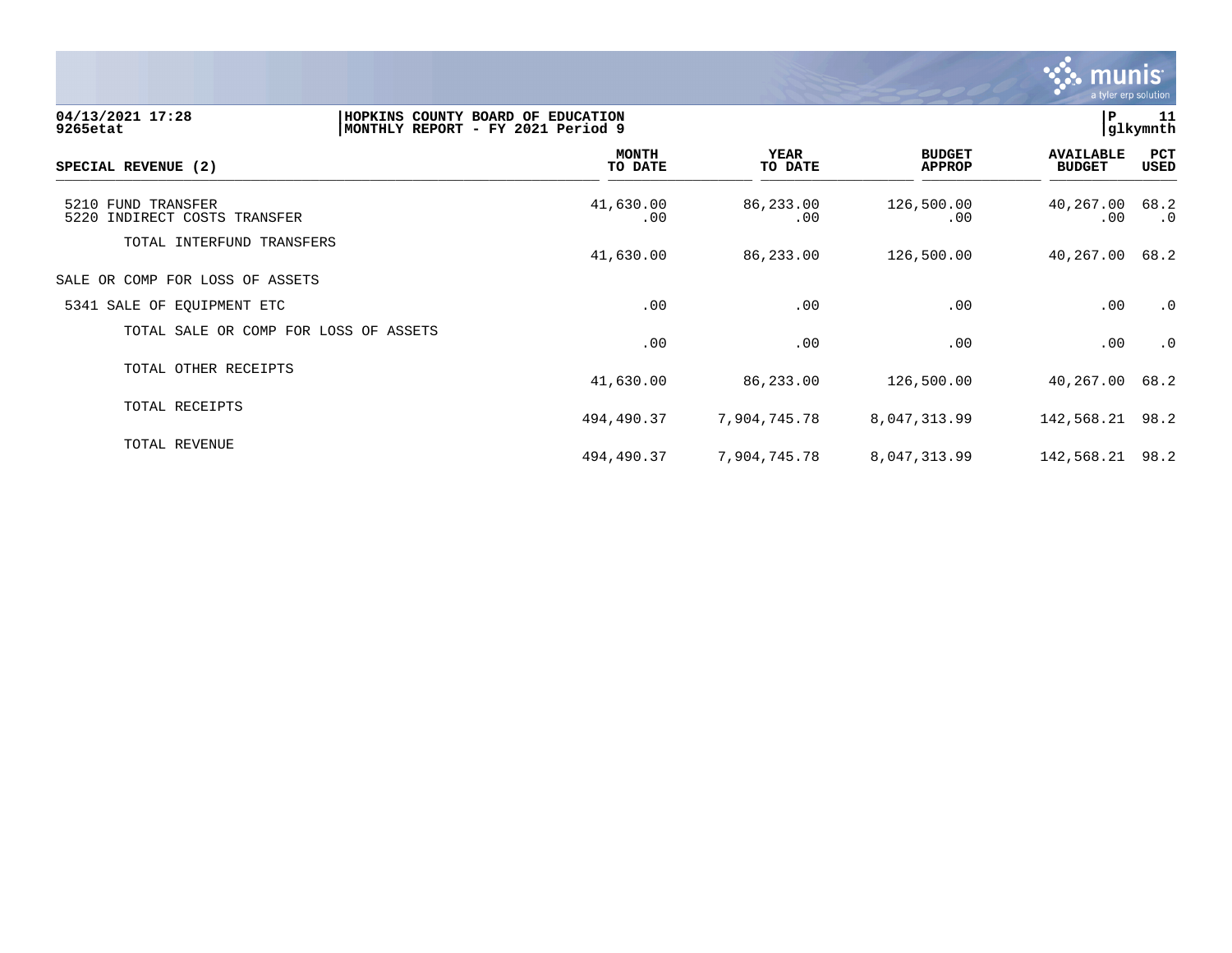

| 04/13/2021 17:28<br>9265etat                          | HOPKINS COUNTY BOARD OF EDUCATION<br>MONTHLY REPORT - FY 2021 Period 9 |                  |                                | P                                 | 11<br>glkymnth    |
|-------------------------------------------------------|------------------------------------------------------------------------|------------------|--------------------------------|-----------------------------------|-------------------|
| SPECIAL REVENUE (2)                                   | <b>MONTH</b><br>TO DATE                                                | YEAR<br>TO DATE  | <b>BUDGET</b><br><b>APPROP</b> | <b>AVAILABLE</b><br><b>BUDGET</b> | PCT<br>USED       |
| 5210 FUND TRANSFER<br>5220<br>INDIRECT COSTS TRANSFER | 41,630.00<br>.00.                                                      | 86,233.00<br>.00 | 126,500.00<br>.00              | 40,267.00<br>$.00 \,$             | 68.2<br>$\cdot$ 0 |
| TOTAL INTERFUND TRANSFERS                             | 41,630.00                                                              | 86,233.00        | 126,500.00                     | 40,267.00                         | 68.2              |
| SALE OR COMP FOR LOSS OF ASSETS                       |                                                                        |                  |                                |                                   |                   |
| 5341 SALE OF EQUIPMENT ETC                            | .00                                                                    | .00              | .00                            | .00                               | $\cdot$ 0         |
| TOTAL SALE OR COMP FOR LOSS OF ASSETS                 | .00                                                                    | .00              | .00                            | .00                               | $\cdot$ 0         |
| TOTAL OTHER RECEIPTS                                  | 41,630.00                                                              | 86,233.00        | 126,500.00                     | 40,267.00                         | 68.2              |
| TOTAL RECEIPTS                                        | 494,490.37                                                             | 7,904,745.78     | 8,047,313.99                   | 142,568.21 98.2                   |                   |
| TOTAL REVENUE                                         | 494,490.37                                                             | 7,904,745.78     | 8,047,313.99                   | 142,568.21 98.2                   |                   |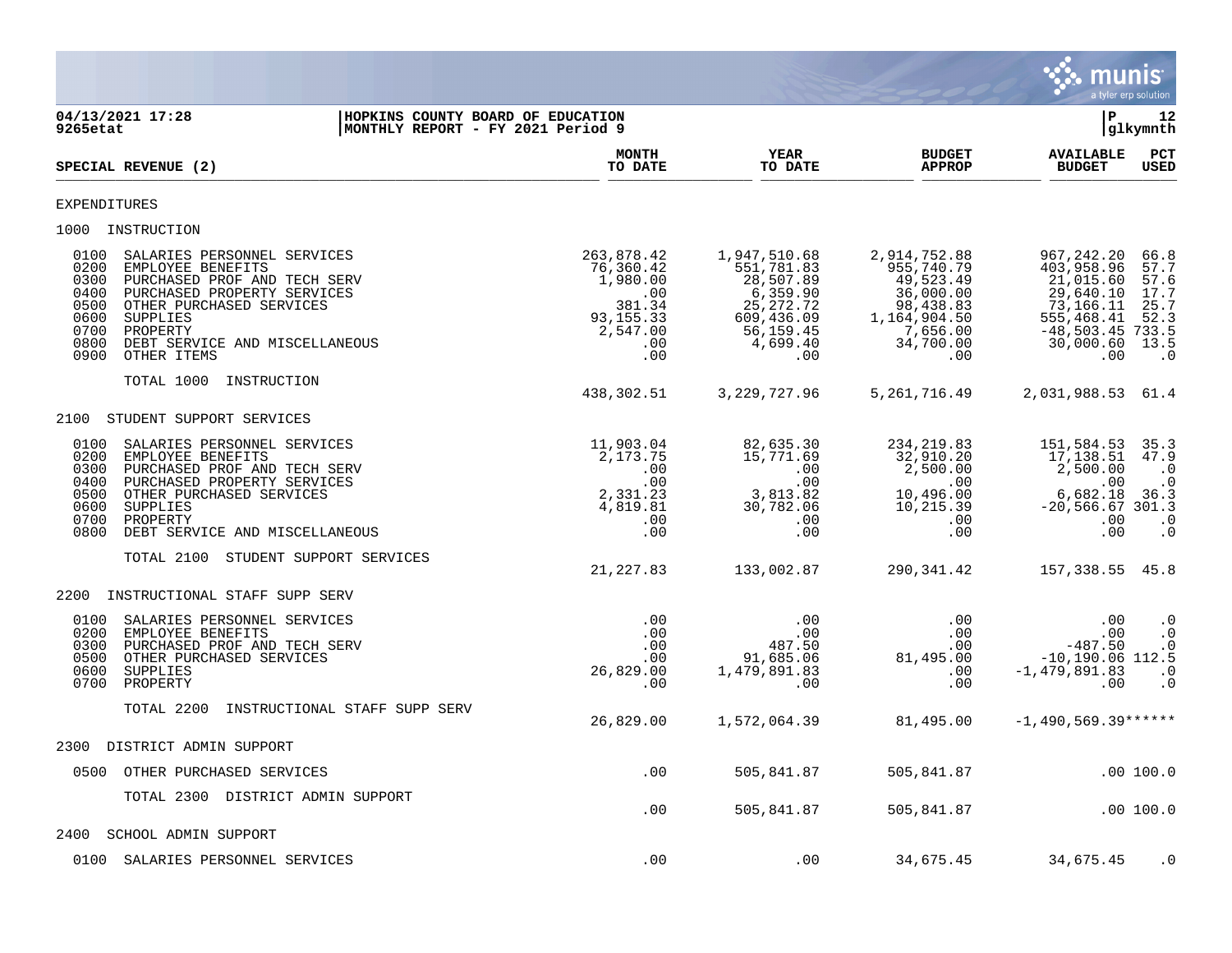

**04/13/2021 17:28 |HOPKINS COUNTY BOARD OF EDUCATION |P 12 MONTHLY REPORT - FY 2021 Period 9 MONTH YEAR BUDGET AVAILABLE PCT** SPECIAL REVENUE (2)  $\frac{10 \text{ B}}{10 \text{ B}}$   $\frac{10 \text{ B}}{10 \text{ B}}$   $\frac{10 \text{ B}}{10 \text{ B}}$   $\frac{10 \text{ B}}{10 \text{ B}}$   $\frac{10 \text{ B}}{10 \text{ B}}$   $\frac{10 \text{ B}}{10 \text{ B}}$   $\frac{10 \text{ B}}{10 \text{ B}}$ EXPENDITURES 1000 INSTRUCTION 0100 SALARIES PERSONNEL SERVICES 263,878.42 1,947,510.68 2,914,752.88 967,242.20 66.8 0200 EMPLOYEE BENEFITS 76,360.42 551,781.83 955,740.79 403,958.96 57.7 0300 PURCHASED PROF AND TECH SERV 1,980.00 28,507.89 49,523.49 21,015.60 57.6 0400 PURCHASED PROPERTY SERVICES .00 6,359.90 36,000.00 29,640.10 17.7 0500 OTHER PURCHASED SERVICES 381.34 25,272.72 98,438.83 73,166.11 25.7 0600 SUPPLIES 93,155.33 609,436.09 1,164,904.50 555,468.41 52.3 0700 PROPERTY 2,547.00 56,159.45 7,656.00 -48,503.45 733.5 0800 DEBT SERVICE AND MISCELLANEOUS .00 4,699.40 34,700.00 30,000.60 13.5 0900 OTHER ITEMS .00 .00 .00 .00 .0 TOTAL 1000 INSTRUCTION 438,302.51 3,229,727.96 5,261,716.49 2,031,988.53 61.4 2100 STUDENT SUPPORT SERVICES 0100 SALARIES PERSONNEL SERVICES 11,903.04 82,635.30 234,219.83 151,584.53 35.3 0200 EMPLOYEE BENEFITS 2,173.75 15,771.69 32,910.20 17,138.51 47.9 0300 PURCHASED PROF AND TECH SERV .00 .00 2,500.00 2,500.00 .0 0400 PURCHASED PROPERTY SERVICES .00 .00 .00 .00 .0 0500 OTHER PURCHASED SERVICES (2,331.23 3,813.82 10,496.00 6,682.18 36.3 0600 SUPPLIES 4,819.81 30,782.06 10,215.39 -20,566.67 301.3 0700 PROPERTY .00 .00 .00 .00 .0 0800 DEBT SERVICE AND MISCELLANEOUS .00 .00 .00 .00 .0 TOTAL 2100 STUDENT SUPPORT SERVICES 21,227.83 133,002.87 290,341.42 157,338.55 45.8 2200 INSTRUCTIONAL STAFF SUPP SERV 0100 SALARIES PERSONNEL SERVICES .00 .00 .00 .00 .0 0200 EMPLOYEE BENEFITS .00 .00 .00 .00 .0 0300 PURCHASED PROF AND TECH SERV .00 487.50 .00 -487.50 .0 0500 OTHER PURCHASED SERVICES .00 91,685.06 81,495.00 -10,190.06 112.5 0600 SUPPLIES 26,829.00 1,479,891.83 .00 -1,479,891.83 .0 0700 PROPERTY .00 .00 .00 .00 .0 TOTAL 2200 INSTRUCTIONAL STAFF SUPP SERV 26,829.00 1,572,064.39 81,495.00 -1,490,569.39\*\*\*\*\*\* 2300 DISTRICT ADMIN SUPPORT 0500 OTHER PURCHASED SERVICES .00 505,841.87 505,841.87 .00 100.0 TOTAL 2300 DISTRICT ADMIN SUPPORT .00 505,841.87 505,841.87 .00 100.0 2400 SCHOOL ADMIN SUPPORT 0100 SALARIES PERSONNEL SERVICES .00 .00 .00 .00 34,675.45 34,675.45 .00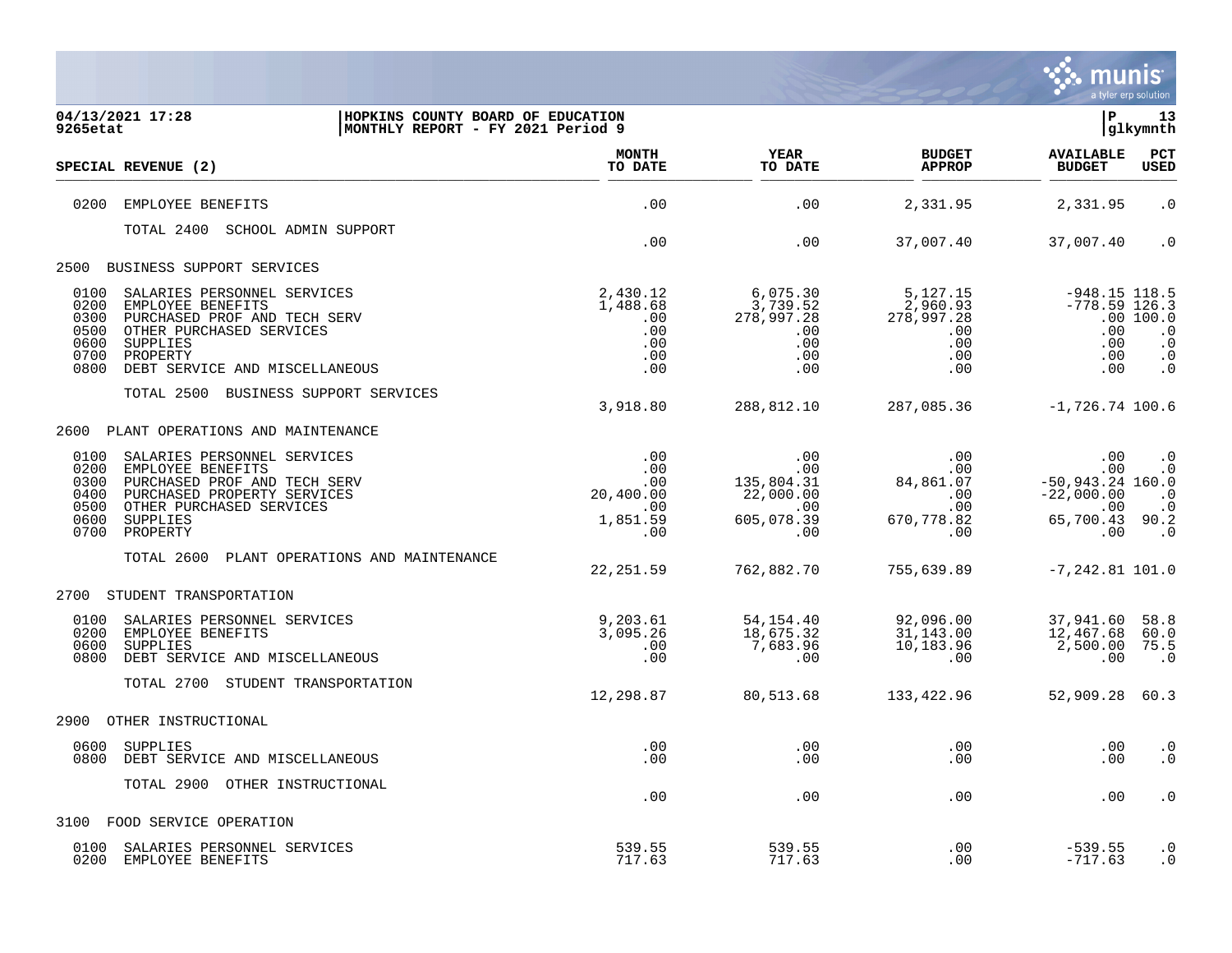

| 04/13/2021 17:28<br>9265etat                                                                                                                                                                                                   | HOPKINS COUNTY BOARD OF EDUCATION<br> MONTHLY REPORT - FY 2021 Period 9 |                                                                        |                                                                 | l P                                                                              | 13<br>glkymnth                                                |
|--------------------------------------------------------------------------------------------------------------------------------------------------------------------------------------------------------------------------------|-------------------------------------------------------------------------|------------------------------------------------------------------------|-----------------------------------------------------------------|----------------------------------------------------------------------------------|---------------------------------------------------------------|
| SPECIAL REVENUE (2)                                                                                                                                                                                                            | <b>MONTH</b><br>TO DATE                                                 | <b>YEAR</b><br>TO DATE                                                 | <b>BUDGET</b><br><b>APPROP</b>                                  | <b>AVAILABLE</b><br><b>BUDGET</b>                                                | PCT<br><b>USED</b>                                            |
| 0200<br>EMPLOYEE BENEFITS                                                                                                                                                                                                      | .00                                                                     | .00                                                                    | 2,331.95                                                        | 2,331.95                                                                         | $\cdot$ 0                                                     |
| TOTAL 2400 SCHOOL ADMIN SUPPORT                                                                                                                                                                                                | .00                                                                     | .00                                                                    | 37,007.40                                                       | 37,007.40                                                                        | $\cdot$ 0                                                     |
| BUSINESS SUPPORT SERVICES<br>2500                                                                                                                                                                                              |                                                                         |                                                                        |                                                                 |                                                                                  |                                                               |
| 0100<br>SALARIES PERSONNEL SERVICES<br>0200<br>EMPLOYEE BENEFITS<br>0300<br>PURCHASED PROF AND TECH SERV<br>0500<br>OTHER PURCHASED SERVICES<br>0600<br>SUPPLIES<br>0700<br>PROPERTY<br>0800<br>DEBT SERVICE AND MISCELLANEOUS | 2,430.12<br>1,488.68<br>.00<br>.00<br>.00<br>.00<br>.00                 | 6,075.30<br>3,739.52<br>278,997.28<br>.00<br>.00<br>.00<br>.00         | 5,127.15<br>2,960.93<br>278,997.28<br>.00<br>.00<br>.00<br>.00  | $-948.15$ 118.5<br>$-778.59$ 126.3<br>.00<br>.00<br>.00<br>.00                   | .00100.0<br>$\cdot$ 0<br>$\cdot$ 0<br>$\cdot$ 0<br>$\cdot$ 0  |
| TOTAL 2500 BUSINESS SUPPORT SERVICES                                                                                                                                                                                           | 3,918.80                                                                | 288,812.10                                                             | 287,085.36                                                      | $-1,726.74$ 100.6                                                                |                                                               |
| 2600<br>PLANT OPERATIONS AND MAINTENANCE                                                                                                                                                                                       |                                                                         |                                                                        |                                                                 |                                                                                  |                                                               |
| 0100<br>SALARIES PERSONNEL SERVICES<br>0200<br>EMPLOYEE BENEFITS<br>0300<br>PURCHASED PROF AND TECH SERV<br>0400<br>PURCHASED PROPERTY SERVICES<br>0500<br>OTHER PURCHASED SERVICES<br>0600<br>SUPPLIES<br>0700<br>PROPERTY    | .00<br>.00<br>.00<br>20,400.00<br>.00<br>1,851.59<br>.00                | .00<br>.00<br>135,804.31<br>22,000.00<br>$.00 \,$<br>605,078.39<br>.00 | .00<br>.00<br>84,861.07<br>$.00 \,$<br>.00<br>670,778.82<br>.00 | .00<br>.00<br>$-50,943.24$ 160.0<br>$-22,000.00$<br>.00<br>65,700.43 90.2<br>.00 | $\cdot$ 0<br>$\cdot$ 0<br>$\cdot$ 0<br>$\cdot$ 0<br>$\cdot$ 0 |
| PLANT OPERATIONS AND MAINTENANCE<br>TOTAL 2600                                                                                                                                                                                 | 22, 251.59                                                              | 762,882.70                                                             | 755,639.89                                                      | $-7, 242.81$ 101.0                                                               |                                                               |
| STUDENT TRANSPORTATION<br>2700                                                                                                                                                                                                 |                                                                         |                                                                        |                                                                 |                                                                                  |                                                               |
| 0100<br>SALARIES PERSONNEL SERVICES<br>0200<br>EMPLOYEE BENEFITS<br>0600<br>SUPPLIES<br>0800<br>DEBT SERVICE AND MISCELLANEOUS                                                                                                 | 9,203.61<br>3,095.26<br>.00<br>.00                                      | 54,154.40<br>18,675.32<br>7,683.96<br>.00                              | 92,096.00<br>31,143.00<br>10,183.96<br>.00                      | 37,941.60<br>12,467.68<br>2,500.00<br>.00                                        | 58.8<br>60.0<br>75.5<br>$\cdot$ 0                             |
| TOTAL 2700 STUDENT TRANSPORTATION                                                                                                                                                                                              | 12,298.87                                                               | 80,513.68                                                              | 133,422.96                                                      | 52,909.28                                                                        | 60.3                                                          |
| 2900<br>OTHER INSTRUCTIONAL                                                                                                                                                                                                    |                                                                         |                                                                        |                                                                 |                                                                                  |                                                               |
| 0600<br>SUPPLIES<br>0800<br>DEBT SERVICE AND MISCELLANEOUS                                                                                                                                                                     | .00<br>.00                                                              | .00<br>.00                                                             | .00<br>.00                                                      | .00<br>.00                                                                       | $\cdot$ 0<br>$\cdot$ 0                                        |
| TOTAL 2900<br>OTHER INSTRUCTIONAL                                                                                                                                                                                              | .00                                                                     | .00                                                                    | .00                                                             | .00                                                                              | $\cdot$ 0                                                     |
| 3100<br>FOOD SERVICE OPERATION                                                                                                                                                                                                 |                                                                         |                                                                        |                                                                 |                                                                                  |                                                               |
| 0100<br>SALARIES PERSONNEL SERVICES<br>EMPLOYEE BENEFITS<br>0200                                                                                                                                                               | 539.55<br>717.63                                                        | 539.55<br>717.63                                                       | .00<br>.00.                                                     | $-539.55$<br>$-717.63$                                                           | $\cdot$ 0<br>$\cdot$ 0                                        |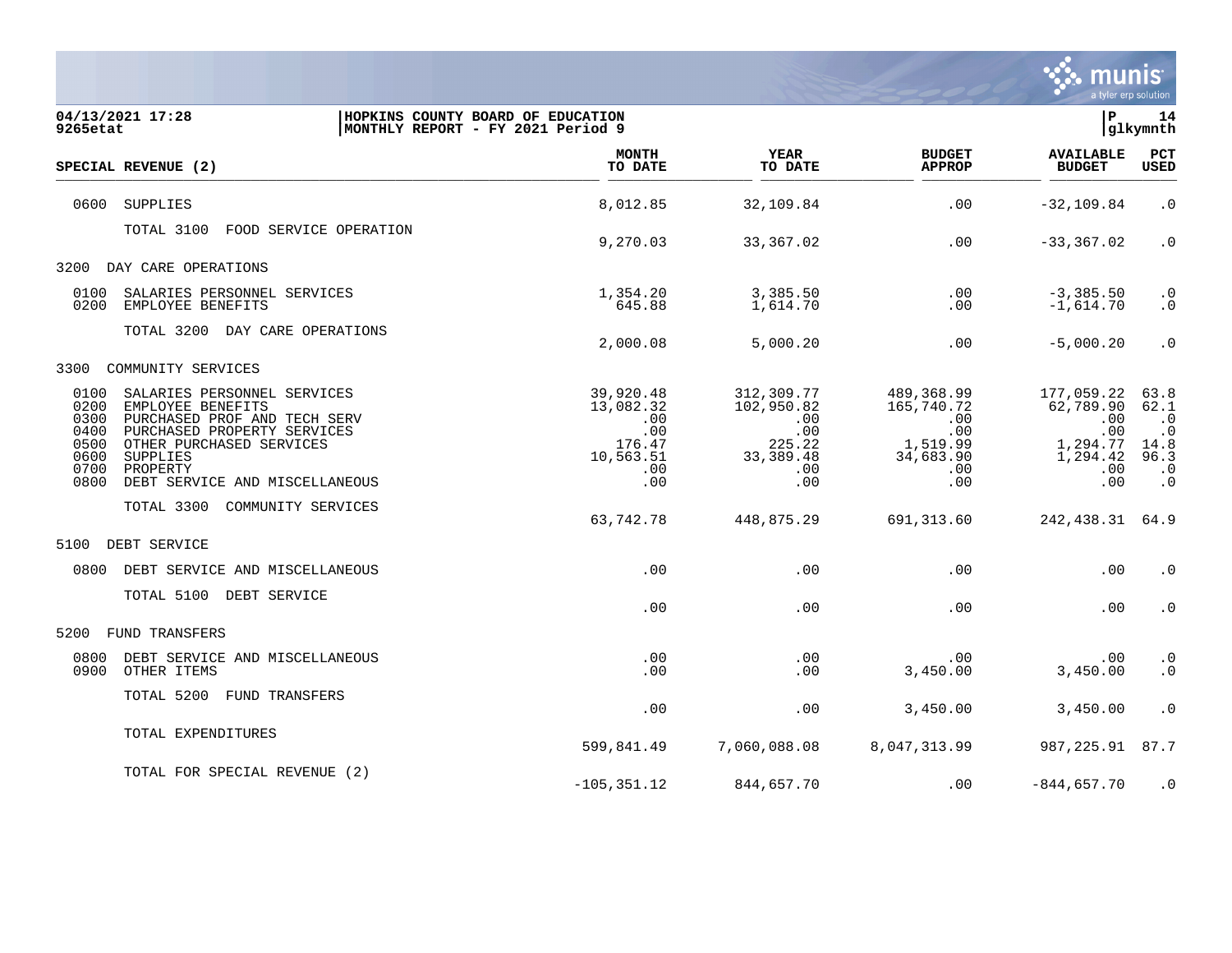

| 04/13/2021 17:28<br>9265etat                                                                                                                                                                                                                                          | HOPKINS COUNTY BOARD OF EDUCATION<br> MONTHLY REPORT - FY 2021 Period 9 |                                                                           |                                                                              |                                                                                       | l P                                                                         | 14<br>glkymnth                                                                   |
|-----------------------------------------------------------------------------------------------------------------------------------------------------------------------------------------------------------------------------------------------------------------------|-------------------------------------------------------------------------|---------------------------------------------------------------------------|------------------------------------------------------------------------------|---------------------------------------------------------------------------------------|-----------------------------------------------------------------------------|----------------------------------------------------------------------------------|
| SPECIAL REVENUE (2)                                                                                                                                                                                                                                                   |                                                                         | <b>MONTH</b><br>TO DATE                                                   | <b>YEAR</b><br>TO DATE                                                       | <b>BUDGET</b><br><b>APPROP</b>                                                        | <b>AVAILABLE</b><br><b>BUDGET</b>                                           | <b>PCT</b><br>USED                                                               |
| 0600<br><b>SUPPLIES</b>                                                                                                                                                                                                                                               |                                                                         | 8,012.85                                                                  | 32,109.84                                                                    | .00                                                                                   | $-32, 109.84$                                                               | $\cdot$ 0                                                                        |
| TOTAL 3100                                                                                                                                                                                                                                                            | FOOD SERVICE OPERATION                                                  | 9,270.03                                                                  | 33,367.02                                                                    | .00                                                                                   | $-33, 367.02$                                                               | $\cdot$ 0                                                                        |
| DAY CARE OPERATIONS<br>3200                                                                                                                                                                                                                                           |                                                                         |                                                                           |                                                                              |                                                                                       |                                                                             |                                                                                  |
| 0100<br>SALARIES PERSONNEL SERVICES<br>0200<br>EMPLOYEE BENEFITS                                                                                                                                                                                                      |                                                                         | 1,354.20<br>645.88                                                        | 3,385.50<br>1,614.70                                                         | .00<br>.00                                                                            | $-3,385.50$<br>$-1,614.70$                                                  | $\cdot$ 0<br>$\cdot$ 0                                                           |
| TOTAL 3200 DAY CARE OPERATIONS                                                                                                                                                                                                                                        |                                                                         | 2,000.08                                                                  | 5,000.20                                                                     | $.00 \,$                                                                              | $-5,000.20$                                                                 | $\cdot$ 0                                                                        |
| 3300<br>COMMUNITY SERVICES                                                                                                                                                                                                                                            |                                                                         |                                                                           |                                                                              |                                                                                       |                                                                             |                                                                                  |
| 0100<br>SALARIES PERSONNEL SERVICES<br>0200<br>EMPLOYEE BENEFITS<br>0300<br>PURCHASED PROF AND TECH SERV<br>0400<br>PURCHASED PROPERTY SERVICES<br>0500<br>OTHER PURCHASED SERVICES<br>0600<br>SUPPLIES<br>0700<br>PROPERTY<br>0800<br>DEBT SERVICE AND MISCELLANEOUS |                                                                         | 39,920.48<br>13,082.32<br>.00<br>.00<br>176.47<br>10,563.51<br>.00<br>.00 | 312,309.77<br>102,950.82<br>.00<br>.00<br>225.22<br>33, 389.48<br>.00<br>.00 | 489,368.99<br>165,740.72<br>$.00 \ \rm$<br>.00<br>1,519.99<br>34,683.90<br>.00<br>.00 | 177,059.22<br>62,789.90<br>.00<br>.00<br>1,294.77<br>1,294.42<br>.00<br>.00 | 63.8<br>62.1<br>$\cdot$ 0<br>$\cdot$ 0<br>14.8<br>96.3<br>$\cdot$ 0<br>$\cdot$ 0 |
| TOTAL 3300<br>COMMUNITY SERVICES                                                                                                                                                                                                                                      |                                                                         | 63,742.78                                                                 | 448,875.29                                                                   | 691,313.60                                                                            | 242,438.31                                                                  | 64.9                                                                             |
| 5100<br>DEBT SERVICE                                                                                                                                                                                                                                                  |                                                                         |                                                                           |                                                                              |                                                                                       |                                                                             |                                                                                  |
| 0800<br>DEBT SERVICE AND MISCELLANEOUS                                                                                                                                                                                                                                |                                                                         | .00                                                                       | .00                                                                          | .00                                                                                   | .00                                                                         | $\cdot$ 0                                                                        |
| TOTAL 5100 DEBT SERVICE                                                                                                                                                                                                                                               |                                                                         | .00                                                                       | .00                                                                          | .00                                                                                   | .00                                                                         | $\boldsymbol{\cdot}$ 0                                                           |
| 5200<br>FUND TRANSFERS                                                                                                                                                                                                                                                |                                                                         |                                                                           |                                                                              |                                                                                       |                                                                             |                                                                                  |
| 0800<br>DEBT SERVICE AND MISCELLANEOUS<br>0900<br>OTHER ITEMS                                                                                                                                                                                                         |                                                                         | .00<br>.00                                                                | .00<br>.00                                                                   | $.00 \,$<br>3,450.00                                                                  | .00<br>3,450.00                                                             | $\cdot$ 0<br>$\boldsymbol{\cdot}$ 0                                              |
| TOTAL 5200<br>FUND TRANSFERS                                                                                                                                                                                                                                          |                                                                         | .00                                                                       | .00                                                                          | 3,450.00                                                                              | 3,450.00                                                                    | $\cdot$ 0                                                                        |
| TOTAL EXPENDITURES                                                                                                                                                                                                                                                    |                                                                         | 599,841.49                                                                | 7,060,088.08                                                                 | 8,047,313.99                                                                          | 987,225.91                                                                  | 87.7                                                                             |
| TOTAL FOR SPECIAL REVENUE (2)                                                                                                                                                                                                                                         |                                                                         | $-105, 351.12$                                                            | 844,657.70                                                                   | $.00 \ \rm$                                                                           | $-844,657.70$                                                               | $\cdot$ 0                                                                        |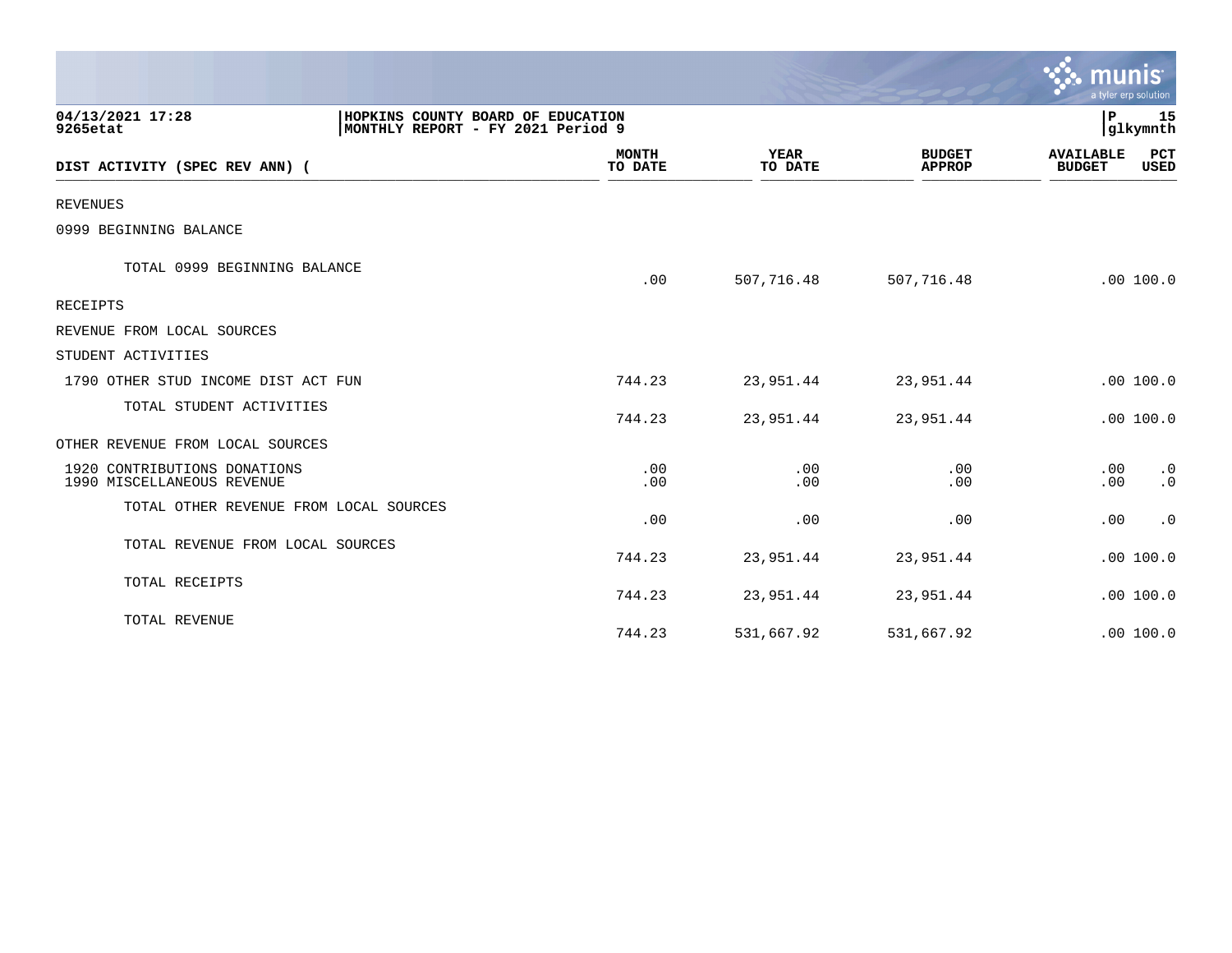|                                                            |                                                                        |                         |                        |                                | ९. munis                          | a tyler erp solution |
|------------------------------------------------------------|------------------------------------------------------------------------|-------------------------|------------------------|--------------------------------|-----------------------------------|----------------------|
| 04/13/2021 17:28<br>9265etat                               | HOPKINS COUNTY BOARD OF EDUCATION<br>MONTHLY REPORT - FY 2021 Period 9 |                         |                        |                                | P                                 | 15<br> glkymnth      |
| DIST ACTIVITY (SPEC REV ANN) (                             |                                                                        | <b>MONTH</b><br>TO DATE | <b>YEAR</b><br>TO DATE | <b>BUDGET</b><br><b>APPROP</b> | <b>AVAILABLE</b><br><b>BUDGET</b> | PCT<br>USED          |
| <b>REVENUES</b>                                            |                                                                        |                         |                        |                                |                                   |                      |
| 0999 BEGINNING BALANCE                                     |                                                                        |                         |                        |                                |                                   |                      |
| TOTAL 0999 BEGINNING BALANCE                               |                                                                        | .00                     | 507,716.48             | 507,716.48                     |                                   | .00 100.0            |
| RECEIPTS                                                   |                                                                        |                         |                        |                                |                                   |                      |
| REVENUE FROM LOCAL SOURCES                                 |                                                                        |                         |                        |                                |                                   |                      |
| STUDENT ACTIVITIES                                         |                                                                        |                         |                        |                                |                                   |                      |
| 1790 OTHER STUD INCOME DIST ACT FUN                        |                                                                        | 744.23                  | 23,951.44              | 23,951.44                      |                                   | .00 100.0            |
| TOTAL STUDENT ACTIVITIES                                   |                                                                        | 744.23                  | 23,951.44              | 23,951.44                      |                                   | .00 100.0            |
| OTHER REVENUE FROM LOCAL SOURCES                           |                                                                        |                         |                        |                                |                                   |                      |
| 1920 CONTRIBUTIONS DONATIONS<br>1990 MISCELLANEOUS REVENUE |                                                                        | .00<br>.00              | .00<br>.00             | .00<br>.00                     | .00<br>.00                        | $\cdot$ 0<br>.0      |
| TOTAL OTHER REVENUE FROM LOCAL SOURCES                     |                                                                        | .00                     | .00                    | .00                            | .00                               | $\cdot$ 0            |
| TOTAL REVENUE FROM LOCAL SOURCES                           |                                                                        | 744.23                  | 23,951.44              | 23,951.44                      |                                   | .00 100.0            |
| TOTAL RECEIPTS                                             |                                                                        | 744.23                  | 23,951.44              | 23,951.44                      |                                   | .00 100.0            |
| TOTAL REVENUE                                              |                                                                        | 744.23                  | 531,667.92             | 531,667.92                     |                                   | .00 100.0            |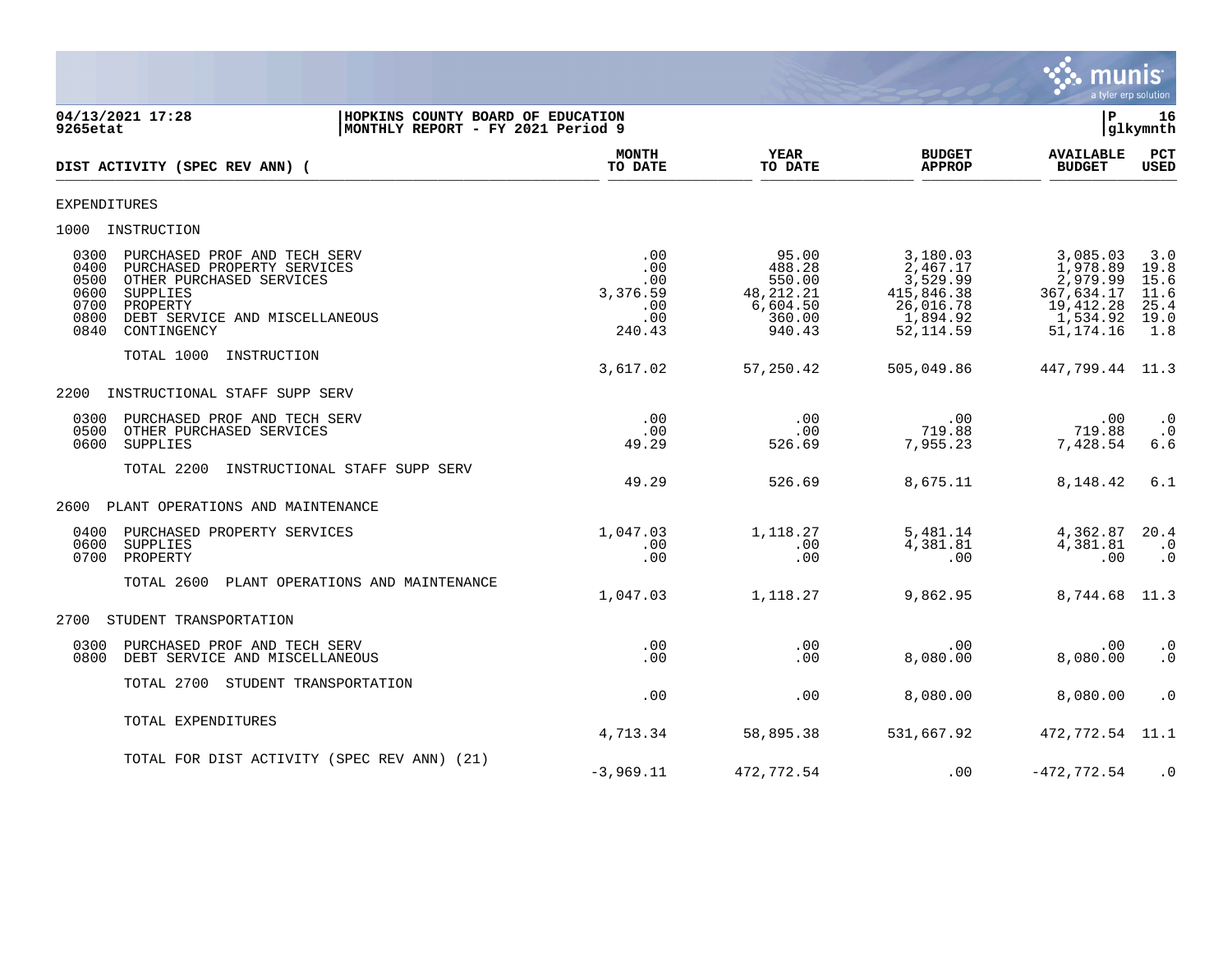

**04/13/2021 17:28 |HOPKINS COUNTY BOARD OF EDUCATION |P 16**  $|MONTHLY REPORT - FY 2021 Period 9$ **MONTH YEAR BUDGET AVAILABLE PCT**<br>TO DATE TO DATE APPROP BUDGET USED **DIST ACTIVITY (SPEC REV ANN) (**  $\frac{10 \text{ Bhe}}{10 \text{ Bhe}}$   $\frac{10 \text{ Bhe}}{10 \text{ Bhe}}$   $\frac{10 \text{ Bhe}}{10 \text{ Bhe}}$   $\frac{10 \text{ Bhe}}{10 \text{ Bhe}}$   $\frac{10 \text{ Bhe}}{10 \text{ Bhe}}$   $\frac{10 \text{ Bhe}}{10 \text{ Bhe}}$   $\frac{10 \text{ Bhe}}{10 \text{ Bhe}}$ EXPENDITURES 1000 INSTRUCTION 0300 PURCHASED PROF AND TECH SERV **.**00 .00 .00 95.00 3,180.03 3,085.03 3.0<br>0400 PURCHASED PROPERTY SERVICES .00 .00 488.28 2.467.17 1.978.89 19.8 0400 PURCHASED PROPERTY SERVICES .00 488.28 2,467.17 1,978.89 19.8 0500 OTHER PURCHASED SERVICES .00 550.00 550.00 3,529.99 3,529.99<br>0600 3.376.59 48,212.21 415,846.38 3,376.59 48,212.21 0600 SUPPLIES 3,376.59 48,212.21 415,846.38 367,634.17 11.6 07 6,604.50 26,016.78 19,412.28 25.4<br>070 0860.00 1,894.92 1,534.92 19.0 0800 DEBT SERVICE AND MISCELLANEOUS . و 1,534.92 . 00 . 1,894.92 . 1,534.92 19.0<br>0840 CONTINGENCY . 240.43 940.43 52.114.59 51.174.16 1.8 0840 CONTINGENCY 240.43 940.43 52,114.59 51,174.16 1.8 TOTAL 1000 INSTRUCTION 3,617.02 57,250.42 505,049.86 447,799.44 11.3 2200 INSTRUCTIONAL STAFF SUPP SERV 0300 PURCHASED PROF AND TECH SERV .00 .00 .00 .00 .0 0500 OTHER PURCHASED SERVICES .00 .00 719.88 719.88 .0 0600 SUPPLIES 49.29 526.69 7,955.23 7,428.54 6.6 TOTAL 2200 INSTRUCTIONAL STAFF SUPP SERV 49.29 526.69 8,675.11 8,148.42 6.1 2600 PLANT OPERATIONS AND MAINTENANCE 0400 PURCHASED PROPERTY SERVICES (1,047.03 1,047.03 1,118.27 5,481.14 4,362.87 20.4<br>1.00 1.381.81 4.381.81 1.00 1.381.81 1.00 0600 SUPPLIES .00 .00 4,381.81 4,381.81 .0 0700 PROPERTY .00 .00 .00 .00 .0 TOTAL 2600 PLANT OPERATIONS AND MAINTENANCE 1,047.03 1,118.27 9,862.95 8,744.68 11.3 2700 STUDENT TRANSPORTATION 0300 PURCHASED PROF AND TECH SERV .00 .00 .00 .00 .0 0800 DEBT SERVICE AND MISCELLANEOUS TOTAL 2700 STUDENT TRANSPORTATION .00 .00 8,080.00 8,080.00 .0 TOTAL EXPENDITURES 4,713.34 58,895.38 531,667.92 472,772.54 11.1 TOTAL FOR DIST ACTIVITY (SPEC REV ANN) (21)  $-3.969.11$   $472.772.54$  .00  $-472.772.54$  .0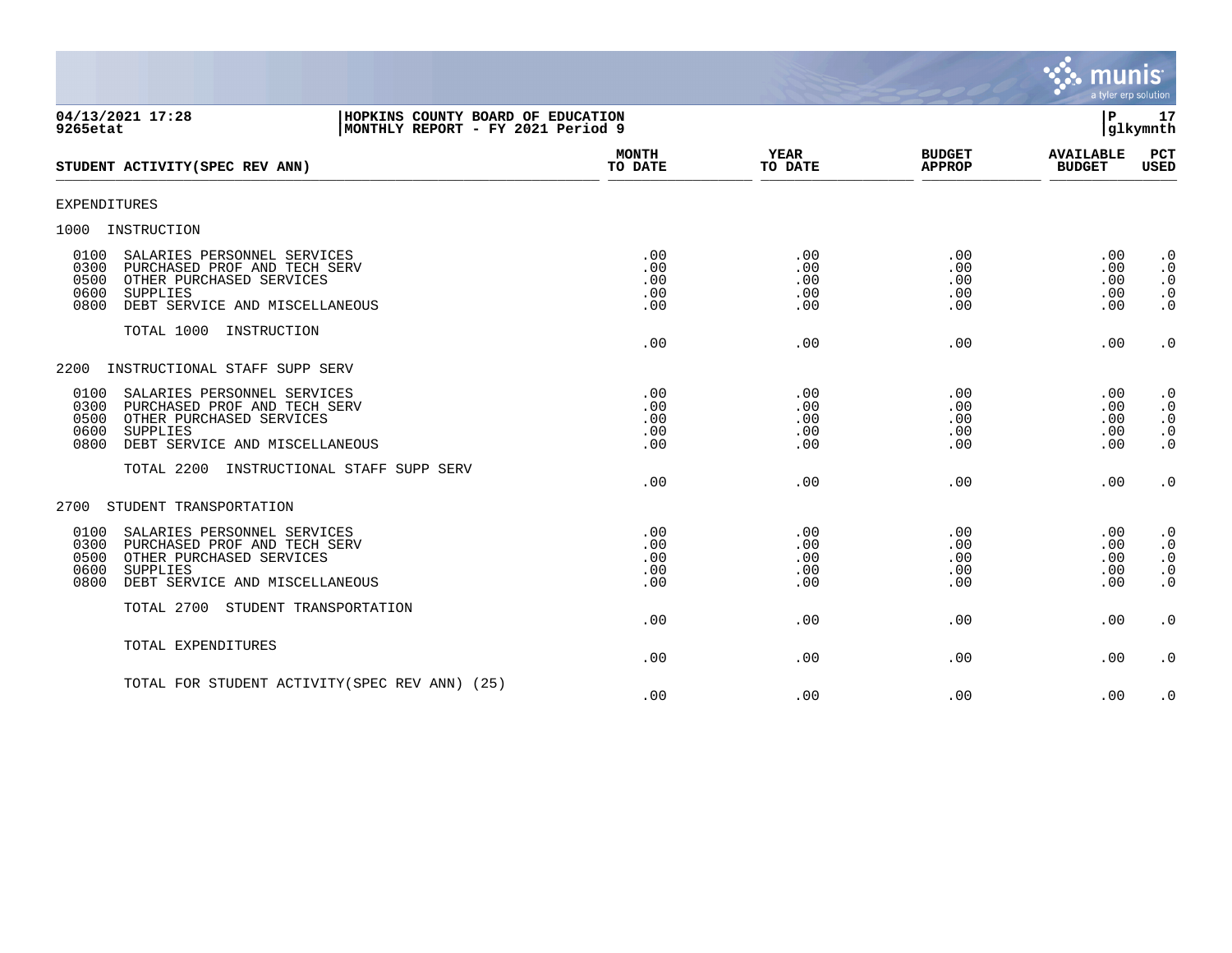

| 04/13/2021 17:28<br>HOPKINS COUNTY BOARD OF EDUCATION<br>9265etat<br>MONTHLY REPORT - FY 2021 Period 9                                                                               |                                 |                                 |                                 | P<br>glkymnth                     | 17                                                            |
|--------------------------------------------------------------------------------------------------------------------------------------------------------------------------------------|---------------------------------|---------------------------------|---------------------------------|-----------------------------------|---------------------------------------------------------------|
| STUDENT ACTIVITY (SPEC REV ANN)                                                                                                                                                      | <b>MONTH</b><br>TO DATE         | <b>YEAR</b><br>TO DATE          | <b>BUDGET</b><br><b>APPROP</b>  | <b>AVAILABLE</b><br><b>BUDGET</b> | PCT<br>USED                                                   |
| <b>EXPENDITURES</b>                                                                                                                                                                  |                                 |                                 |                                 |                                   |                                                               |
| 1000<br>INSTRUCTION                                                                                                                                                                  |                                 |                                 |                                 |                                   |                                                               |
| 0100<br>SALARIES PERSONNEL SERVICES<br>0300<br>PURCHASED PROF AND TECH SERV<br>0500<br>OTHER PURCHASED SERVICES<br>0600<br>SUPPLIES<br>0800<br>DEBT SERVICE AND MISCELLANEOUS        | .00<br>.00<br>.00<br>.00<br>.00 | .00<br>.00<br>.00<br>.00<br>.00 | .00<br>.00<br>.00<br>.00<br>.00 | .00<br>.00<br>.00<br>.00<br>.00   | $\cdot$ 0<br>$\cdot$ 0<br>$\cdot$ 0<br>$\cdot$ 0<br>$\cdot$ 0 |
| TOTAL 1000 INSTRUCTION                                                                                                                                                               | .00                             | .00                             | .00                             | .00                               | $\cdot$ 0                                                     |
| 2200<br>INSTRUCTIONAL STAFF SUPP SERV                                                                                                                                                |                                 |                                 |                                 |                                   |                                                               |
| 0100<br>SALARIES PERSONNEL SERVICES<br>0300<br>PURCHASED PROF AND TECH SERV<br>0500<br>OTHER PURCHASED SERVICES<br>0600<br><b>SUPPLIES</b><br>0800<br>DEBT SERVICE AND MISCELLANEOUS | .00<br>.00<br>.00<br>.00<br>.00 | .00<br>.00<br>.00<br>.00<br>.00 | .00<br>.00<br>.00<br>.00<br>.00 | .00<br>.00<br>.00<br>.00<br>.00   | $\cdot$ 0<br>$\cdot$ 0<br>$\cdot$ 0<br>$\cdot$ 0<br>$\cdot$ 0 |
| TOTAL 2200 INSTRUCTIONAL STAFF SUPP SERV                                                                                                                                             | .00                             | .00                             | .00                             | .00                               | $\boldsymbol{\cdot}$ 0                                        |
| 2700<br>STUDENT TRANSPORTATION                                                                                                                                                       |                                 |                                 |                                 |                                   |                                                               |
| 0100<br>SALARIES PERSONNEL SERVICES<br>0300<br>PURCHASED PROF AND TECH SERV<br>0500<br>OTHER PURCHASED SERVICES<br>0600<br>SUPPLIES<br>0800<br>DEBT SERVICE AND MISCELLANEOUS        | .00<br>.00<br>.00<br>.00<br>.00 | .00<br>.00<br>.00<br>.00<br>.00 | .00<br>.00<br>.00<br>.00<br>.00 | .00<br>.00<br>.00<br>.00<br>.00   | $\cdot$ 0<br>$\cdot$ 0<br>$\cdot$ 0<br>$\cdot$ 0<br>$\cdot$ 0 |
| TOTAL 2700 STUDENT TRANSPORTATION                                                                                                                                                    | .00                             | .00                             | .00                             | .00                               | $\cdot$ 0                                                     |
| TOTAL EXPENDITURES                                                                                                                                                                   | .00                             | .00                             | .00                             | .00                               | $\cdot$ 0                                                     |
| TOTAL FOR STUDENT ACTIVITY (SPEC REV ANN) (25)                                                                                                                                       | .00                             | .00                             | .00                             | .00                               | $\cdot$ 0                                                     |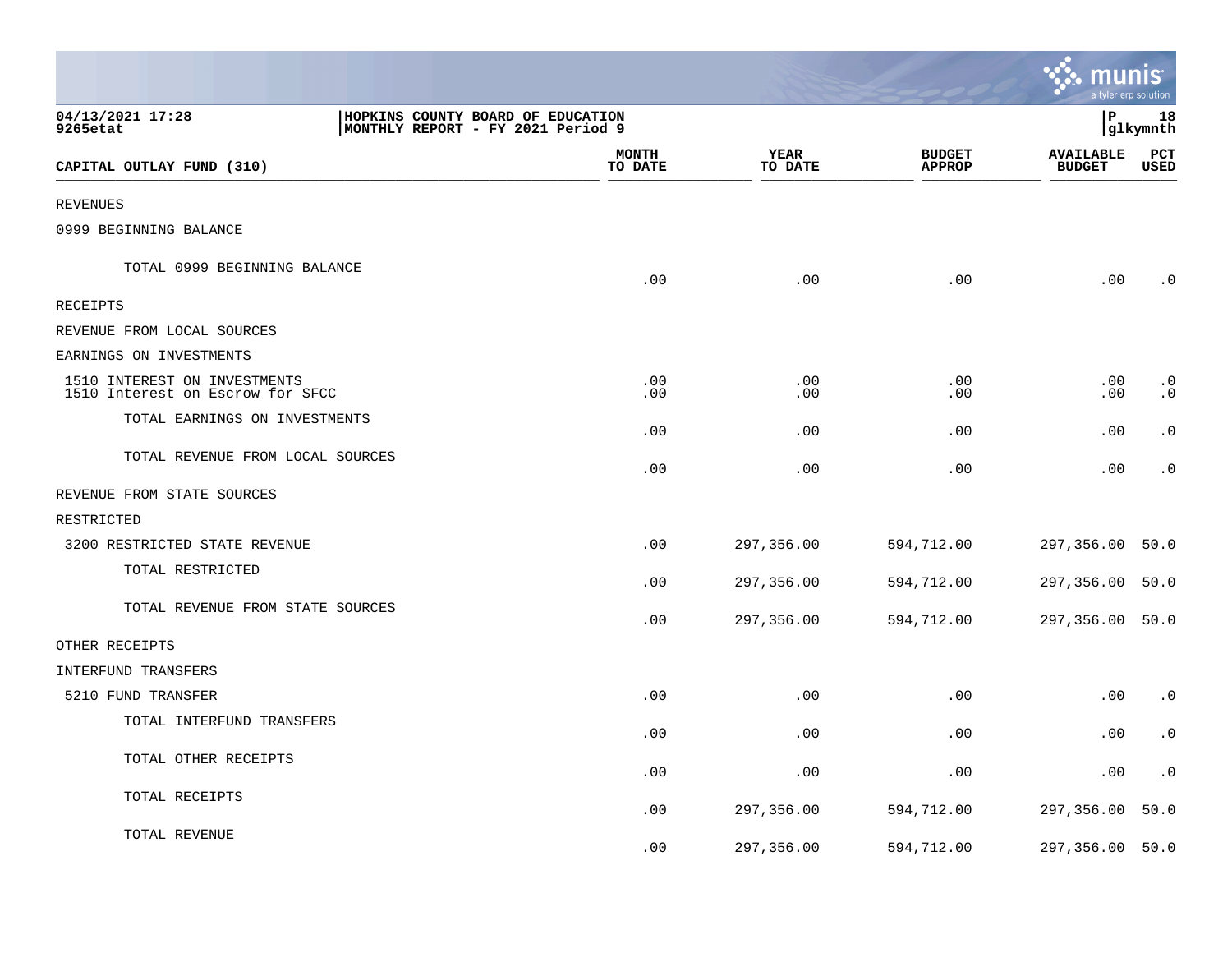|                                                                                                        |                         |                        |                                | munis                             | a tyler erp solution   |
|--------------------------------------------------------------------------------------------------------|-------------------------|------------------------|--------------------------------|-----------------------------------|------------------------|
| 04/13/2021 17:28<br>HOPKINS COUNTY BOARD OF EDUCATION<br>MONTHLY REPORT - FY 2021 Period 9<br>9265etat |                         |                        |                                | l P                               | 18<br> glkymnth        |
| CAPITAL OUTLAY FUND (310)                                                                              | <b>MONTH</b><br>TO DATE | <b>YEAR</b><br>TO DATE | <b>BUDGET</b><br><b>APPROP</b> | <b>AVAILABLE</b><br><b>BUDGET</b> | PCT<br><b>USED</b>     |
| <b>REVENUES</b>                                                                                        |                         |                        |                                |                                   |                        |
| 0999 BEGINNING BALANCE                                                                                 |                         |                        |                                |                                   |                        |
| TOTAL 0999 BEGINNING BALANCE                                                                           | .00                     | .00                    | .00                            | .00                               | $\cdot$ 0              |
| RECEIPTS                                                                                               |                         |                        |                                |                                   |                        |
| REVENUE FROM LOCAL SOURCES                                                                             |                         |                        |                                |                                   |                        |
| EARNINGS ON INVESTMENTS                                                                                |                         |                        |                                |                                   |                        |
| 1510 INTEREST ON INVESTMENTS<br>1510 Interest on Escrow for SFCC                                       | .00<br>.00              | .00<br>.00             | .00<br>.00                     | .00<br>.00                        | $\cdot$ 0<br>$\cdot$ 0 |
| TOTAL EARNINGS ON INVESTMENTS                                                                          | .00                     | .00                    | .00                            | .00                               | $\cdot$ 0              |
| TOTAL REVENUE FROM LOCAL SOURCES                                                                       | .00                     | .00                    | .00                            | .00                               | $\cdot$ 0              |
| REVENUE FROM STATE SOURCES                                                                             |                         |                        |                                |                                   |                        |
| RESTRICTED                                                                                             |                         |                        |                                |                                   |                        |
| 3200 RESTRICTED STATE REVENUE                                                                          | .00                     | 297,356.00             | 594,712.00                     | 297,356.00                        | 50.0                   |
| TOTAL RESTRICTED                                                                                       | .00                     | 297,356.00             | 594,712.00                     | 297,356.00                        | 50.0                   |
| TOTAL REVENUE FROM STATE SOURCES                                                                       | .00                     | 297,356.00             | 594,712.00                     | 297,356.00                        | 50.0                   |
| OTHER RECEIPTS                                                                                         |                         |                        |                                |                                   |                        |
| INTERFUND TRANSFERS                                                                                    |                         |                        |                                |                                   |                        |
| 5210 FUND TRANSFER                                                                                     | .00                     | .00                    | .00                            | .00                               | $\cdot$ 0              |
| TOTAL INTERFUND TRANSFERS                                                                              | .00                     | .00                    | .00                            | .00                               | $\cdot$ 0              |
| TOTAL OTHER RECEIPTS                                                                                   | .00                     | .00                    | .00                            | .00                               | $\cdot$ 0              |
| TOTAL RECEIPTS                                                                                         | .00                     | 297,356.00             | 594,712.00                     | 297,356.00                        | 50.0                   |
| TOTAL REVENUE                                                                                          | .00                     | 297,356.00             | 594,712.00                     | 297,356.00                        | 50.0                   |

**Tara**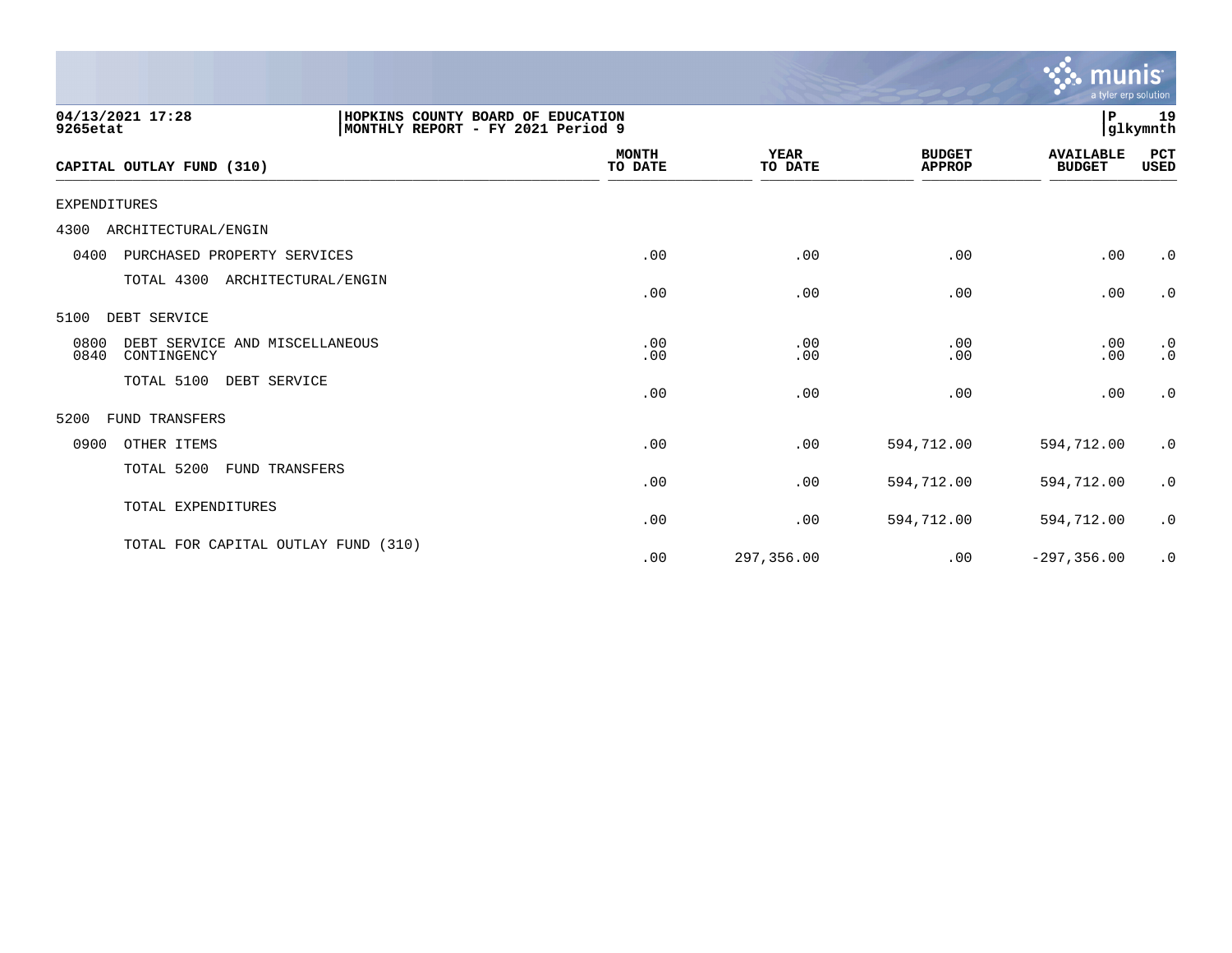|                                                                                                        |                         |                        |                                | munis<br>a tyler erp solution     |                        |
|--------------------------------------------------------------------------------------------------------|-------------------------|------------------------|--------------------------------|-----------------------------------|------------------------|
| 04/13/2021 17:28<br>HOPKINS COUNTY BOARD OF EDUCATION<br>MONTHLY REPORT - FY 2021 Period 9<br>9265etat |                         |                        |                                | P.                                | 19<br> glkymnth        |
| CAPITAL OUTLAY FUND (310)                                                                              | <b>MONTH</b><br>TO DATE | <b>YEAR</b><br>TO DATE | <b>BUDGET</b><br><b>APPROP</b> | <b>AVAILABLE</b><br><b>BUDGET</b> | PCT<br>USED            |
| EXPENDITURES                                                                                           |                         |                        |                                |                                   |                        |
| ARCHITECTURAL/ENGIN<br>4300                                                                            |                         |                        |                                |                                   |                        |
| 0400<br>PURCHASED PROPERTY SERVICES                                                                    | .00                     | .00                    | .00                            | .00                               | $\cdot$ 0              |
| TOTAL 4300<br>ARCHITECTURAL/ENGIN                                                                      | .00                     | .00                    | .00                            | .00                               | $\cdot$ 0              |
| DEBT SERVICE<br>5100                                                                                   |                         |                        |                                |                                   |                        |
| 0800<br>DEBT SERVICE AND MISCELLANEOUS<br>0840<br>CONTINGENCY                                          | .00<br>.00              | .00<br>.00             | .00<br>.00                     | .00<br>.00                        | $\cdot$ 0<br>$\cdot$ 0 |
| TOTAL 5100<br>DEBT SERVICE                                                                             | .00                     | .00                    | .00                            | .00                               | $\cdot$ 0              |
| 5200<br><b>FUND TRANSFERS</b>                                                                          |                         |                        |                                |                                   |                        |
| 0900<br>OTHER ITEMS                                                                                    | .00                     | .00                    | 594,712.00                     | 594,712.00                        | $\cdot$ 0              |
| TOTAL 5200<br>FUND TRANSFERS                                                                           | .00                     | .00                    | 594,712.00                     | 594,712.00                        | $\cdot$ 0              |
| TOTAL EXPENDITURES                                                                                     | .00                     | .00                    | 594,712.00                     | 594,712.00                        | $\cdot$ 0              |
| TOTAL FOR CAPITAL OUTLAY FUND (310)                                                                    | .00                     | 297,356.00             | .00                            | $-297, 356.00$                    | $\cdot$ 0              |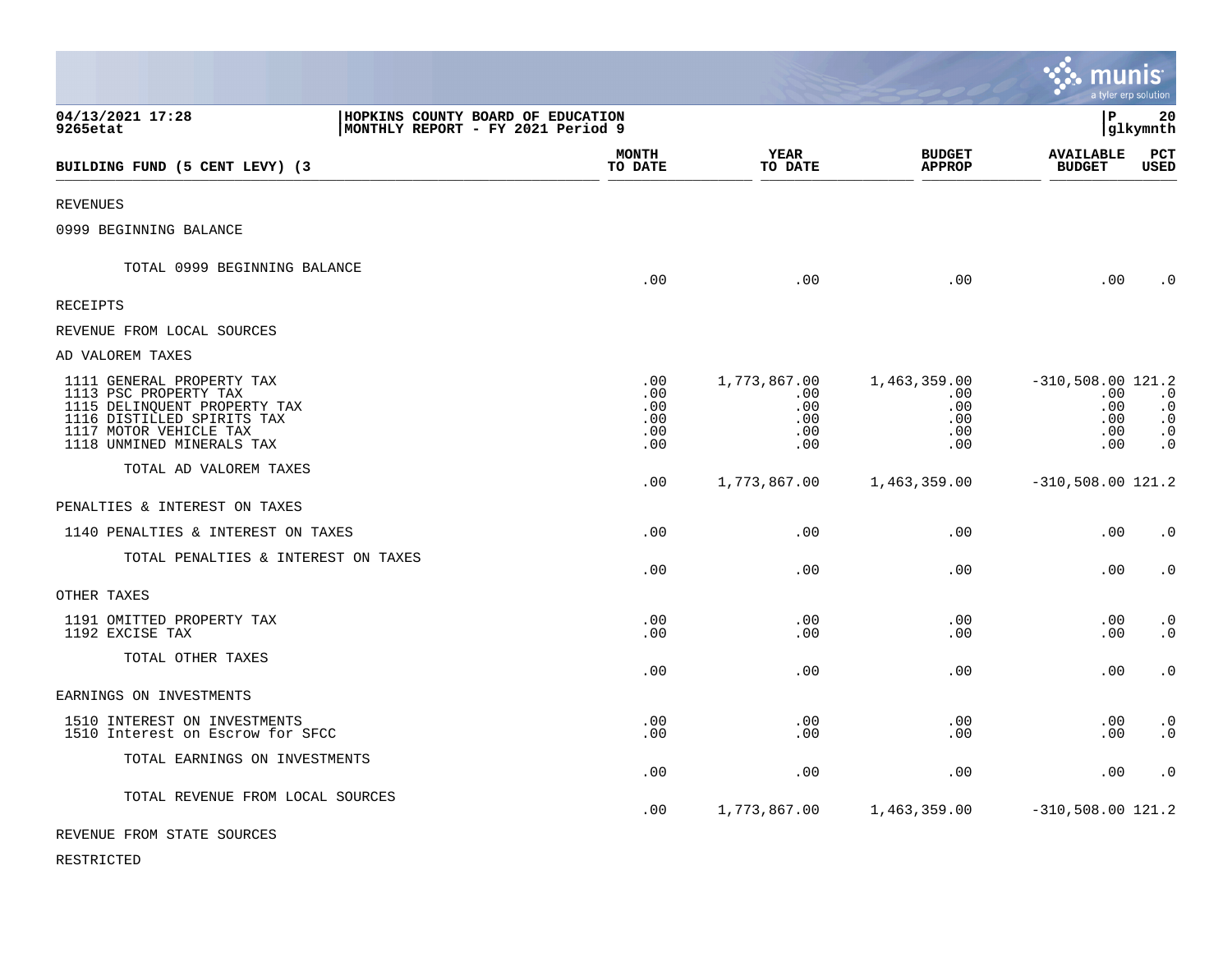|                                                                                                                                                                         |                                                                        |                                             |                                                 |                                                 | munis                                                  | a tyler erp solution                                          |
|-------------------------------------------------------------------------------------------------------------------------------------------------------------------------|------------------------------------------------------------------------|---------------------------------------------|-------------------------------------------------|-------------------------------------------------|--------------------------------------------------------|---------------------------------------------------------------|
| 04/13/2021 17:28<br>9265etat                                                                                                                                            | HOPKINS COUNTY BOARD OF EDUCATION<br>MONTHLY REPORT - FY 2021 Period 9 |                                             |                                                 |                                                 | lР                                                     | 20<br> glkymnth                                               |
| BUILDING FUND (5 CENT LEVY) (3                                                                                                                                          |                                                                        | <b>MONTH</b><br>TO DATE                     | YEAR<br>TO DATE                                 | <b>BUDGET</b><br><b>APPROP</b>                  | <b>AVAILABLE</b><br><b>BUDGET</b>                      | PCT<br>USED                                                   |
| <b>REVENUES</b>                                                                                                                                                         |                                                                        |                                             |                                                 |                                                 |                                                        |                                                               |
| 0999 BEGINNING BALANCE                                                                                                                                                  |                                                                        |                                             |                                                 |                                                 |                                                        |                                                               |
| TOTAL 0999 BEGINNING BALANCE                                                                                                                                            |                                                                        | .00                                         | .00                                             | .00                                             | .00                                                    | $\cdot$ 0                                                     |
| <b>RECEIPTS</b>                                                                                                                                                         |                                                                        |                                             |                                                 |                                                 |                                                        |                                                               |
| REVENUE FROM LOCAL SOURCES                                                                                                                                              |                                                                        |                                             |                                                 |                                                 |                                                        |                                                               |
| AD VALOREM TAXES                                                                                                                                                        |                                                                        |                                             |                                                 |                                                 |                                                        |                                                               |
| 1111 GENERAL PROPERTY TAX<br>1113 PSC PROPERTY TAX<br>1115 DELINQUENT PROPERTY TAX<br>1116 DISTILLED SPIRITS TAX<br>1117 MOTOR VEHICLE TAX<br>1118 UNMINED MINERALS TAX |                                                                        | $.00 \,$<br>.00<br>.00<br>.00<br>.00<br>.00 | 1,773,867.00<br>.00<br>.00<br>.00<br>.00<br>.00 | 1,463,359.00<br>.00<br>.00<br>.00<br>.00<br>.00 | $-310,508.00$ 121.2<br>.00<br>.00<br>.00<br>.00<br>.00 | $\cdot$ 0<br>$\cdot$ 0<br>$\cdot$ 0<br>$\cdot$ 0<br>$\cdot$ 0 |
| TOTAL AD VALOREM TAXES                                                                                                                                                  |                                                                        | .00                                         | 1,773,867.00                                    | 1,463,359.00                                    | $-310,508.00$ 121.2                                    |                                                               |
| PENALTIES & INTEREST ON TAXES                                                                                                                                           |                                                                        |                                             |                                                 |                                                 |                                                        |                                                               |
| 1140 PENALTIES & INTEREST ON TAXES                                                                                                                                      |                                                                        | .00                                         | .00                                             | .00                                             | .00                                                    | $\cdot$ 0                                                     |
| TOTAL PENALTIES & INTEREST ON TAXES                                                                                                                                     |                                                                        | .00                                         | .00                                             | .00                                             | .00                                                    | $\cdot$ 0                                                     |
| OTHER TAXES                                                                                                                                                             |                                                                        |                                             |                                                 |                                                 |                                                        |                                                               |
| 1191 OMITTED PROPERTY TAX<br>1192 EXCISE TAX                                                                                                                            |                                                                        | .00<br>.00                                  | .00<br>.00                                      | .00<br>.00                                      | .00<br>.00                                             | $\cdot$ 0<br>$\cdot$ 0                                        |
| TOTAL OTHER TAXES                                                                                                                                                       |                                                                        | .00                                         | .00                                             | .00                                             | .00                                                    | $\cdot$ 0                                                     |
| EARNINGS ON INVESTMENTS                                                                                                                                                 |                                                                        |                                             |                                                 |                                                 |                                                        |                                                               |
| 1510 INTEREST ON INVESTMENTS<br>1510 Interest on Escrow for SFCC                                                                                                        |                                                                        | .00<br>.00                                  | .00<br>.00                                      | .00<br>.00                                      | .00<br>.00                                             | $\cdot$ 0<br>$\cdot$ 0                                        |
| TOTAL EARNINGS ON INVESTMENTS                                                                                                                                           |                                                                        | .00                                         | .00                                             | .00                                             | .00                                                    | $\cdot$ 0                                                     |
| TOTAL REVENUE FROM LOCAL SOURCES                                                                                                                                        |                                                                        | .00                                         | 1,773,867.00                                    | 1,463,359.00                                    | $-310,508.00$ 121.2                                    |                                                               |
| REVENUE FROM STATE SOURCES                                                                                                                                              |                                                                        |                                             |                                                 |                                                 |                                                        |                                                               |

RESTRICTED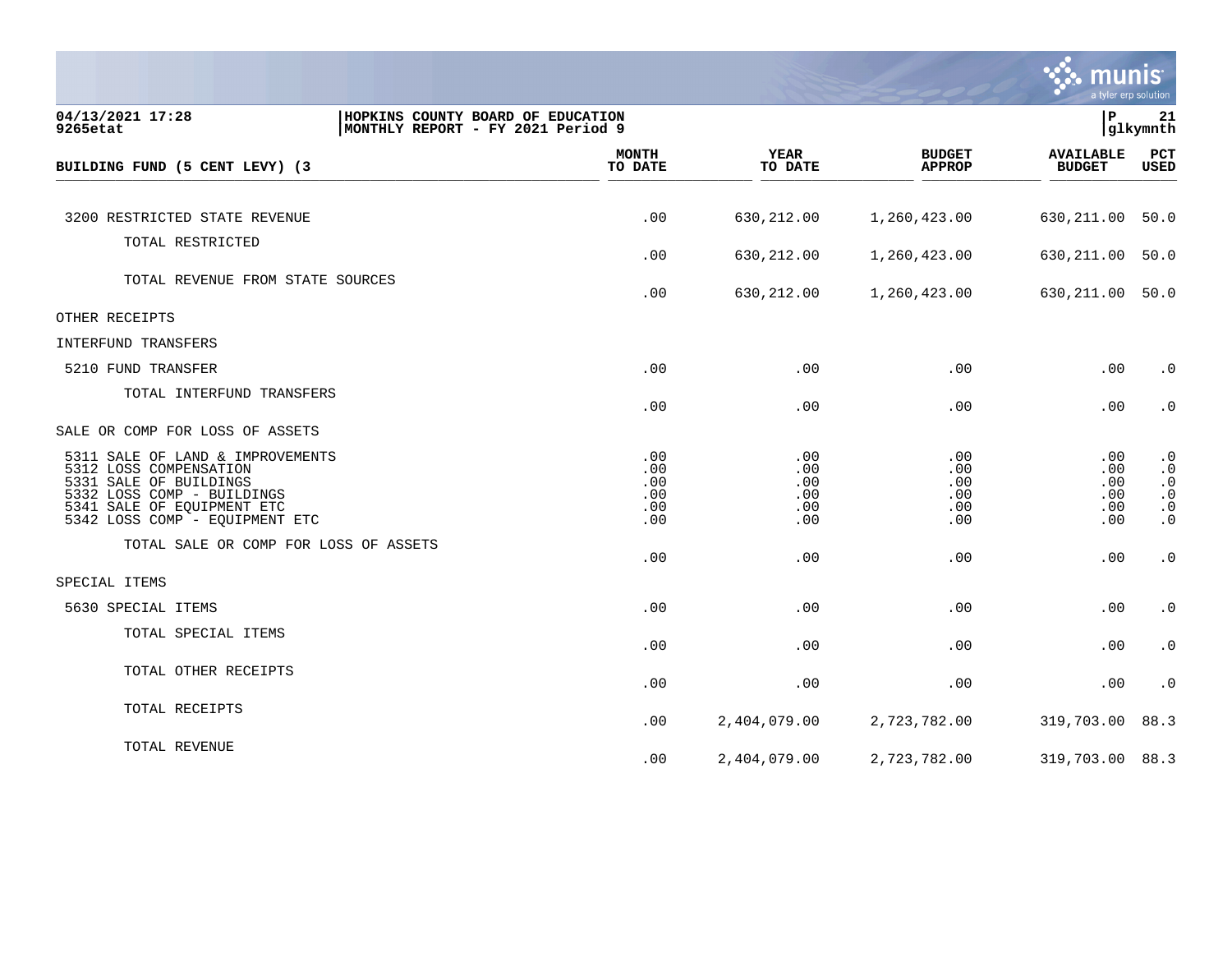

| 04/13/2021 17:28<br>9265etat                                                                                                                                                       | P<br>HOPKINS COUNTY BOARD OF EDUCATION<br>21<br>glkymnth<br> MONTHLY REPORT - FY 2021 Period 9 |                                        |                                        |                                        |                                                                            |  |  |
|------------------------------------------------------------------------------------------------------------------------------------------------------------------------------------|------------------------------------------------------------------------------------------------|----------------------------------------|----------------------------------------|----------------------------------------|----------------------------------------------------------------------------|--|--|
| BUILDING FUND (5 CENT LEVY) (3                                                                                                                                                     | <b>MONTH</b><br>TO DATE                                                                        | <b>YEAR</b><br>TO DATE                 | <b>BUDGET</b><br><b>APPROP</b>         | <b>AVAILABLE</b><br><b>BUDGET</b>      | PCT<br>USED                                                                |  |  |
|                                                                                                                                                                                    |                                                                                                |                                        |                                        |                                        |                                                                            |  |  |
| 3200 RESTRICTED STATE REVENUE                                                                                                                                                      | .00                                                                                            | 630,212.00                             | 1,260,423.00                           | 630,211.00                             | 50.0                                                                       |  |  |
| TOTAL RESTRICTED                                                                                                                                                                   | .00                                                                                            | 630,212.00                             | 1,260,423.00                           | 630,211.00                             | 50.0                                                                       |  |  |
|                                                                                                                                                                                    |                                                                                                |                                        |                                        |                                        |                                                                            |  |  |
| TOTAL REVENUE FROM STATE SOURCES                                                                                                                                                   | .00                                                                                            | 630,212.00                             | 1,260,423.00                           | 630,211.00                             | 50.0                                                                       |  |  |
| OTHER RECEIPTS                                                                                                                                                                     |                                                                                                |                                        |                                        |                                        |                                                                            |  |  |
| INTERFUND TRANSFERS                                                                                                                                                                |                                                                                                |                                        |                                        |                                        |                                                                            |  |  |
| 5210 FUND TRANSFER                                                                                                                                                                 | .00                                                                                            | .00                                    | .00                                    | .00                                    | $\cdot$ 0                                                                  |  |  |
| TOTAL INTERFUND TRANSFERS                                                                                                                                                          | .00                                                                                            | .00                                    | .00                                    | .00                                    | $\cdot$ 0                                                                  |  |  |
| SALE OR COMP FOR LOSS OF ASSETS                                                                                                                                                    |                                                                                                |                                        |                                        |                                        |                                                                            |  |  |
| 5311 SALE OF LAND & IMPROVEMENTS<br>5312 LOSS COMPENSATION<br>5331 SALE OF BUILDINGS<br>5332 LOSS COMP - BUILDINGS<br>5341 SALE OF EOUIPMENT ETC<br>5342 LOSS COMP - EQUIPMENT ETC | .00<br>.00<br>.00<br>.00<br>.00<br>.00                                                         | .00<br>.00<br>.00<br>.00<br>.00<br>.00 | .00<br>.00<br>.00<br>.00<br>.00<br>.00 | .00<br>.00<br>.00<br>.00<br>.00<br>.00 | $\cdot$ 0<br>$\cdot$ 0<br>$\cdot$ 0<br>$\cdot$ 0<br>$\cdot$ 0<br>$\cdot$ 0 |  |  |
| TOTAL SALE OR COMP FOR LOSS OF ASSETS                                                                                                                                              | .00                                                                                            | .00                                    | .00                                    | .00                                    | $\cdot$ 0                                                                  |  |  |
| SPECIAL ITEMS                                                                                                                                                                      |                                                                                                |                                        |                                        |                                        |                                                                            |  |  |
| 5630 SPECIAL ITEMS                                                                                                                                                                 | .00                                                                                            | .00                                    | .00                                    | .00                                    | $\cdot$ 0                                                                  |  |  |
| TOTAL SPECIAL ITEMS                                                                                                                                                                | .00                                                                                            | .00                                    | .00                                    | .00                                    | $\cdot$ 0                                                                  |  |  |
| TOTAL OTHER RECEIPTS                                                                                                                                                               | .00                                                                                            | .00                                    | .00                                    | .00                                    | $\cdot$ 0                                                                  |  |  |
| TOTAL RECEIPTS                                                                                                                                                                     | .00                                                                                            | 2,404,079.00                           | 2,723,782.00                           | 319,703.00                             | 88.3                                                                       |  |  |
| TOTAL REVENUE                                                                                                                                                                      | .00                                                                                            | 2,404,079.00                           | 2,723,782.00                           | 319,703.00                             | 88.3                                                                       |  |  |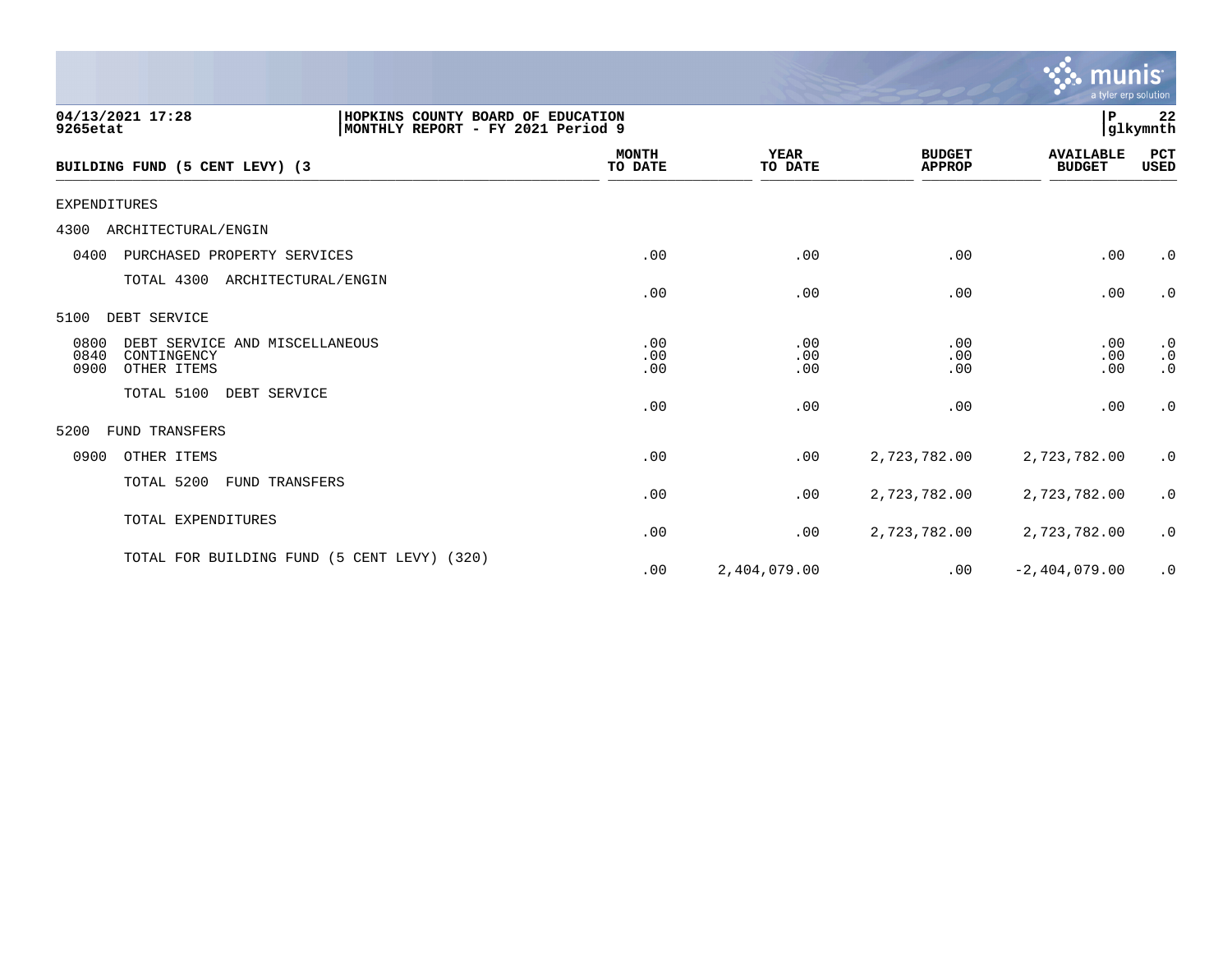|                                                                                                        |                         |                        |                                | munis<br>a tyler erp solution     |                                     |
|--------------------------------------------------------------------------------------------------------|-------------------------|------------------------|--------------------------------|-----------------------------------|-------------------------------------|
| 04/13/2021 17:28<br>HOPKINS COUNTY BOARD OF EDUCATION<br>MONTHLY REPORT - FY 2021 Period 9<br>9265etat |                         |                        |                                | P                                 | 22<br>glkymnth                      |
| BUILDING FUND (5 CENT LEVY) (3                                                                         | <b>MONTH</b><br>TO DATE | <b>YEAR</b><br>TO DATE | <b>BUDGET</b><br><b>APPROP</b> | <b>AVAILABLE</b><br><b>BUDGET</b> | PCT<br>USED                         |
| <b>EXPENDITURES</b>                                                                                    |                         |                        |                                |                                   |                                     |
| 4300<br>ARCHITECTURAL/ENGIN                                                                            |                         |                        |                                |                                   |                                     |
| 0400<br>PURCHASED PROPERTY SERVICES                                                                    | .00                     | .00                    | .00                            | .00                               | $\cdot$ 0                           |
| TOTAL 4300<br>ARCHITECTURAL/ENGIN                                                                      | .00                     | .00                    | .00                            | .00                               | $\cdot$ 0                           |
| DEBT SERVICE<br>5100                                                                                   |                         |                        |                                |                                   |                                     |
| 0800<br>DEBT SERVICE AND MISCELLANEOUS<br>0840<br>CONTINGENCY<br>0900<br>OTHER ITEMS                   | .00<br>.00<br>.00       | .00<br>.00<br>.00      | .00<br>.00<br>.00              | .00<br>.00<br>.00                 | $\cdot$ 0<br>$\cdot$ 0<br>$\cdot$ 0 |
| TOTAL 5100<br>DEBT SERVICE                                                                             | .00                     | .00                    | .00                            | .00                               | $\cdot$ 0                           |
| FUND TRANSFERS<br>5200                                                                                 |                         |                        |                                |                                   |                                     |
| 0900<br>OTHER ITEMS                                                                                    | .00                     | .00                    | 2,723,782.00                   | 2,723,782.00                      | $\cdot$ 0                           |
| TOTAL 5200<br>FUND TRANSFERS                                                                           | .00                     | .00                    | 2,723,782.00                   | 2,723,782.00                      | $\cdot$ 0                           |
| TOTAL EXPENDITURES                                                                                     | .00                     | .00                    | 2,723,782.00                   | 2,723,782.00                      | $\cdot$ 0                           |
| TOTAL FOR BUILDING FUND (5 CENT LEVY) (320)                                                            | .00                     | 2,404,079.00           | .00                            | $-2,404,079.00$                   | $\cdot$ 0                           |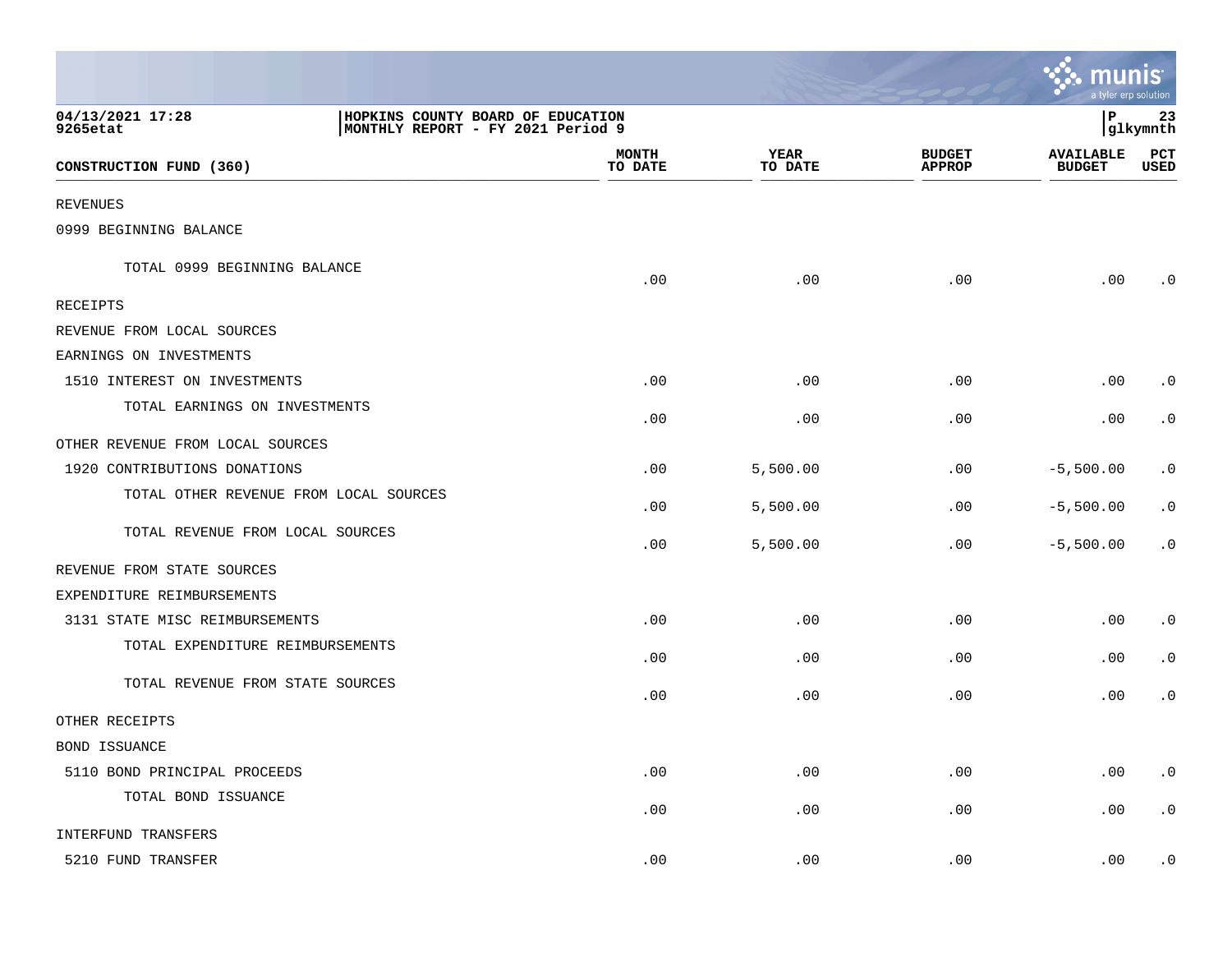|                                        |                                                                        |                        |                                | <u>: : munis</u>                  | a tyler erp solution |
|----------------------------------------|------------------------------------------------------------------------|------------------------|--------------------------------|-----------------------------------|----------------------|
| 04/13/2021 17:28<br>9265etat           | HOPKINS COUNTY BOARD OF EDUCATION<br>MONTHLY REPORT - FY 2021 Period 9 |                        |                                | l P                               | 23<br> glkymnth      |
| CONSTRUCTION FUND (360)                | <b>MONTH</b><br>TO DATE                                                | <b>YEAR</b><br>TO DATE | <b>BUDGET</b><br><b>APPROP</b> | <b>AVAILABLE</b><br><b>BUDGET</b> | PCT<br><b>USED</b>   |
| <b>REVENUES</b>                        |                                                                        |                        |                                |                                   |                      |
| 0999 BEGINNING BALANCE                 |                                                                        |                        |                                |                                   |                      |
| TOTAL 0999 BEGINNING BALANCE           | .00                                                                    | .00                    | .00                            | .00                               | $\cdot$ 0            |
| RECEIPTS                               |                                                                        |                        |                                |                                   |                      |
| REVENUE FROM LOCAL SOURCES             |                                                                        |                        |                                |                                   |                      |
| EARNINGS ON INVESTMENTS                |                                                                        |                        |                                |                                   |                      |
| 1510 INTEREST ON INVESTMENTS           | .00                                                                    | .00                    | .00                            | .00                               | $\cdot$ 0            |
| TOTAL EARNINGS ON INVESTMENTS          | .00                                                                    | .00                    | .00                            | .00                               | $\cdot$ 0            |
| OTHER REVENUE FROM LOCAL SOURCES       |                                                                        |                        |                                |                                   |                      |
| 1920 CONTRIBUTIONS DONATIONS           | .00                                                                    | 5,500.00               | .00                            | $-5,500.00$                       | $\cdot$ 0            |
| TOTAL OTHER REVENUE FROM LOCAL SOURCES | .00                                                                    | 5,500.00               | .00                            | $-5,500.00$                       | $\cdot$ 0            |
| TOTAL REVENUE FROM LOCAL SOURCES       | .00                                                                    | 5,500.00               | .00                            | $-5,500.00$                       | $\cdot$ 0            |
| REVENUE FROM STATE SOURCES             |                                                                        |                        |                                |                                   |                      |
| EXPENDITURE REIMBURSEMENTS             |                                                                        |                        |                                |                                   |                      |
| 3131 STATE MISC REIMBURSEMENTS         | .00                                                                    | .00                    | .00                            | .00                               | $\cdot$ 0            |
| TOTAL EXPENDITURE REIMBURSEMENTS       | .00                                                                    | .00                    | .00                            | .00                               | $\cdot$ 0            |
| TOTAL REVENUE FROM STATE SOURCES       | .00                                                                    | .00                    | .00                            | .00                               | $\cdot$ 0            |
| OTHER RECEIPTS                         |                                                                        |                        |                                |                                   |                      |
| BOND ISSUANCE                          |                                                                        |                        |                                |                                   |                      |
| 5110 BOND PRINCIPAL PROCEEDS           | .00                                                                    | .00                    | .00                            | .00                               | $\cdot$ 0            |
| TOTAL BOND ISSUANCE                    | .00                                                                    | .00                    | .00                            | .00                               | $\cdot$ 0            |
| INTERFUND TRANSFERS                    |                                                                        |                        |                                |                                   |                      |
| 5210 FUND TRANSFER                     | .00                                                                    | .00                    | .00                            | .00                               | $\cdot$ 0            |

and the contract of the contract of the contract of the contract of the contract of the contract of the contract of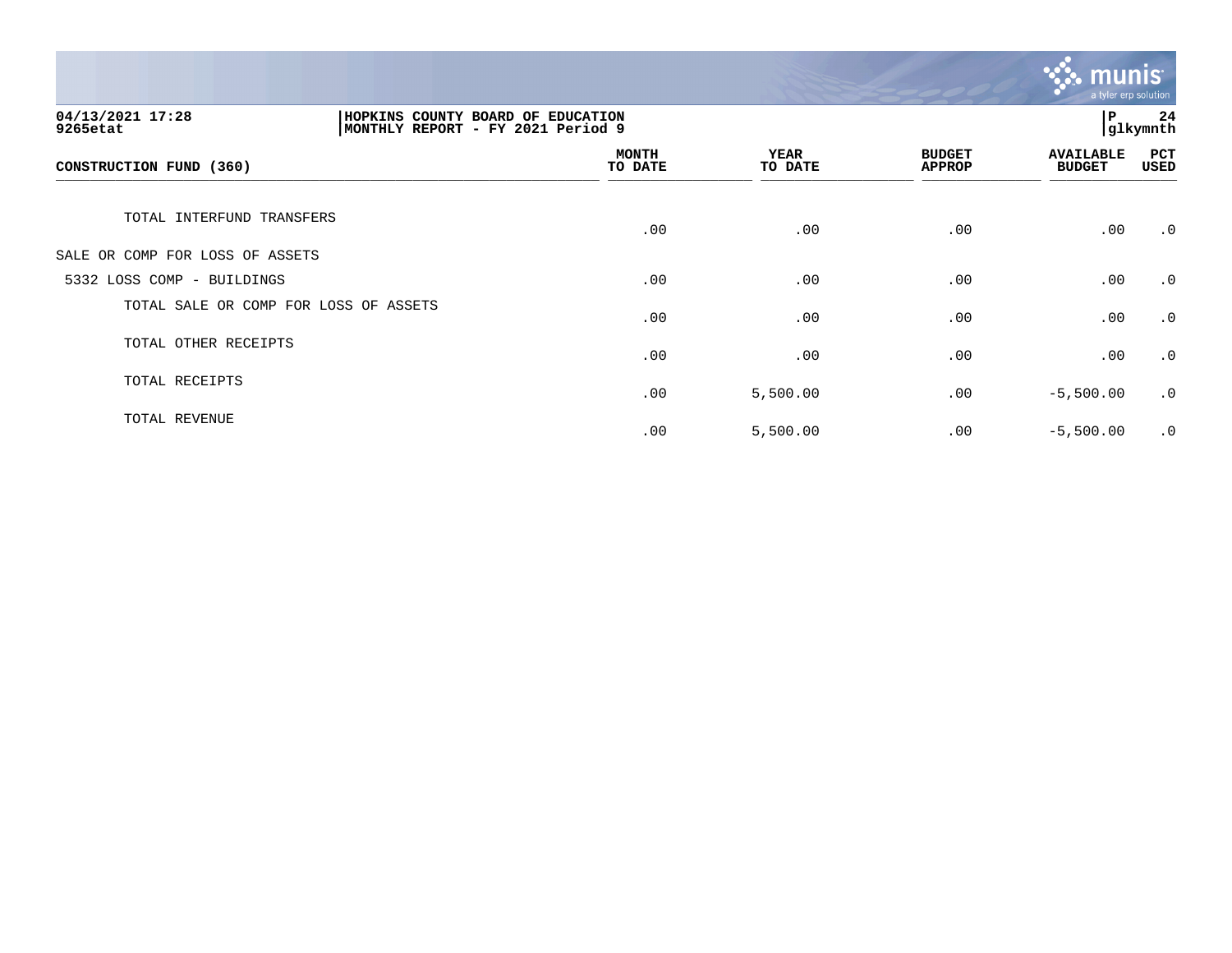

| 04/13/2021 17:28<br>HOPKINS COUNTY BOARD OF EDUCATION<br>MONTHLY REPORT - FY 2021 Period 9<br>9265etat |  |                         |                        |                                | lР                                | 24<br>glkymnth     |
|--------------------------------------------------------------------------------------------------------|--|-------------------------|------------------------|--------------------------------|-----------------------------------|--------------------|
| CONSTRUCTION FUND (360)                                                                                |  | <b>MONTH</b><br>TO DATE | <b>YEAR</b><br>TO DATE | <b>BUDGET</b><br><b>APPROP</b> | <b>AVAILABLE</b><br><b>BUDGET</b> | PCT<br><b>USED</b> |
| TOTAL INTERFUND TRANSFERS                                                                              |  | .00                     | .00                    | .00                            | .00                               | $\cdot$ 0          |
| SALE OR COMP FOR LOSS OF ASSETS                                                                        |  |                         |                        |                                |                                   |                    |
| 5332 LOSS COMP - BUILDINGS                                                                             |  | .00                     | .00                    | .00                            | .00                               | $\cdot$ 0          |
| TOTAL SALE OR COMP FOR LOSS OF ASSETS                                                                  |  | .00                     | .00                    | .00                            | .00                               | $\cdot$ 0          |
| TOTAL OTHER RECEIPTS                                                                                   |  | .00                     | .00                    | .00                            | .00                               | $\cdot$ 0          |
| TOTAL RECEIPTS                                                                                         |  | .00                     | 5,500.00               | .00                            | $-5,500.00$                       | $\cdot$ 0          |
| TOTAL REVENUE                                                                                          |  | .00                     | 5,500.00               | .00                            | $-5,500.00$                       | $\cdot$ 0          |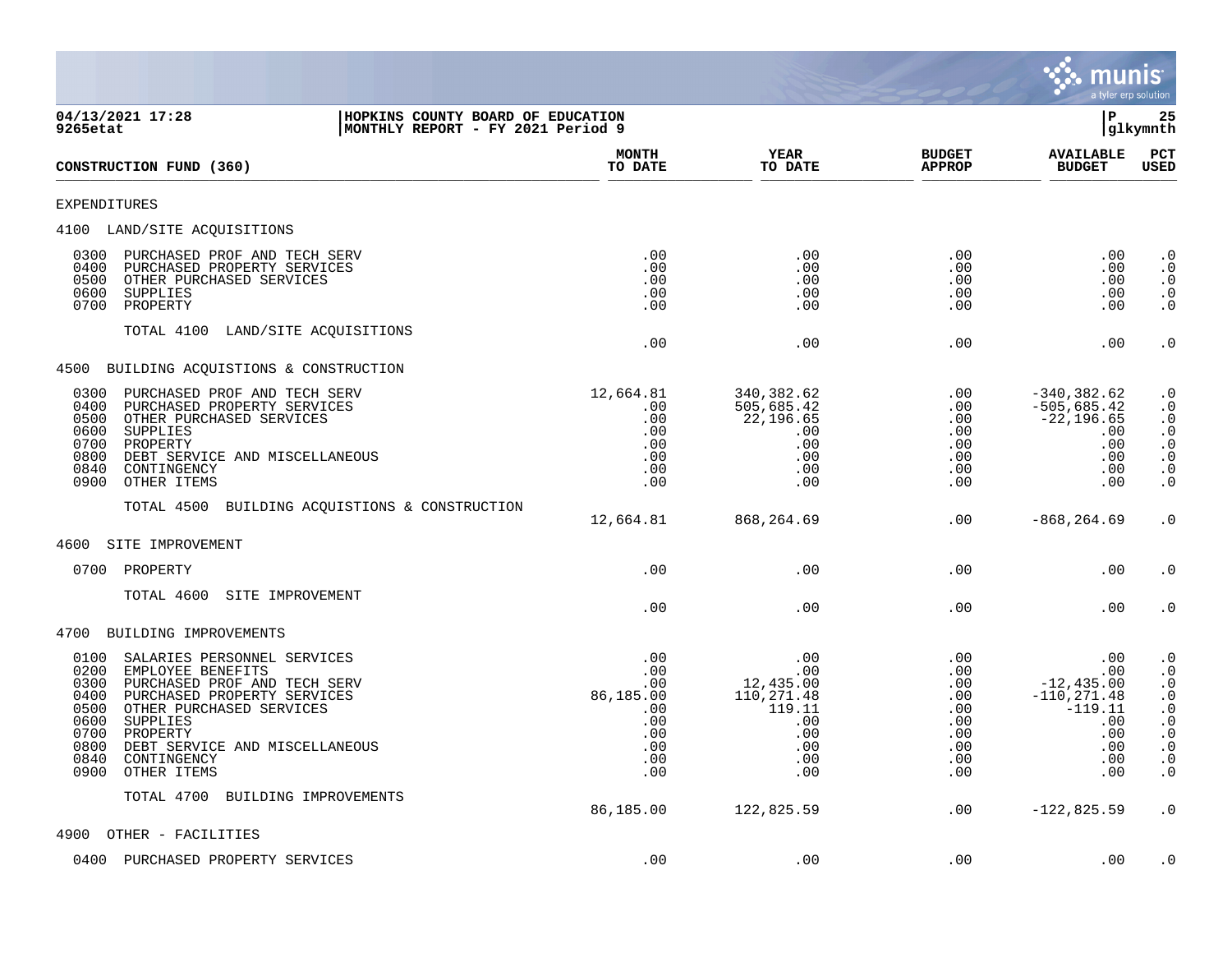

| 04/13/2021 17:28<br>HOPKINS COUNTY BOARD OF EDUCATION<br>MONTHLY REPORT - FY 2021 Period 9<br>9265etat                                                                                                                                                                                                              |                                                                          |                                                                                    |                                                                    | ΙP                                                                                            | 25<br> glkymnth                                                                                                                                                                                               |  |
|---------------------------------------------------------------------------------------------------------------------------------------------------------------------------------------------------------------------------------------------------------------------------------------------------------------------|--------------------------------------------------------------------------|------------------------------------------------------------------------------------|--------------------------------------------------------------------|-----------------------------------------------------------------------------------------------|---------------------------------------------------------------------------------------------------------------------------------------------------------------------------------------------------------------|--|
| CONSTRUCTION FUND (360)                                                                                                                                                                                                                                                                                             | <b>MONTH</b><br>TO DATE                                                  | <b>YEAR</b><br>TO DATE                                                             | <b>BUDGET</b><br><b>APPROP</b>                                     | <b>AVAILABLE</b><br><b>BUDGET</b>                                                             | PCT<br><b>USED</b>                                                                                                                                                                                            |  |
| <b>EXPENDITURES</b>                                                                                                                                                                                                                                                                                                 |                                                                          |                                                                                    |                                                                    |                                                                                               |                                                                                                                                                                                                               |  |
| 4100 LAND/SITE ACQUISITIONS                                                                                                                                                                                                                                                                                         |                                                                          |                                                                                    |                                                                    |                                                                                               |                                                                                                                                                                                                               |  |
| 0300<br>PURCHASED PROF AND TECH SERV<br>0400<br>PURCHASED PROPERTY SERVICES<br>0500<br>OTHER PURCHASED SERVICES<br>0600<br>SUPPLIES<br>0700<br>PROPERTY                                                                                                                                                             | .00<br>.00<br>.00<br>.00<br>.00                                          | .00<br>.00<br>.00<br>.00<br>.00                                                    | $.00 \ \rm$<br>.00<br>.00<br>.00<br>.00                            | $.00 \,$<br>.00<br>$.00 \,$<br>.00<br>.00                                                     | $\cdot$ 0<br>$\cdot$ 0<br>$\cdot$ 0<br>$\begin{smallmatrix} 0.1 \\ 0.1 \end{smallmatrix}$                                                                                                                     |  |
| TOTAL 4100<br>LAND/SITE ACQUISITIONS                                                                                                                                                                                                                                                                                | .00                                                                      | .00                                                                                | .00                                                                | .00                                                                                           | $\cdot$ 0                                                                                                                                                                                                     |  |
| 4500 BUILDING ACQUISTIONS & CONSTRUCTION                                                                                                                                                                                                                                                                            |                                                                          |                                                                                    |                                                                    |                                                                                               |                                                                                                                                                                                                               |  |
| PURCHASED PROF AND TECH SERV<br>0300<br>0400<br>PURCHASED PROPERTY SERVICES<br>0500<br>OTHER PURCHASED SERVICES<br>0600<br>SUPPLIES<br>0700<br>PROPERTY<br>0800<br>DEBT SERVICE AND MISCELLANEOUS<br>0840<br>CONTINGENCY<br>0900<br>OTHER ITEMS                                                                     | 12,664.81<br>.00<br>.00<br>.00<br>.00<br>.00<br>.00<br>.00               | 340,382.62<br>505,685.42<br>22,196.65<br>.00<br>.00<br>.00<br>.00<br>.00           | .00<br>.00<br>.00<br>.00<br>.00<br>.00<br>.00<br>.00               | $-340, 382.62$<br>$-505,685.42$<br>$-22, 196.65$<br>.00<br>.00<br>.00<br>.00<br>.00           | $\cdot$ 0<br>$\cdot$ 0<br>$\begin{array}{c} . & 0 \\ . & 0 \end{array}$<br>$\begin{smallmatrix} 0.1 \\ 0.1 \end{smallmatrix}$<br>$\cdot$ 0<br>$\cdot$ 0                                                       |  |
| TOTAL 4500 BUILDING ACQUISTIONS & CONSTRUCTION                                                                                                                                                                                                                                                                      | 12,664.81                                                                | 868,264.69                                                                         | .00                                                                | $-868, 264.69$                                                                                | $\cdot$ 0                                                                                                                                                                                                     |  |
| 4600<br>SITE IMPROVEMENT                                                                                                                                                                                                                                                                                            |                                                                          |                                                                                    |                                                                    |                                                                                               |                                                                                                                                                                                                               |  |
| 0700<br>PROPERTY                                                                                                                                                                                                                                                                                                    | .00                                                                      | .00                                                                                | .00                                                                | .00                                                                                           | $\cdot$ 0                                                                                                                                                                                                     |  |
| TOTAL 4600<br>SITE IMPROVEMENT                                                                                                                                                                                                                                                                                      | .00                                                                      | .00                                                                                | .00                                                                | .00                                                                                           | $\cdot$ 0                                                                                                                                                                                                     |  |
| 4700 BUILDING IMPROVEMENTS                                                                                                                                                                                                                                                                                          |                                                                          |                                                                                    |                                                                    |                                                                                               |                                                                                                                                                                                                               |  |
| 0100<br>SALARIES PERSONNEL SERVICES<br>0200<br>EMPLOYEE BENEFITS<br>0300<br>PURCHASED PROF AND TECH SERV<br>0400<br>PURCHASED PROPERTY SERVICES<br>0500<br>OTHER PURCHASED SERVICES<br>0600<br>SUPPLIES<br>0700<br>PROPERTY<br>0800<br>DEBT SERVICE AND MISCELLANEOUS<br>0840<br>CONTINGENCY<br>0900<br>OTHER ITEMS | .00<br>.00<br>.00<br>86,185.00<br>.00<br>.00<br>.00<br>.00<br>.00<br>.00 | .00<br>.00<br>12,435.00<br>110,271.48<br>119.11<br>.00<br>.00<br>.00<br>.00<br>.00 | .00<br>.00<br>.00<br>.00<br>.00<br>.00<br>.00<br>.00<br>.00<br>.00 | .00<br>.00<br>$-12, 435.00$<br>$-110, 271.48$<br>$-119.11$<br>.00<br>.00<br>.00<br>.00<br>.00 | $\cdot$ 0<br>$\begin{smallmatrix} . & 0 \\ . & 0 \end{smallmatrix}$<br>$\begin{smallmatrix} 0.1 \\ 0.1 \end{smallmatrix}$<br>$\begin{array}{c} 0.0 \\ 0.0 \end{array}$<br>$\cdot$ 0<br>$\cdot$ 0<br>$\cdot$ 0 |  |
| TOTAL 4700<br>BUILDING IMPROVEMENTS                                                                                                                                                                                                                                                                                 | 86,185.00                                                                | 122,825.59                                                                         | .00                                                                | $-122,825.59$                                                                                 | $\cdot$ 0                                                                                                                                                                                                     |  |
| 4900<br>OTHER - FACILITIES                                                                                                                                                                                                                                                                                          |                                                                          |                                                                                    |                                                                    |                                                                                               |                                                                                                                                                                                                               |  |
| 0400<br>PURCHASED PROPERTY SERVICES                                                                                                                                                                                                                                                                                 | .00                                                                      | .00                                                                                | .00                                                                | .00                                                                                           | $\cdot$ 0                                                                                                                                                                                                     |  |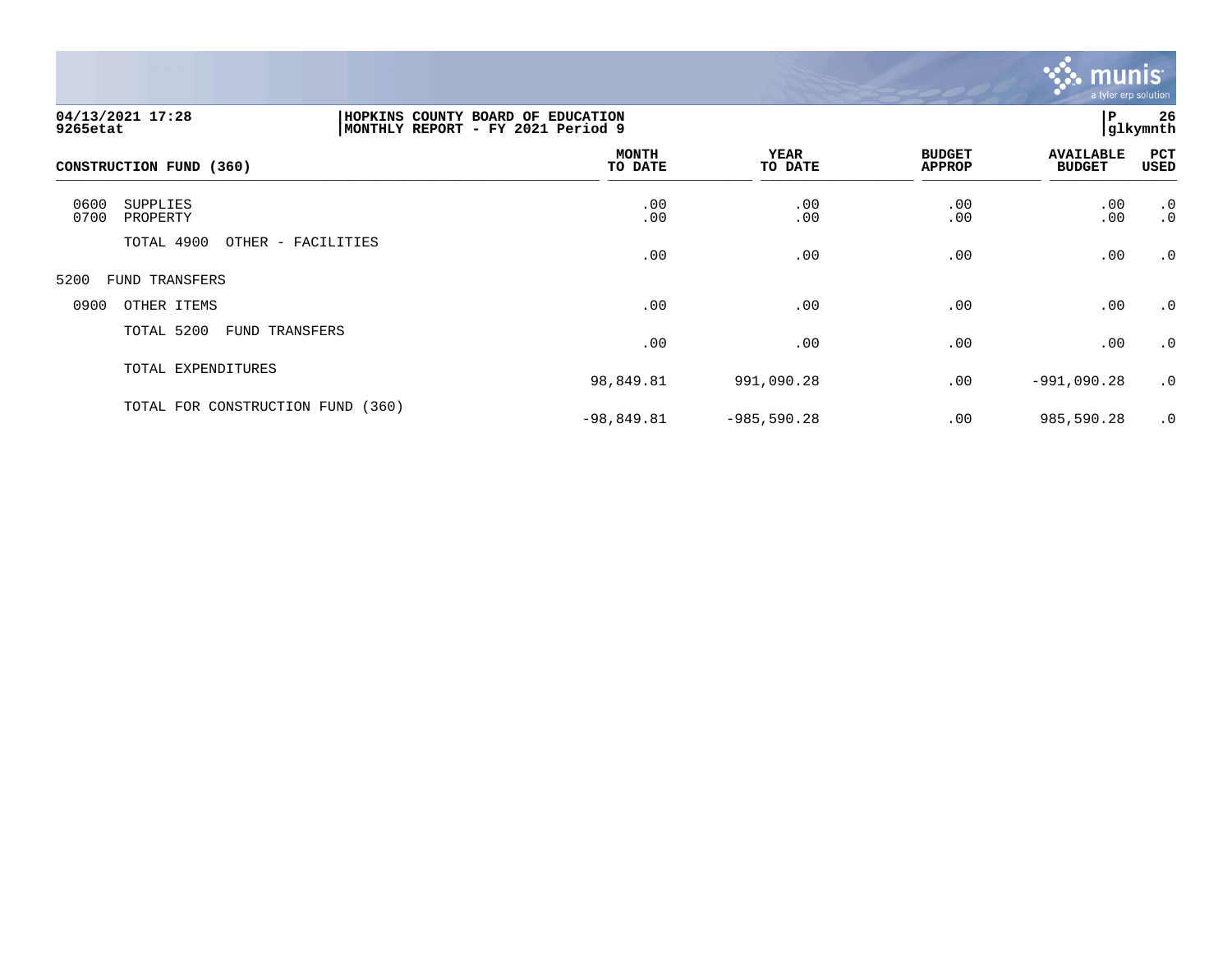

| 04/13/2021 17:28<br>9265etat         |                    | 26<br>P<br>HOPKINS COUNTY BOARD OF EDUCATION<br> glkymnth<br>MONTHLY REPORT - FY 2021 Period 9 |                 |                                |                                   |                 |  |
|--------------------------------------|--------------------|------------------------------------------------------------------------------------------------|-----------------|--------------------------------|-----------------------------------|-----------------|--|
| CONSTRUCTION FUND (360)              |                    | <b>MONTH</b><br>TO DATE                                                                        | YEAR<br>TO DATE | <b>BUDGET</b><br><b>APPROP</b> | <b>AVAILABLE</b><br><b>BUDGET</b> | PCT<br>USED     |  |
| 0600<br>SUPPLIES<br>0700<br>PROPERTY |                    | .00<br>.00                                                                                     | .00<br>.00      | .00<br>.00                     | .00<br>.00                        | $\cdot$ 0<br>.0 |  |
| TOTAL 4900                           | OTHER - FACILITIES | .00                                                                                            | .00             | .00                            | .00                               | .0              |  |
| 5200<br>FUND TRANSFERS               |                    |                                                                                                |                 |                                |                                   |                 |  |
| 0900<br>OTHER ITEMS                  |                    | .00                                                                                            | .00             | .00                            | .00                               | $\cdot$ 0       |  |
| TOTAL 5200                           | FUND TRANSFERS     | .00                                                                                            | .00             | .00                            | .00                               | .0              |  |
| TOTAL EXPENDITURES                   |                    | 98,849.81                                                                                      | 991,090.28      | .00                            | $-991,090.28$                     | $\cdot$ 0       |  |
| TOTAL FOR CONSTRUCTION FUND          | (360)              | $-98,849.81$                                                                                   | $-985,590.28$   | .00                            | 985,590.28                        | .0              |  |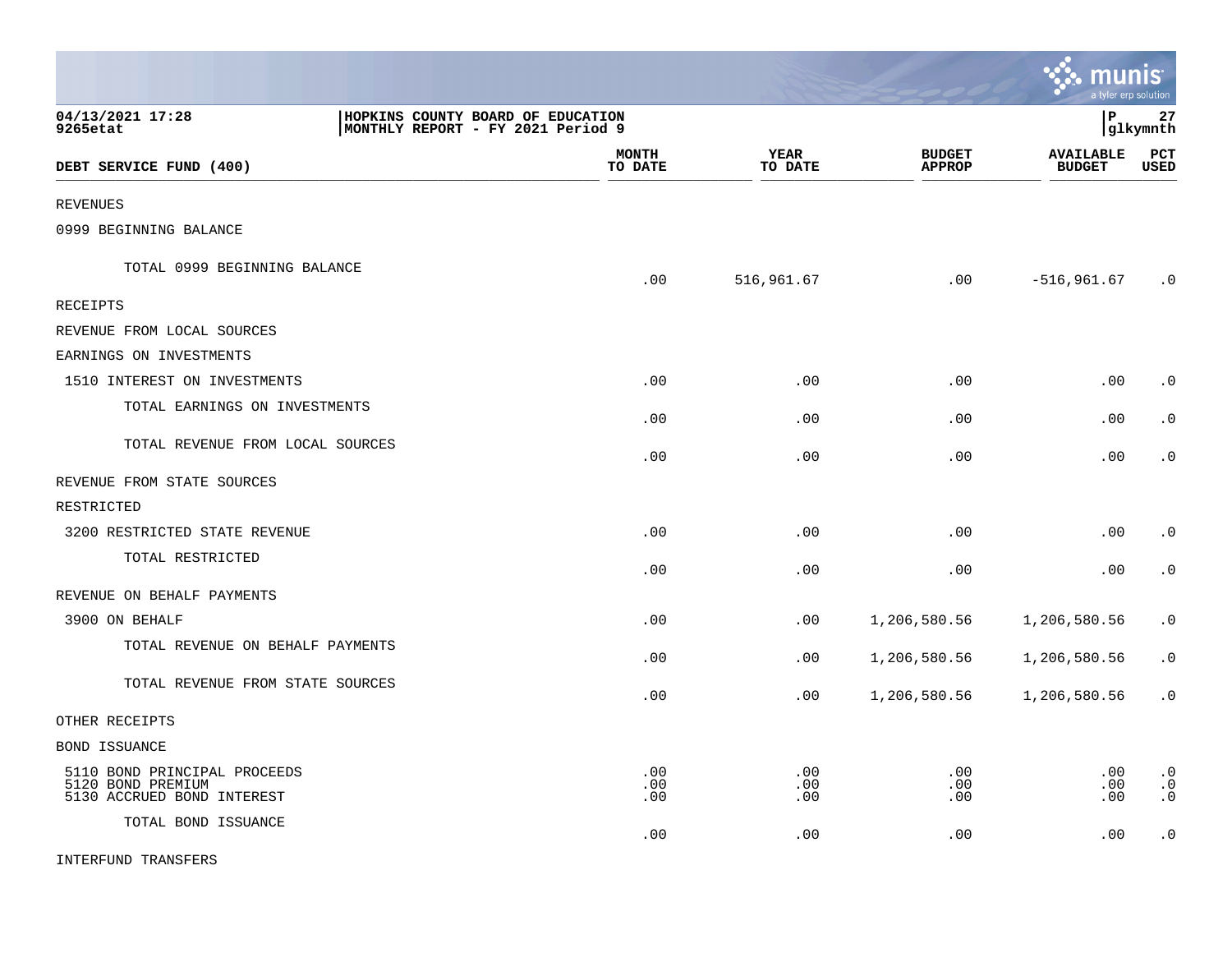|                                                                                 |                                                                        |                         |                        |                                | munis<br>a tvler erp solution     |                                     |
|---------------------------------------------------------------------------------|------------------------------------------------------------------------|-------------------------|------------------------|--------------------------------|-----------------------------------|-------------------------------------|
| 04/13/2021 17:28<br>9265etat                                                    | HOPKINS COUNTY BOARD OF EDUCATION<br>MONTHLY REPORT - FY 2021 Period 9 |                         |                        |                                | l P                               | 27<br> glkymnth                     |
| DEBT SERVICE FUND (400)                                                         |                                                                        | <b>MONTH</b><br>TO DATE | <b>YEAR</b><br>TO DATE | <b>BUDGET</b><br><b>APPROP</b> | <b>AVAILABLE</b><br><b>BUDGET</b> | PCT<br><b>USED</b>                  |
| <b>REVENUES</b>                                                                 |                                                                        |                         |                        |                                |                                   |                                     |
| 0999 BEGINNING BALANCE                                                          |                                                                        |                         |                        |                                |                                   |                                     |
| TOTAL 0999 BEGINNING BALANCE                                                    |                                                                        | .00                     | 516,961.67             | .00                            | $-516, 961.67$                    | $\cdot$ 0                           |
| <b>RECEIPTS</b>                                                                 |                                                                        |                         |                        |                                |                                   |                                     |
| REVENUE FROM LOCAL SOURCES                                                      |                                                                        |                         |                        |                                |                                   |                                     |
| EARNINGS ON INVESTMENTS                                                         |                                                                        |                         |                        |                                |                                   |                                     |
| 1510 INTEREST ON INVESTMENTS                                                    |                                                                        | .00                     | .00                    | .00                            | .00                               | $\cdot$ 0                           |
| TOTAL EARNINGS ON INVESTMENTS                                                   |                                                                        | .00                     | .00                    | .00                            | .00                               | $\cdot$ 0                           |
| TOTAL REVENUE FROM LOCAL SOURCES                                                |                                                                        | .00                     | .00                    | .00                            | .00                               | $\cdot$ 0                           |
| REVENUE FROM STATE SOURCES                                                      |                                                                        |                         |                        |                                |                                   |                                     |
| RESTRICTED                                                                      |                                                                        |                         |                        |                                |                                   |                                     |
| 3200 RESTRICTED STATE REVENUE                                                   |                                                                        | .00                     | .00                    | .00                            | .00                               | $\cdot$ 0                           |
| TOTAL RESTRICTED                                                                |                                                                        | .00                     | .00                    | .00                            | .00                               | $\cdot$ 0                           |
| REVENUE ON BEHALF PAYMENTS                                                      |                                                                        |                         |                        |                                |                                   |                                     |
| 3900 ON BEHALF                                                                  |                                                                        | .00                     | .00                    | 1,206,580.56                   | 1,206,580.56                      | $\cdot$ 0                           |
| TOTAL REVENUE ON BEHALF PAYMENTS                                                |                                                                        | .00                     | .00                    | 1,206,580.56                   | 1,206,580.56                      | $\cdot$ 0                           |
| TOTAL REVENUE FROM STATE SOURCES                                                |                                                                        | .00                     | .00                    | 1,206,580.56                   | 1,206,580.56                      | $\cdot$ 0                           |
| OTHER RECEIPTS                                                                  |                                                                        |                         |                        |                                |                                   |                                     |
| BOND ISSUANCE                                                                   |                                                                        |                         |                        |                                |                                   |                                     |
| 5110 BOND PRINCIPAL PROCEEDS<br>5120 BOND PREMIUM<br>5130 ACCRUED BOND INTEREST |                                                                        | .00<br>.00<br>.00       | .00<br>.00<br>.00      | .00<br>.00<br>.00              | .00<br>.00<br>.00                 | $\cdot$ 0<br>$\cdot$ 0<br>$\cdot$ 0 |
| TOTAL BOND ISSUANCE                                                             |                                                                        | .00                     | .00                    | .00                            | .00                               | $\cdot$ 0                           |
| INTERFUND TRANSFERS                                                             |                                                                        |                         |                        |                                |                                   |                                     |

**COLL**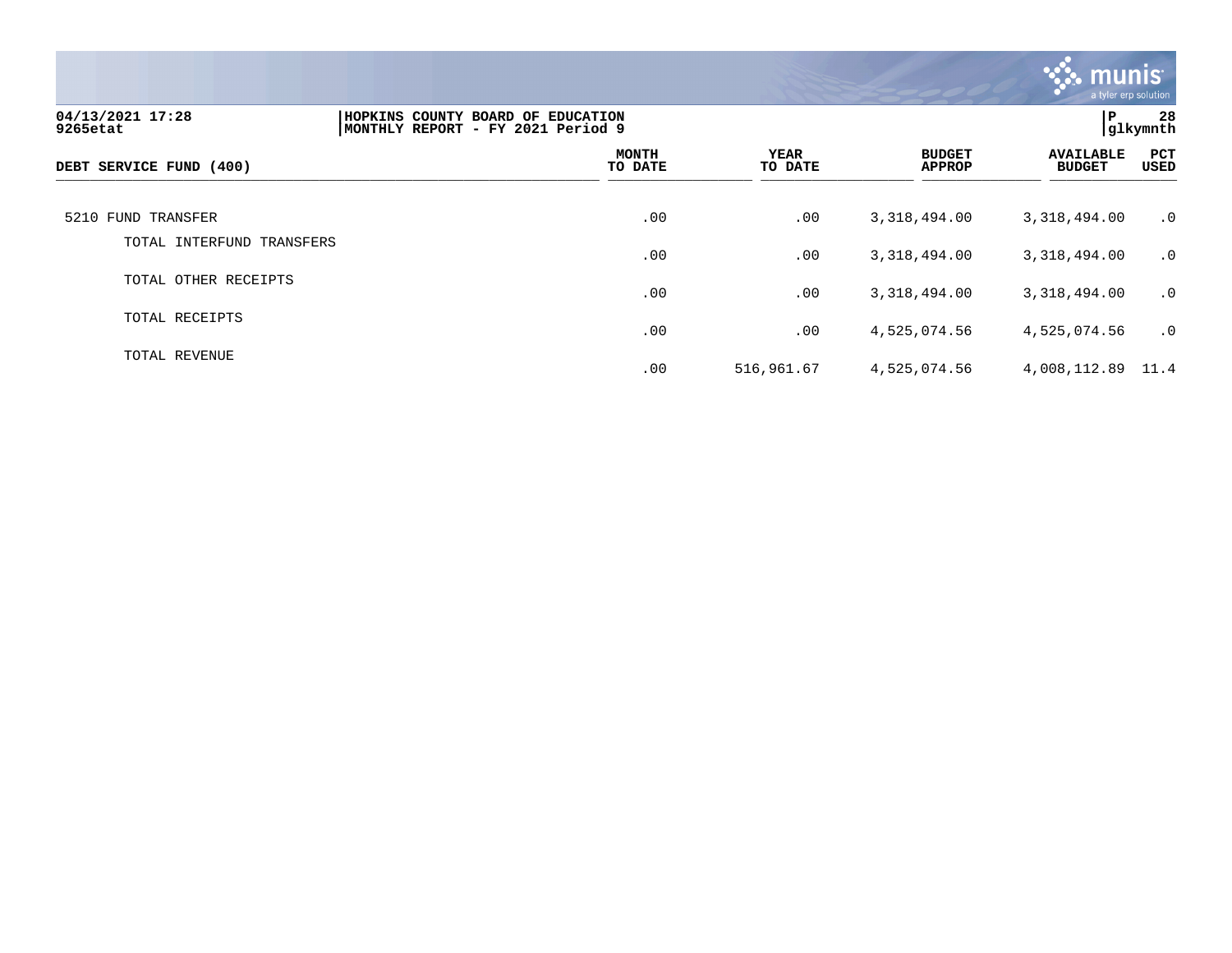

| 04/13/2021 17:28<br>9265etat | HOPKINS COUNTY BOARD OF EDUCATION<br>MONTHLY REPORT - FY 2021 Period 9 |                         |                 |                                | P                                 | 28<br> glkymnth |
|------------------------------|------------------------------------------------------------------------|-------------------------|-----------------|--------------------------------|-----------------------------------|-----------------|
| DEBT SERVICE FUND (400)      |                                                                        | <b>MONTH</b><br>TO DATE | YEAR<br>TO DATE | <b>BUDGET</b><br><b>APPROP</b> | <b>AVAILABLE</b><br><b>BUDGET</b> | PCT<br>USED     |
| 5210 FUND TRANSFER           |                                                                        | .00                     | .00             | 3,318,494.00                   | 3,318,494.00                      | $\cdot$ 0       |
| TOTAL INTERFUND<br>TRANSFERS |                                                                        | .00                     | .00             | 3,318,494.00                   | 3,318,494.00                      | $\cdot$ 0       |
| TOTAL OTHER RECEIPTS         |                                                                        | .00                     | .00             | 3,318,494.00                   | 3,318,494.00                      | $\cdot$ 0       |
| TOTAL RECEIPTS               |                                                                        | .00                     | .00             | 4,525,074.56                   | 4,525,074.56                      | $\cdot$ 0       |
| TOTAL REVENUE                |                                                                        | .00                     | 516,961.67      | 4,525,074.56                   | 4,008,112.89 11.4                 |                 |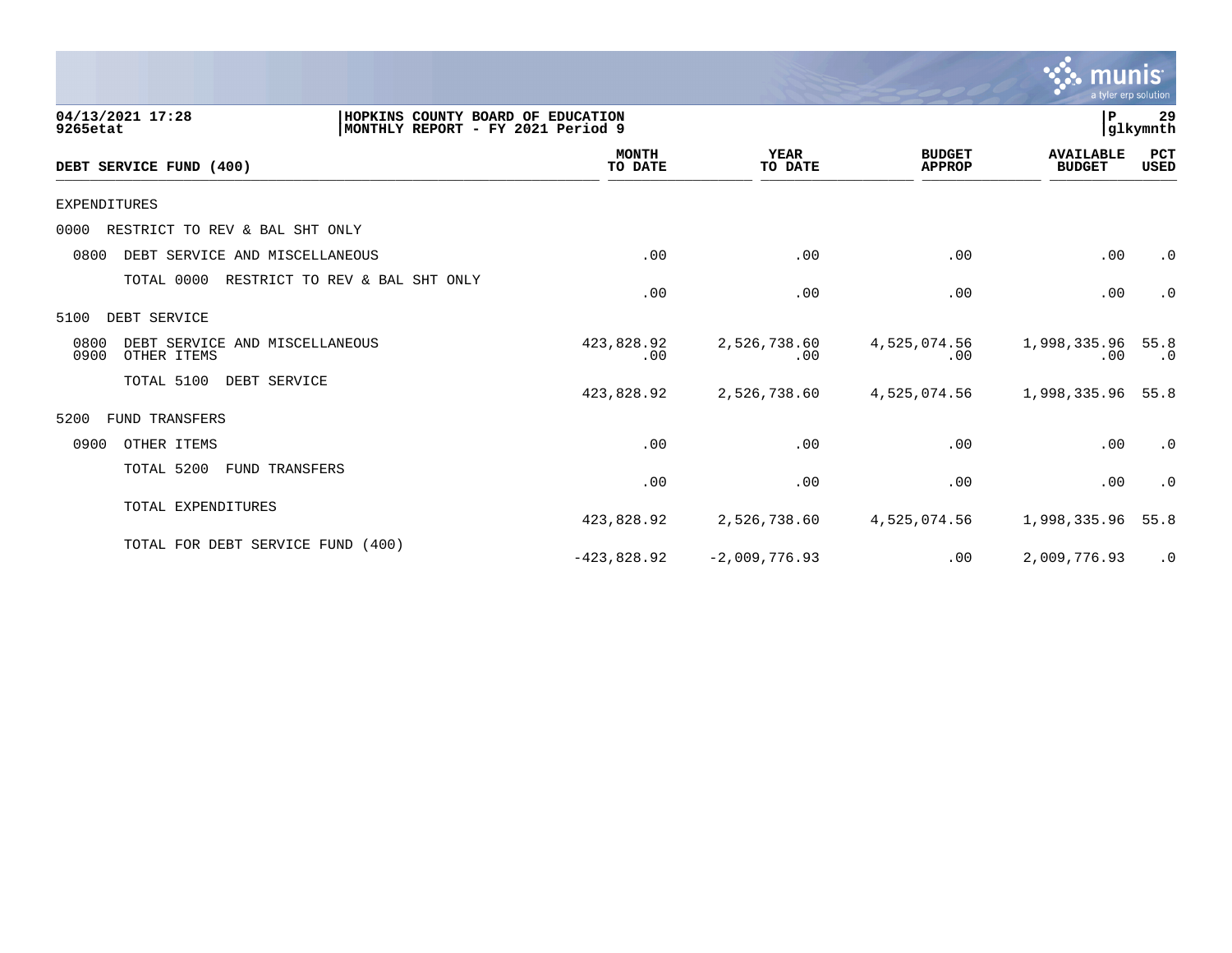

| 04/13/2021 17:28<br>9265etat                                  | HOPKINS COUNTY BOARD OF EDUCATION<br>MONTHLY REPORT - FY 2021 Period 9 |                         |                        |                                | P                                 | 29<br>glkymnth     |
|---------------------------------------------------------------|------------------------------------------------------------------------|-------------------------|------------------------|--------------------------------|-----------------------------------|--------------------|
| DEBT SERVICE FUND (400)                                       |                                                                        | <b>MONTH</b><br>TO DATE | <b>YEAR</b><br>TO DATE | <b>BUDGET</b><br><b>APPROP</b> | <b>AVAILABLE</b><br><b>BUDGET</b> | PCT<br><b>USED</b> |
| EXPENDITURES                                                  |                                                                        |                         |                        |                                |                                   |                    |
| RESTRICT TO REV & BAL SHT ONLY<br>0000                        |                                                                        |                         |                        |                                |                                   |                    |
| 0800<br>DEBT SERVICE AND MISCELLANEOUS                        |                                                                        | .00                     | .00                    | .00                            | .00                               | $\cdot$ 0          |
| TOTAL 0000                                                    | RESTRICT TO REV & BAL SHT ONLY                                         | .00                     | .00                    | .00                            | .00                               | $\cdot$ 0          |
| 5100<br>DEBT SERVICE                                          |                                                                        |                         |                        |                                |                                   |                    |
| 0800<br>DEBT SERVICE AND MISCELLANEOUS<br>0900<br>OTHER ITEMS |                                                                        | 423,828.92<br>.00       | 2,526,738.60<br>.00    | 4,525,074.56<br>.00            | 1,998,335.96<br>.00               | 55.8<br>$\cdot$ 0  |
| TOTAL 5100<br>DEBT SERVICE                                    |                                                                        | 423,828.92              | 2,526,738.60           | 4,525,074.56                   | 1,998,335.96                      | 55.8               |
| 5200<br><b>FUND TRANSFERS</b>                                 |                                                                        |                         |                        |                                |                                   |                    |
| 0900<br>OTHER ITEMS                                           |                                                                        | .00                     | .00                    | .00                            | .00                               | $\cdot$ 0          |
| TOTAL 5200                                                    | FUND TRANSFERS                                                         | .00                     | .00                    | .00                            | .00                               | $\cdot$ 0          |
| TOTAL EXPENDITURES                                            |                                                                        | 423,828.92              | 2,526,738.60           | 4,525,074.56                   | 1,998,335.96                      | 55.8               |
| TOTAL FOR DEBT SERVICE FUND (400)                             |                                                                        | $-423,828.92$           | $-2,009,776.93$        | .00                            | 2,009,776.93                      | .0                 |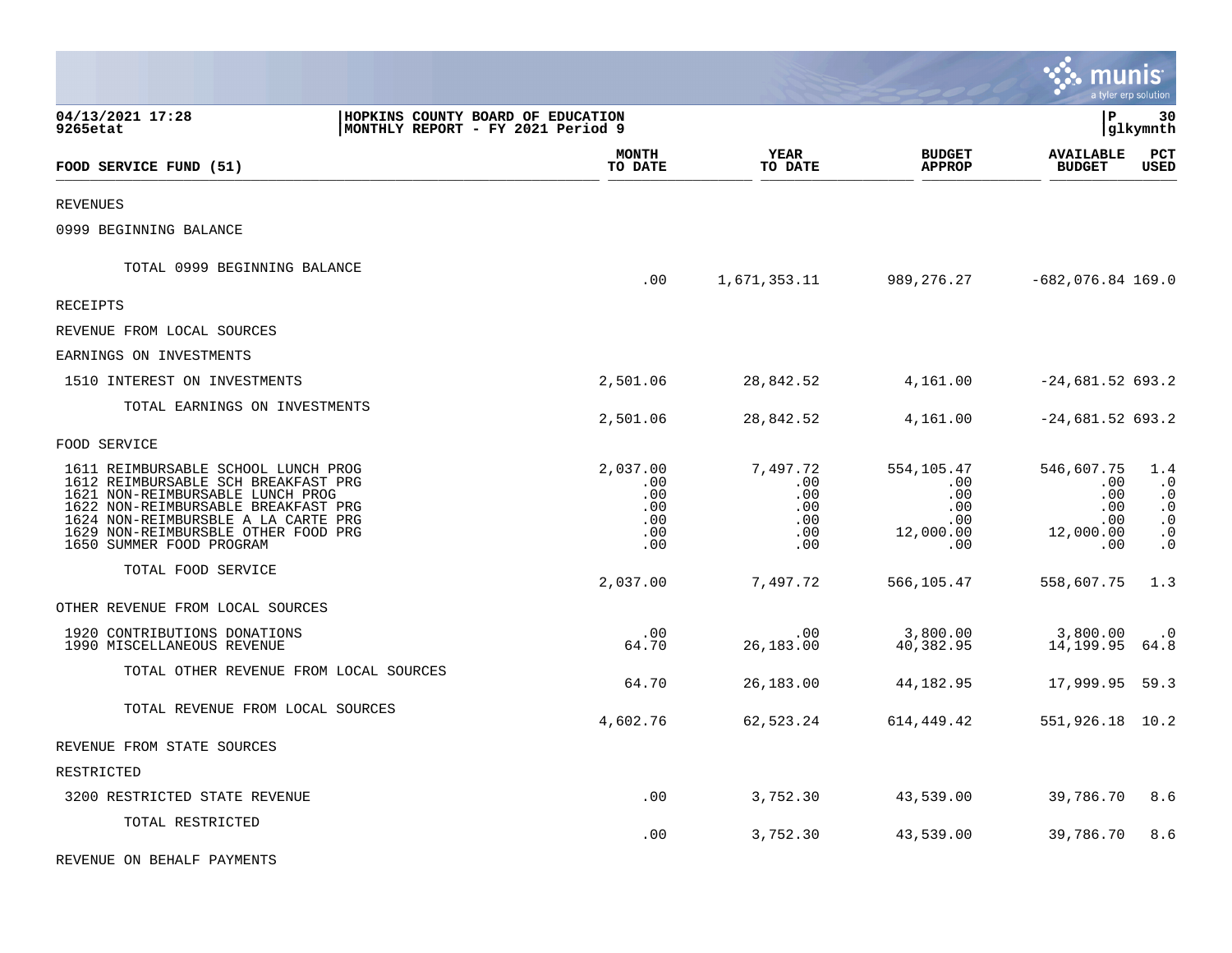|                                                                                                                                                                                                                                                                 |                                                                         |                                                    |                                                    |                                                            | munis                                                      | a tyler erp solution                                                              |
|-----------------------------------------------------------------------------------------------------------------------------------------------------------------------------------------------------------------------------------------------------------------|-------------------------------------------------------------------------|----------------------------------------------------|----------------------------------------------------|------------------------------------------------------------|------------------------------------------------------------|-----------------------------------------------------------------------------------|
| 04/13/2021 17:28<br>9265etat                                                                                                                                                                                                                                    | HOPKINS COUNTY BOARD OF EDUCATION<br> MONTHLY REPORT - FY 2021 Period 9 |                                                    |                                                    |                                                            | l P                                                        | 30<br> glkymnth                                                                   |
| FOOD SERVICE FUND (51)                                                                                                                                                                                                                                          |                                                                         | <b>MONTH</b><br>TO DATE                            | <b>YEAR</b><br>TO DATE                             | <b>BUDGET</b><br><b>APPROP</b>                             | <b>AVAILABLE</b><br><b>BUDGET</b>                          | $_{\rm PCT}$<br><b>USED</b>                                                       |
| <b>REVENUES</b>                                                                                                                                                                                                                                                 |                                                                         |                                                    |                                                    |                                                            |                                                            |                                                                                   |
| 0999 BEGINNING BALANCE                                                                                                                                                                                                                                          |                                                                         |                                                    |                                                    |                                                            |                                                            |                                                                                   |
| TOTAL 0999 BEGINNING BALANCE                                                                                                                                                                                                                                    |                                                                         | .00                                                | 1,671,353.11                                       |                                                            | 989,276.27 -682,076.84 169.0                               |                                                                                   |
| RECEIPTS                                                                                                                                                                                                                                                        |                                                                         |                                                    |                                                    |                                                            |                                                            |                                                                                   |
| REVENUE FROM LOCAL SOURCES                                                                                                                                                                                                                                      |                                                                         |                                                    |                                                    |                                                            |                                                            |                                                                                   |
| EARNINGS ON INVESTMENTS                                                                                                                                                                                                                                         |                                                                         |                                                    |                                                    |                                                            |                                                            |                                                                                   |
| 1510 INTEREST ON INVESTMENTS                                                                                                                                                                                                                                    |                                                                         | 2,501.06                                           | 28,842.52                                          | 4,161.00                                                   | $-24,681.52$ 693.2                                         |                                                                                   |
| TOTAL EARNINGS ON INVESTMENTS                                                                                                                                                                                                                                   |                                                                         | 2,501.06                                           | 28,842.52                                          | 4,161.00                                                   | $-24,681.52$ 693.2                                         |                                                                                   |
| FOOD SERVICE                                                                                                                                                                                                                                                    |                                                                         |                                                    |                                                    |                                                            |                                                            |                                                                                   |
| 1611 REIMBURSABLE SCHOOL LUNCH PROG<br>1612 REIMBURSABLE SCH BREAKFAST PRG<br>1621 NON-REIMBURSABLE LUNCH PROG<br>1622 NON-REIMBURSABLE BREAKFAST PRG<br>1624 NON-REIMBURSBLE A LA CARTE PRG<br>1629 NON-REIMBURSBLE OTHER FOOD PRG<br>1650 SUMMER FOOD PROGRAM |                                                                         | 2,037.00<br>.00<br>.00<br>.00<br>.00<br>.00<br>.00 | 7.497.72<br>.00<br>.00<br>.00<br>.00<br>.00<br>.00 | 554,105.47<br>.00<br>.00<br>.00<br>.00<br>12,000.00<br>.00 | 546,607.75<br>.00<br>.00<br>.00<br>.00<br>12,000.00<br>.00 | 1.4<br>$\cdot$ 0<br>$\cdot$ 0<br>$\cdot$ 0<br>$\cdot$ 0<br>$\cdot$ 0<br>$\cdot$ 0 |
| TOTAL FOOD SERVICE                                                                                                                                                                                                                                              |                                                                         | 2,037.00                                           | 7,497.72                                           | 566,105.47                                                 | 558,607.75                                                 | 1.3                                                                               |
| OTHER REVENUE FROM LOCAL SOURCES                                                                                                                                                                                                                                |                                                                         |                                                    |                                                    |                                                            |                                                            |                                                                                   |
| 1920 CONTRIBUTIONS DONATIONS<br>1990 MISCELLANEOUS REVENUE                                                                                                                                                                                                      |                                                                         | .00<br>64.70                                       | .00<br>26,183.00                                   | 3,800.00<br>40,382.95                                      | 3,800.00<br>14,199.95                                      | $\cdot$ 0<br>64.8                                                                 |
| TOTAL OTHER REVENUE FROM LOCAL SOURCES                                                                                                                                                                                                                          |                                                                         | 64.70                                              | 26,183.00                                          | 44,182.95                                                  | 17,999.95                                                  | 59.3                                                                              |
| TOTAL REVENUE FROM LOCAL SOURCES                                                                                                                                                                                                                                |                                                                         | 4,602.76                                           | 62,523.24                                          | 614,449.42                                                 | 551,926.18 10.2                                            |                                                                                   |
| REVENUE FROM STATE SOURCES                                                                                                                                                                                                                                      |                                                                         |                                                    |                                                    |                                                            |                                                            |                                                                                   |
| RESTRICTED                                                                                                                                                                                                                                                      |                                                                         |                                                    |                                                    |                                                            |                                                            |                                                                                   |
| 3200 RESTRICTED STATE REVENUE                                                                                                                                                                                                                                   |                                                                         | .00                                                | 3,752.30                                           | 43,539.00                                                  | 39,786.70                                                  | 8.6                                                                               |
| TOTAL RESTRICTED                                                                                                                                                                                                                                                |                                                                         | .00                                                | 3,752.30                                           | 43,539.00                                                  | 39,786.70                                                  | 8.6                                                                               |
| REVENUE ON BEHALF PAYMENTS                                                                                                                                                                                                                                      |                                                                         |                                                    |                                                    |                                                            |                                                            |                                                                                   |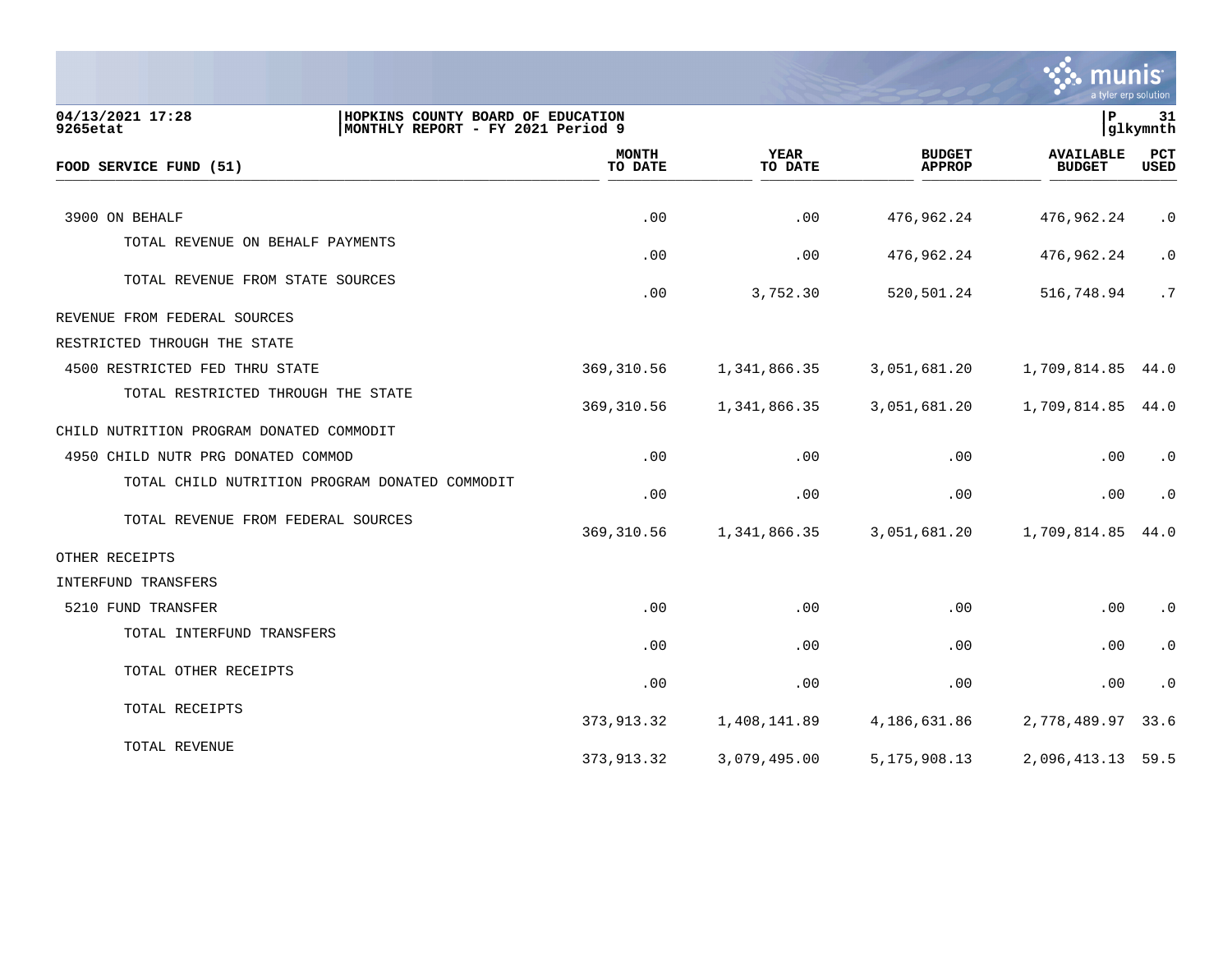

| 04/13/2021 17:28<br>HOPKINS COUNTY BOARD OF EDUCATION<br>MONTHLY REPORT - FY 2021 Period 9<br>9265etat |                         |                        |                                | P                                 | 31<br> glkymnth    |
|--------------------------------------------------------------------------------------------------------|-------------------------|------------------------|--------------------------------|-----------------------------------|--------------------|
| FOOD SERVICE FUND (51)                                                                                 | <b>MONTH</b><br>TO DATE | <b>YEAR</b><br>TO DATE | <b>BUDGET</b><br><b>APPROP</b> | <b>AVAILABLE</b><br><b>BUDGET</b> | PCT<br><b>USED</b> |
| 3900 ON BEHALF                                                                                         | .00                     | .00                    | 476,962.24                     | 476,962.24                        | $\cdot$ 0          |
| TOTAL REVENUE ON BEHALF PAYMENTS                                                                       |                         |                        |                                |                                   |                    |
|                                                                                                        | .00                     | .00                    | 476,962.24                     | 476,962.24                        | $\cdot$ 0          |
| TOTAL REVENUE FROM STATE SOURCES                                                                       | .00                     | 3,752.30               | 520,501.24                     | 516,748.94                        | .7                 |
| REVENUE FROM FEDERAL SOURCES                                                                           |                         |                        |                                |                                   |                    |
| RESTRICTED THROUGH THE STATE                                                                           |                         |                        |                                |                                   |                    |
| 4500 RESTRICTED FED THRU STATE                                                                         | 369,310.56              | 1,341,866.35           | 3,051,681.20                   | 1,709,814.85 44.0                 |                    |
| TOTAL RESTRICTED THROUGH THE STATE                                                                     | 369, 310.56             | 1,341,866.35           | 3,051,681.20                   | 1,709,814.85                      | 44.0               |
| CHILD NUTRITION PROGRAM DONATED COMMODIT                                                               |                         |                        |                                |                                   |                    |
| 4950 CHILD NUTR PRG DONATED COMMOD                                                                     | .00                     | .00                    | .00                            | .00                               | $\cdot$ 0          |
| TOTAL CHILD NUTRITION PROGRAM DONATED COMMODIT                                                         | .00                     | .00                    | .00                            | .00                               | $\cdot$ 0          |
| TOTAL REVENUE FROM FEDERAL SOURCES                                                                     | 369, 310.56             | 1,341,866.35           | 3,051,681.20                   | 1,709,814.85                      | 44.0               |
| OTHER RECEIPTS                                                                                         |                         |                        |                                |                                   |                    |
| INTERFUND TRANSFERS                                                                                    |                         |                        |                                |                                   |                    |
| 5210 FUND TRANSFER                                                                                     | .00                     | .00                    | .00                            | .00                               | $\cdot$ 0          |
| TOTAL INTERFUND TRANSFERS                                                                              | .00                     | .00                    | .00                            | .00                               | $\cdot$ 0          |
| TOTAL OTHER RECEIPTS                                                                                   | .00                     | .00                    | .00                            | .00                               | $\cdot$ 0          |
| TOTAL RECEIPTS                                                                                         | 373,913.32              | 1,408,141.89           | 4,186,631.86                   | 2,778,489.97                      | 33.6               |
| TOTAL REVENUE                                                                                          | 373,913.32              | 3,079,495.00           | 5, 175, 908. 13                | 2,096,413.13                      | 59.5               |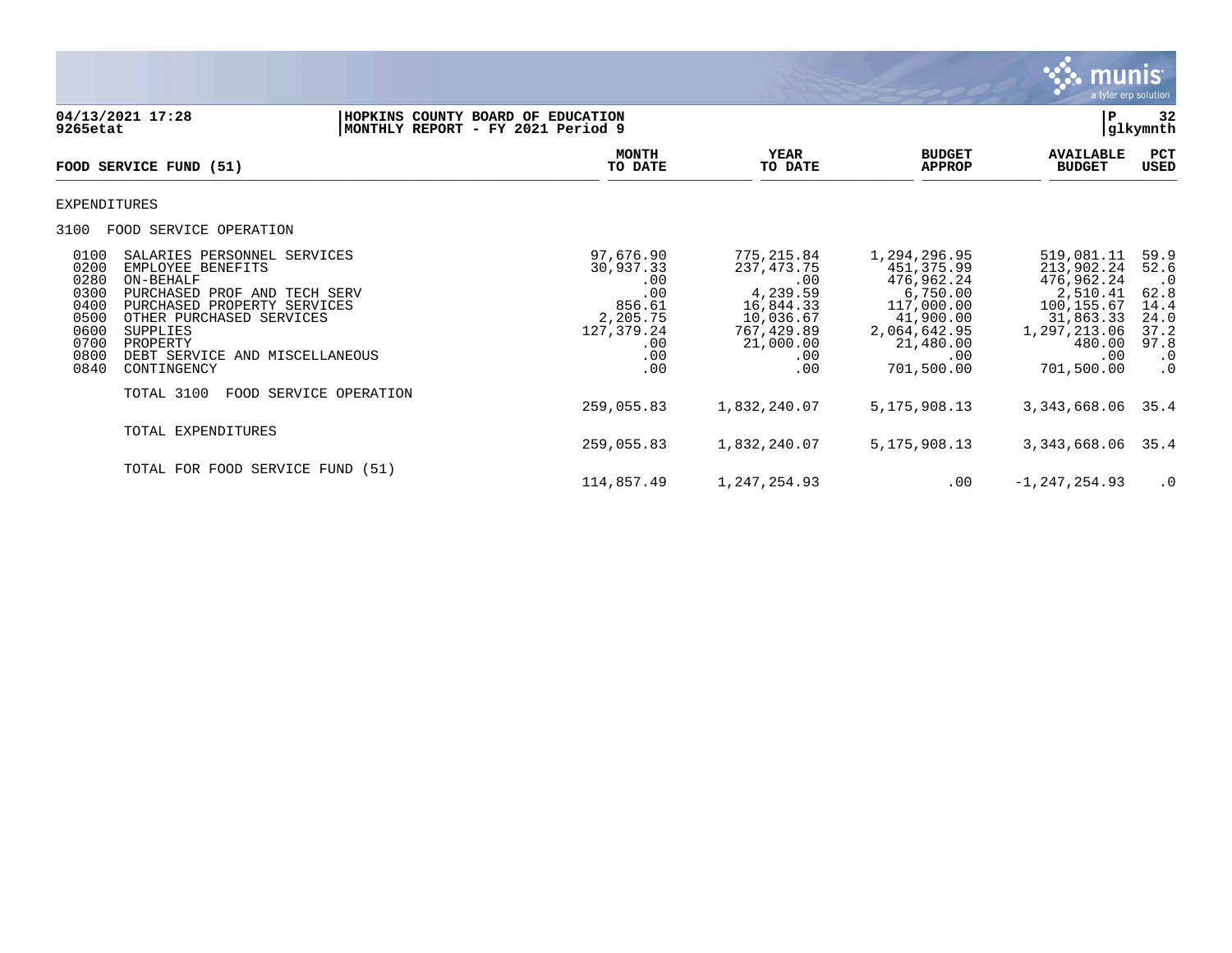

**04/13/2021 17:28 |HOPKINS COUNTY BOARD OF EDUCATION |P 32 MONTHLY REPORT - FY 2021 Period 9 MONTH YEAR BUDGET AVAILABLE PCT**<br>TO DATE TO DATE APPROP BUDGET USED FOOD SERVICE FUND (51)  $\overline{10 \text{ MHz}}$   $\overline{10 \text{ MHz}}$   $\overline{10 \text{ MHz}}$   $\overline{10 \text{ MHz}}$   $\overline{10 \text{ MHz}}$   $\overline{10 \text{ MHz}}$   $\overline{10 \text{ MHz}}$   $\overline{10 \text{ MHz}}$   $\overline{10 \text{ MHz}}$   $\overline{10 \text{ MHz}}$   $\overline{10 \text{ MHz}}$   $\overline{10 \text{ MHz}}$   $\overline{10 \text{ MHz}}$   $\overline{10 \text{ MHz}}$   $\overline{10 \text{ MHz}}$   $\overline{10 \text{ MHz$ EXPENDITURES 3100 FOOD SERVICE OPERATION 0100 SALARIES PERSONNEL SERVICES 97,676.90 775,215.84 1,294,296.95 519,081.11 59.9 0200 EMPLOYEE BENEFITS 30,937.33 237,473.75 451,375.99 213,902.24 52.6 0280 ON-BEHALF .00 .00 476,962.24 476,962.24 .0 0300 PURCHASED PROF AND TECH SERV .00 4,239.59 6,750.00 2,510.41 62.8 0400 PURCHASED PROPERTY SERVICES 6 1 2,205.61 856.61 16,844.33 117,000.00 100,155.67 14.4<br>0500 0THER PURCHASED SERVICES 6 2,205.75 10,036.67 41,900.00 31,863.33 24.0 0500 OTHER PURCHASED SERVICES 2,205.75 10,036.67 41,900.00 31,863.33 24.0 0600 SUPPLIES 127,379.24 767,429.89 2,064,642.95 1,297,213.06 37.2 0700 PROPERTY .00 21,000.00 21,480.00 480.00 97.8 0800 DEBT SERVICE AND MISCELLANEOUS .00 .00 .00 .00 .0 0840 CONTINGENCY TOTAL 3100 FOOD SERVICE OPERATION 259,055.83 1,832,240.07 5,175,908.13 3,343,668.06 35.4 TOTAL EXPENDITURES 259,055.83 1,832,240.07 5,175,908.13 3,343,668.06 35.4 TOTAL FOR FOOD SERVICE FUND (51) 114,857.49 1,247,254.93 .00 -1,247,254.93 .0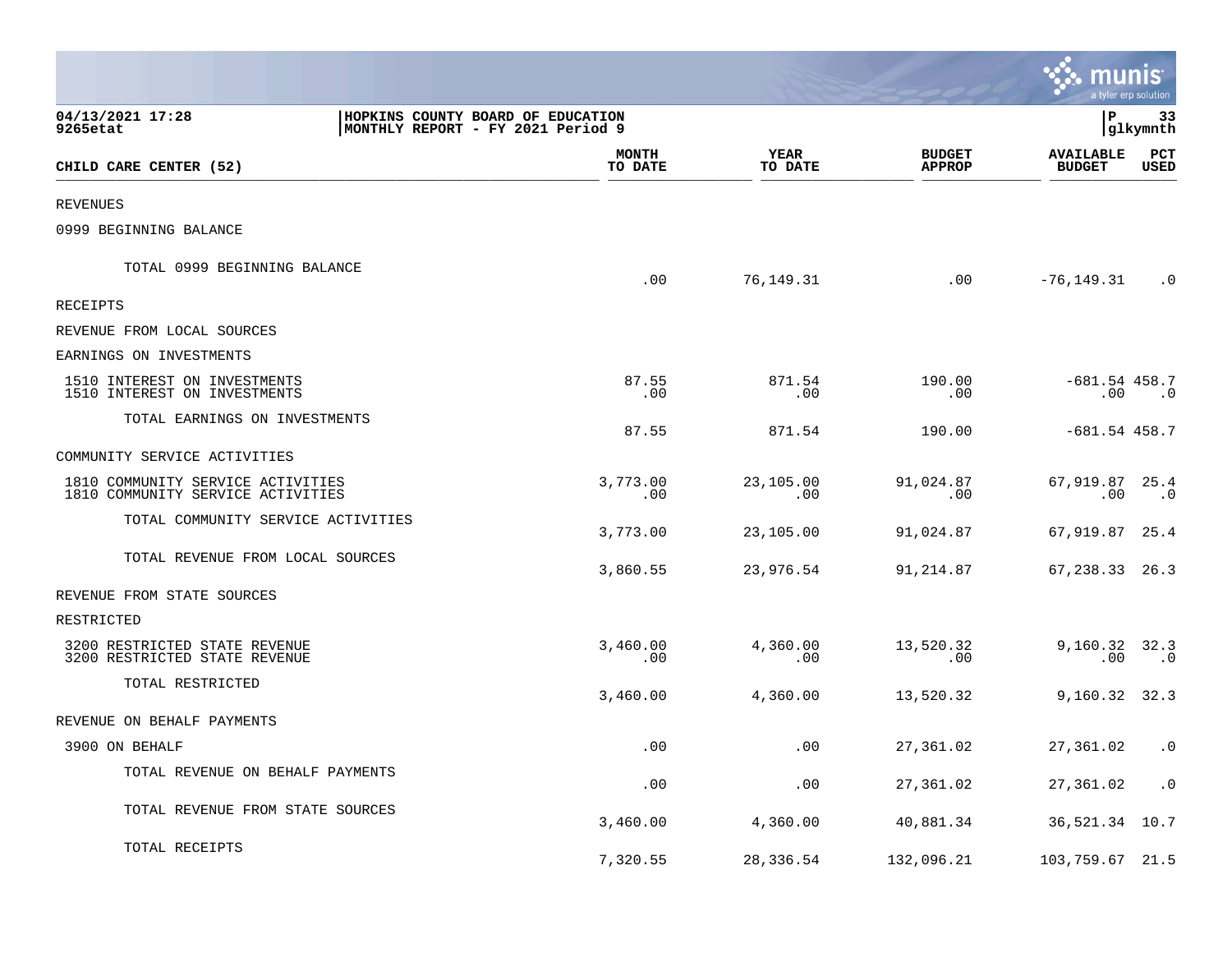|                                                                        |                                                                        |                         |                        |                                | munis                             | a tyler erp solution |  |
|------------------------------------------------------------------------|------------------------------------------------------------------------|-------------------------|------------------------|--------------------------------|-----------------------------------|----------------------|--|
| 04/13/2021 17:28<br>9265etat                                           | HOPKINS COUNTY BOARD OF EDUCATION<br>MONTHLY REPORT - FY 2021 Period 9 |                         |                        |                                | l P<br> glkymnth                  |                      |  |
| CHILD CARE CENTER (52)                                                 |                                                                        | <b>MONTH</b><br>TO DATE | <b>YEAR</b><br>TO DATE | <b>BUDGET</b><br><b>APPROP</b> | <b>AVAILABLE</b><br><b>BUDGET</b> | PCT<br>USED          |  |
| <b>REVENUES</b>                                                        |                                                                        |                         |                        |                                |                                   |                      |  |
| 0999 BEGINNING BALANCE                                                 |                                                                        |                         |                        |                                |                                   |                      |  |
| TOTAL 0999 BEGINNING BALANCE                                           |                                                                        | .00                     | 76,149.31              | .00                            | -76,149.31                        | $\cdot$ 0            |  |
| <b>RECEIPTS</b>                                                        |                                                                        |                         |                        |                                |                                   |                      |  |
| REVENUE FROM LOCAL SOURCES                                             |                                                                        |                         |                        |                                |                                   |                      |  |
| EARNINGS ON INVESTMENTS                                                |                                                                        |                         |                        |                                |                                   |                      |  |
| 1510 INTEREST ON INVESTMENTS<br>1510 INTEREST ON INVESTMENTS           |                                                                        | 87.55<br>.00            | 871.54<br>.00          | 190.00<br>.00                  | $-681.54$ 458.7<br>.00            | $\cdot$ 0            |  |
| TOTAL EARNINGS ON INVESTMENTS                                          |                                                                        | 87.55                   | 871.54                 | 190.00                         | $-681.54$ 458.7                   |                      |  |
| COMMUNITY SERVICE ACTIVITIES                                           |                                                                        |                         |                        |                                |                                   |                      |  |
| 1810 COMMUNITY SERVICE ACTIVITIES<br>1810 COMMUNITY SERVICE ACTIVITIES |                                                                        | 3,773.00<br>.00         | 23,105.00<br>.00       | 91,024.87<br>.00               | 67,919.87 25.4<br>.00             | .0                   |  |
| TOTAL COMMUNITY SERVICE ACTIVITIES                                     |                                                                        | 3,773.00                | 23,105.00              | 91,024.87                      | 67,919.87 25.4                    |                      |  |
| TOTAL REVENUE FROM LOCAL SOURCES                                       |                                                                        | 3,860.55                | 23,976.54              | 91,214.87                      | 67, 238.33 26.3                   |                      |  |
| REVENUE FROM STATE SOURCES                                             |                                                                        |                         |                        |                                |                                   |                      |  |
| RESTRICTED                                                             |                                                                        |                         |                        |                                |                                   |                      |  |
| 3200 RESTRICTED STATE REVENUE<br>3200 RESTRICTED STATE REVENUE         |                                                                        | 3,460.00<br>.00.        | 4,360.00<br>.00        | 13,520.32<br>.00               | 9,160.32 32.3<br>$.00\,$          | $\cdot$ 0            |  |
| TOTAL RESTRICTED                                                       |                                                                        | 3,460.00                | 4,360.00               | 13,520.32                      | $9,160.32$ 32.3                   |                      |  |
| REVENUE ON BEHALF PAYMENTS                                             |                                                                        |                         |                        |                                |                                   |                      |  |
| 3900 ON BEHALF                                                         |                                                                        | .00                     | .00                    | 27,361.02                      | 27,361.02                         | $\cdot$ 0            |  |
| TOTAL REVENUE ON BEHALF PAYMENTS                                       |                                                                        | .00                     | .00                    | 27,361.02                      | 27,361.02                         | $\cdot$ 0            |  |
| TOTAL REVENUE FROM STATE SOURCES                                       |                                                                        | 3,460.00                | 4,360.00               | 40,881.34                      | 36,521.34 10.7                    |                      |  |
| TOTAL RECEIPTS                                                         |                                                                        | 7,320.55                | 28,336.54              | 132,096.21                     | 103,759.67 21.5                   |                      |  |

a sa mga magaalang na mga magaalang ng mga magaalang ng mga magaalang ng magaalang ng magaalang ng magaalang n

the contract of the contract of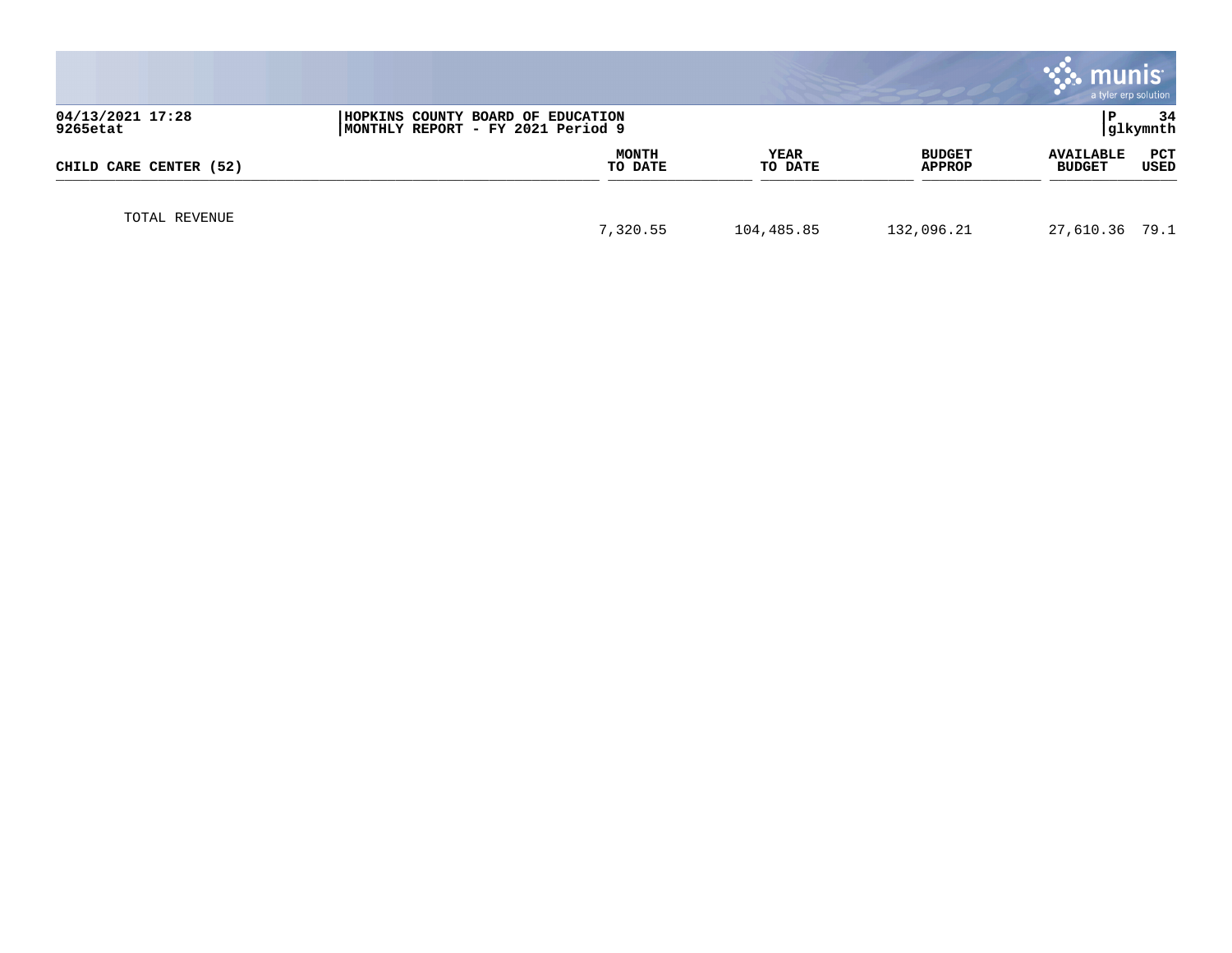|                              |                                                                         |                         |                        |                         | munis<br>a tyler erp solution     |                |
|------------------------------|-------------------------------------------------------------------------|-------------------------|------------------------|-------------------------|-----------------------------------|----------------|
| 04/13/2021 17:28<br>9265etat | HOPKINS COUNTY BOARD OF EDUCATION<br> MONTHLY REPORT - FY 2021 Period 9 |                         |                        |                         |                                   | 34<br>glkymnth |
| CHILD CARE CENTER (52)       |                                                                         | <b>MONTH</b><br>TO DATE | <b>YEAR</b><br>TO DATE | <b>BUDGET</b><br>APPROP | <b>AVAILABLE</b><br><b>BUDGET</b> | PCT<br>USED    |
| TOTAL REVENUE                |                                                                         | 7,320.55                | 104,485.85             | 132,096.21              | 27,610.36 79.1                    |                |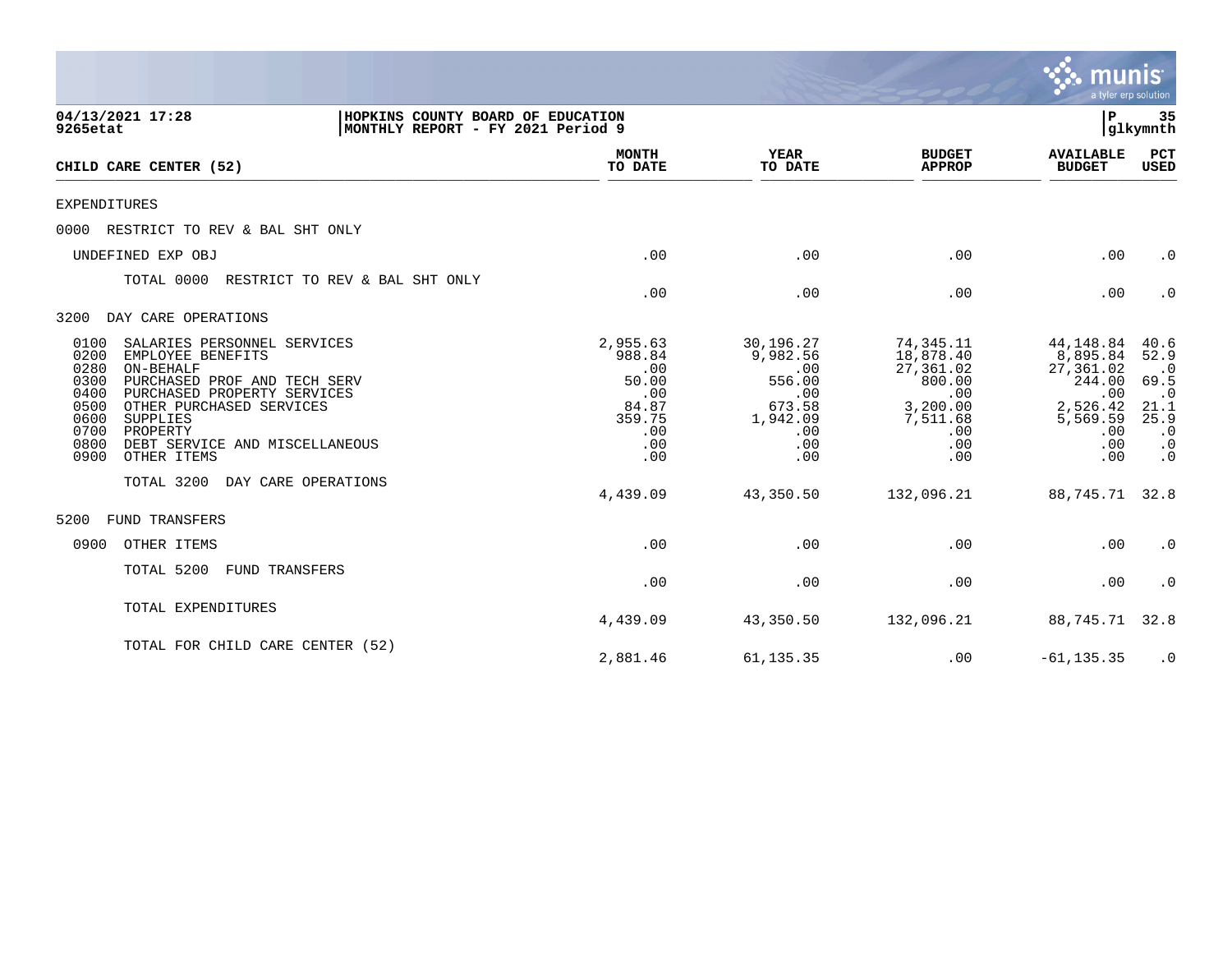|                                                                                                                                                                                                                                                                                                                   |                                                                                   |                                                                                          |                                                                                                   | munis<br>a tyler erp solution                                                                    |                                                                                                       |
|-------------------------------------------------------------------------------------------------------------------------------------------------------------------------------------------------------------------------------------------------------------------------------------------------------------------|-----------------------------------------------------------------------------------|------------------------------------------------------------------------------------------|---------------------------------------------------------------------------------------------------|--------------------------------------------------------------------------------------------------|-------------------------------------------------------------------------------------------------------|
| 04/13/2021 17:28<br>HOPKINS COUNTY BOARD OF EDUCATION<br>MONTHLY REPORT - FY 2021 Period 9<br>9265etat                                                                                                                                                                                                            |                                                                                   |                                                                                          |                                                                                                   | ∣P                                                                                               | 35<br>glkymnth                                                                                        |
| CHILD CARE CENTER (52)                                                                                                                                                                                                                                                                                            | <b>MONTH</b><br>TO DATE                                                           | <b>YEAR</b><br>TO DATE                                                                   | <b>BUDGET</b><br><b>APPROP</b>                                                                    | <b>AVAILABLE</b><br><b>BUDGET</b>                                                                | <b>PCT</b><br>USED                                                                                    |
| EXPENDITURES                                                                                                                                                                                                                                                                                                      |                                                                                   |                                                                                          |                                                                                                   |                                                                                                  |                                                                                                       |
| RESTRICT TO REV & BAL SHT ONLY<br>0000                                                                                                                                                                                                                                                                            |                                                                                   |                                                                                          |                                                                                                   |                                                                                                  |                                                                                                       |
| UNDEFINED EXP OBJ                                                                                                                                                                                                                                                                                                 | .00                                                                               | .00                                                                                      | .00                                                                                               | .00                                                                                              | $\cdot$ 0                                                                                             |
| TOTAL 0000<br>RESTRICT TO REV & BAL SHT ONLY                                                                                                                                                                                                                                                                      | .00                                                                               | .00                                                                                      | .00                                                                                               | .00                                                                                              | $\cdot$ 0                                                                                             |
| DAY CARE OPERATIONS<br>3200                                                                                                                                                                                                                                                                                       |                                                                                   |                                                                                          |                                                                                                   |                                                                                                  |                                                                                                       |
| SALARIES PERSONNEL SERVICES<br>0100<br>0200<br>EMPLOYEE BENEFITS<br>0280<br>ON-BEHALF<br>0300<br>PURCHASED PROF AND TECH SERV<br>0400<br>PURCHASED PROPERTY SERVICES<br>0500<br>OTHER PURCHASED SERVICES<br>0600<br>SUPPLIES<br>0700<br>PROPERTY<br>0800<br>DEBT SERVICE AND MISCELLANEOUS<br>0900<br>OTHER ITEMS | 2,955.63<br>988.84<br>.00<br>50.00<br>.00<br>84.87<br>359.75<br>.00<br>.00<br>.00 | 30,196.27<br>9,982.56<br>.00<br>556.00<br>.00<br>673.58<br>1,942.09<br>.00<br>.00<br>.00 | 74,345.11<br>18,878.40<br>27,361.02<br>800.00<br>.00<br>3,200.00<br>7,511.68<br>.00<br>.00<br>.00 | 44,148.84<br>8,895.84<br>27,361.02<br>244.00<br>.00<br>2,526.42<br>5,569.59<br>.00<br>.00<br>.00 | 40.6<br>52.9<br>$\cdot$ 0<br>69.5<br>$\cdot$ 0<br>21.1<br>25.9<br>$\cdot$ 0<br>$\cdot$ 0<br>$\cdot$ 0 |
| TOTAL 3200<br>DAY CARE OPERATIONS                                                                                                                                                                                                                                                                                 | 4,439.09                                                                          | 43,350.50                                                                                | 132,096.21                                                                                        | 88,745.71                                                                                        | 32.8                                                                                                  |
| FUND TRANSFERS<br>5200                                                                                                                                                                                                                                                                                            |                                                                                   |                                                                                          |                                                                                                   |                                                                                                  |                                                                                                       |
| 0900<br>OTHER ITEMS                                                                                                                                                                                                                                                                                               | .00                                                                               | .00                                                                                      | .00                                                                                               | .00                                                                                              | $\cdot$ 0                                                                                             |
| TOTAL 5200<br>FUND TRANSFERS                                                                                                                                                                                                                                                                                      | .00                                                                               | .00                                                                                      | .00                                                                                               | .00                                                                                              | $\cdot$ 0                                                                                             |
| TOTAL EXPENDITURES                                                                                                                                                                                                                                                                                                | 4,439.09                                                                          | 43,350.50                                                                                | 132,096.21                                                                                        | 88,745.71                                                                                        | 32.8                                                                                                  |
| TOTAL FOR CHILD CARE CENTER (52)                                                                                                                                                                                                                                                                                  | 2,881.46                                                                          | 61, 135.35                                                                               | .00                                                                                               | $-61, 135.35$                                                                                    | $\cdot$ 0                                                                                             |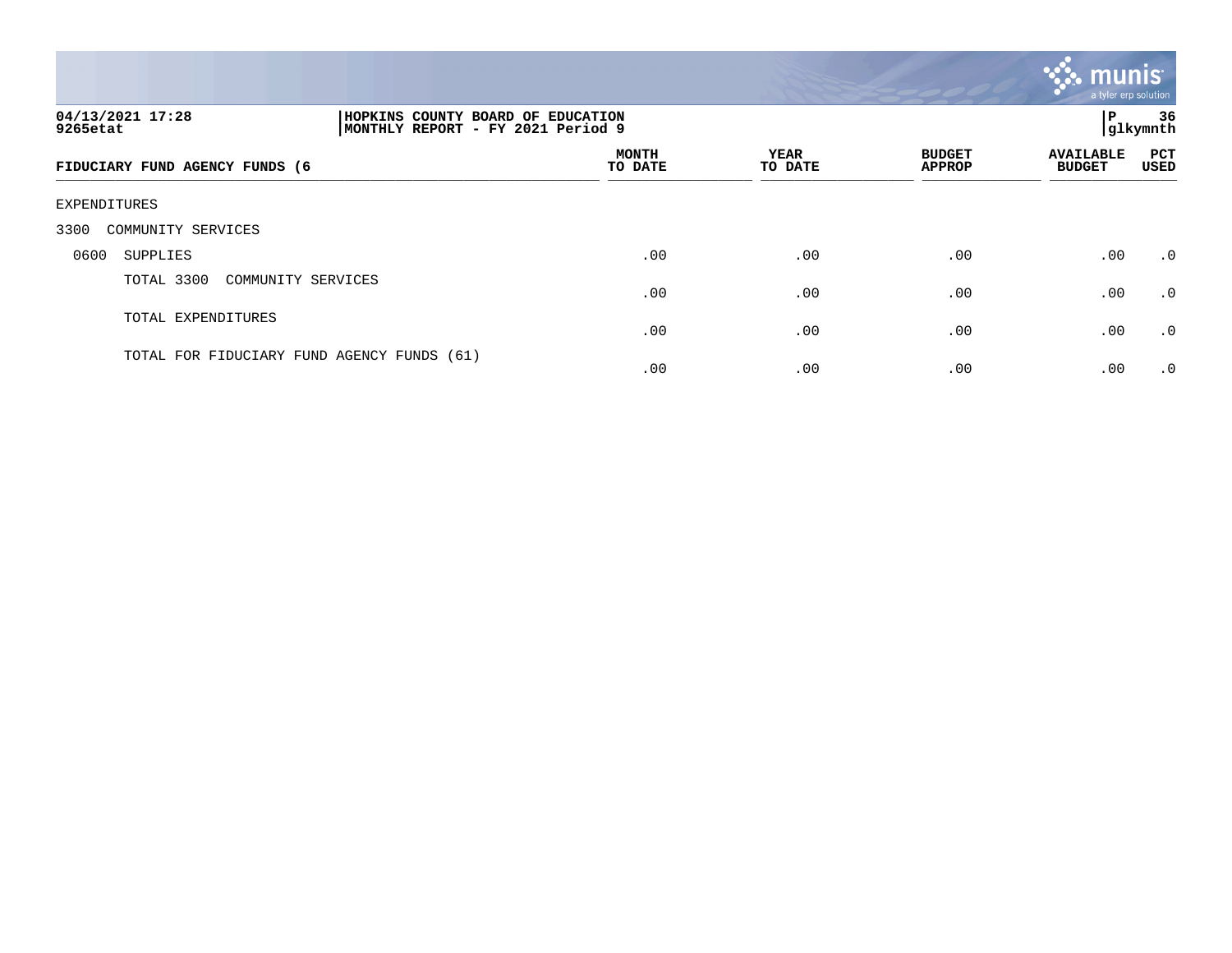

| 04/13/2021 17:28<br>9265etat               | HOPKINS COUNTY BOARD OF EDUCATION<br>MONTHLY REPORT - FY 2021 Period 9 |                         |                        |                                | P                                 | 36<br>glkymnth     |  |  |  |  |
|--------------------------------------------|------------------------------------------------------------------------|-------------------------|------------------------|--------------------------------|-----------------------------------|--------------------|--|--|--|--|
| FIDUCIARY FUND AGENCY FUNDS (6             |                                                                        | <b>MONTH</b><br>TO DATE | <b>YEAR</b><br>TO DATE | <b>BUDGET</b><br><b>APPROP</b> | <b>AVAILABLE</b><br><b>BUDGET</b> | <b>PCT</b><br>USED |  |  |  |  |
| EXPENDITURES                               |                                                                        |                         |                        |                                |                                   |                    |  |  |  |  |
| 3300<br>COMMUNITY SERVICES                 |                                                                        |                         |                        |                                |                                   |                    |  |  |  |  |
| 0600<br>SUPPLIES                           |                                                                        | .00                     | .00                    | .00                            | .00                               | $\cdot$ 0          |  |  |  |  |
| TOTAL 3300<br>COMMUNITY SERVICES           |                                                                        | .00                     | .00                    | .00                            | .00                               | $\cdot$ 0          |  |  |  |  |
| TOTAL EXPENDITURES                         |                                                                        | .00                     | .00                    | .00                            | .00                               | $\cdot$ 0          |  |  |  |  |
| TOTAL FOR FIDUCIARY FUND AGENCY FUNDS (61) |                                                                        | .00                     | .00                    | .00                            | .00                               | $\cdot$ 0          |  |  |  |  |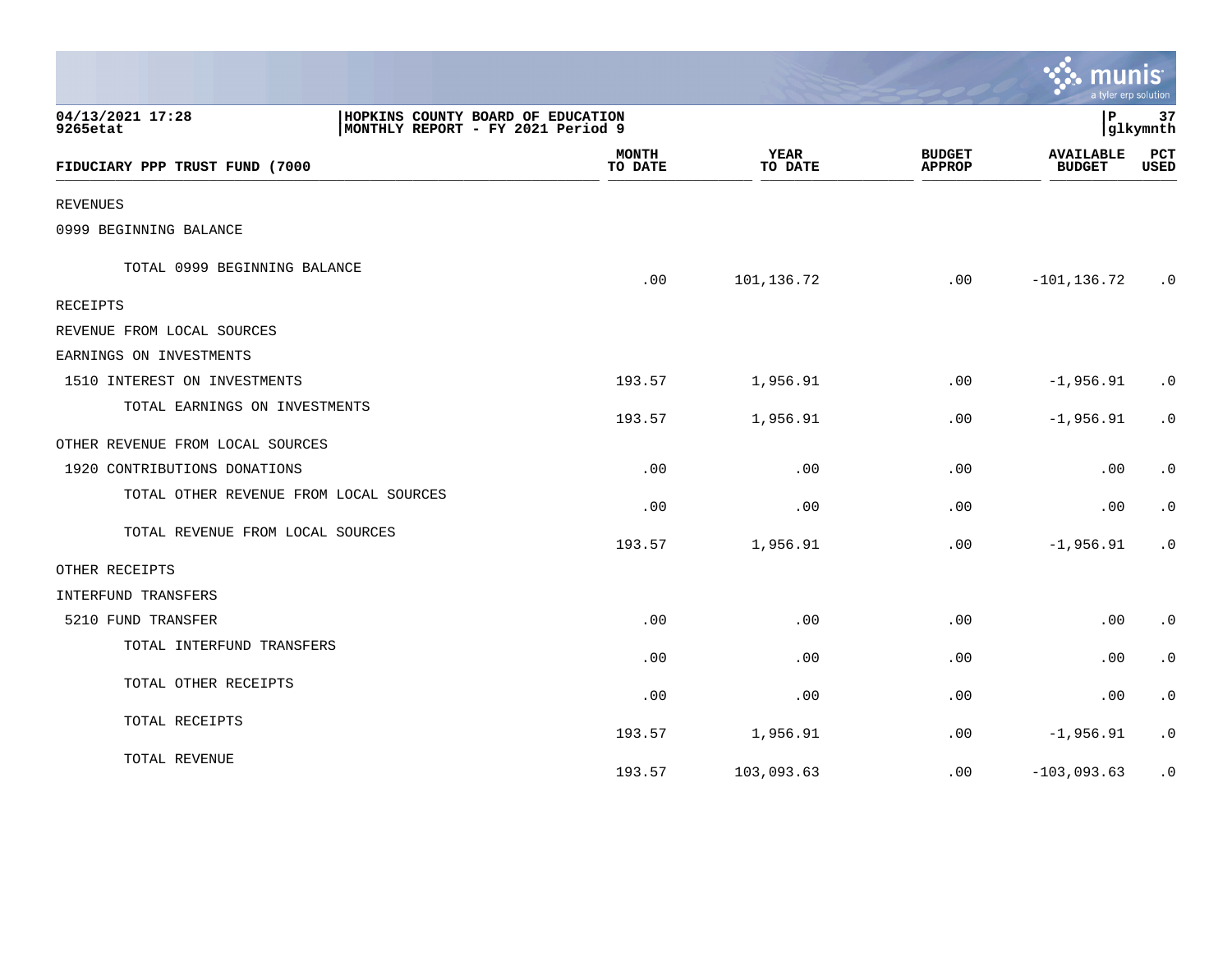|                                        |                                                                        |                        |                                | munis                             | a tyler erp solution   |
|----------------------------------------|------------------------------------------------------------------------|------------------------|--------------------------------|-----------------------------------|------------------------|
| 04/13/2021 17:28<br>9265etat           | HOPKINS COUNTY BOARD OF EDUCATION<br>MONTHLY REPORT - FY 2021 Period 9 |                        |                                | l P                               | 37<br>glkymnth         |
| FIDUCIARY PPP TRUST FUND (7000         | <b>MONTH</b><br>TO DATE                                                | <b>YEAR</b><br>TO DATE | <b>BUDGET</b><br><b>APPROP</b> | <b>AVAILABLE</b><br><b>BUDGET</b> | PCT<br><b>USED</b>     |
| REVENUES                               |                                                                        |                        |                                |                                   |                        |
| 0999 BEGINNING BALANCE                 |                                                                        |                        |                                |                                   |                        |
| TOTAL 0999 BEGINNING BALANCE           | .00                                                                    | 101,136.72             | .00                            | $-101, 136.72$                    | $\cdot$ 0              |
| RECEIPTS                               |                                                                        |                        |                                |                                   |                        |
| REVENUE FROM LOCAL SOURCES             |                                                                        |                        |                                |                                   |                        |
| EARNINGS ON INVESTMENTS                |                                                                        |                        |                                |                                   |                        |
| 1510 INTEREST ON INVESTMENTS           | 193.57                                                                 | 1,956.91               | .00                            | $-1,956.91$                       | $\cdot$ 0              |
| TOTAL EARNINGS ON INVESTMENTS          | 193.57                                                                 | 1,956.91               | .00                            | $-1,956.91$                       | $\cdot$ 0              |
| OTHER REVENUE FROM LOCAL SOURCES       |                                                                        |                        |                                |                                   |                        |
| 1920 CONTRIBUTIONS DONATIONS           | .00                                                                    | .00                    | .00                            | .00                               | $\cdot$ 0              |
| TOTAL OTHER REVENUE FROM LOCAL SOURCES | .00                                                                    | .00                    | .00                            | .00                               | $\cdot$ 0              |
| TOTAL REVENUE FROM LOCAL SOURCES       | 193.57                                                                 | 1,956.91               | .00                            | $-1,956.91$                       | $\cdot$ 0              |
| OTHER RECEIPTS                         |                                                                        |                        |                                |                                   |                        |
| INTERFUND TRANSFERS                    |                                                                        |                        |                                |                                   |                        |
| 5210 FUND TRANSFER                     | .00                                                                    | .00                    | .00                            | .00                               | $\cdot$ 0              |
| TOTAL INTERFUND TRANSFERS              | .00                                                                    | .00                    | .00                            | .00                               | $\cdot$ 0              |
| TOTAL OTHER RECEIPTS                   | .00                                                                    | .00                    | .00                            | .00                               | $\boldsymbol{\cdot}$ 0 |
| TOTAL RECEIPTS                         | 193.57                                                                 | 1,956.91               | .00                            | $-1,956.91$                       | $\cdot$ 0              |
| TOTAL REVENUE                          | 193.57                                                                 | 103,093.63             | .00                            | $-103,093.63$                     | $\cdot$ 0              |

**Tara**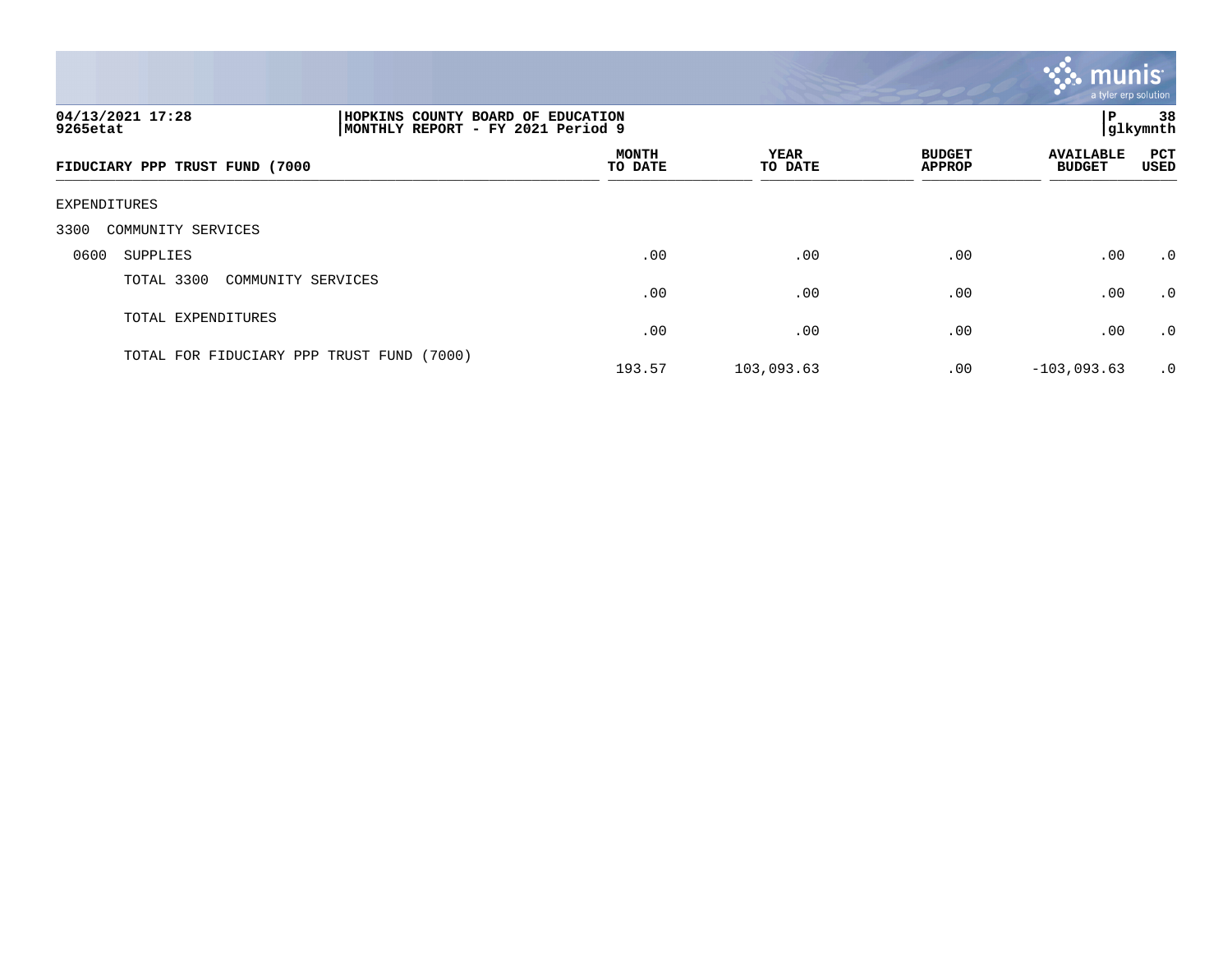

| 04/13/2021 17:28<br>9265etat              | HOPKINS COUNTY BOARD OF EDUCATION<br>MONTHLY REPORT - FY 2021 Period 9 |                         |                 |                                | ΙP                                | 38<br> glkymnth |  |  |  |  |  |
|-------------------------------------------|------------------------------------------------------------------------|-------------------------|-----------------|--------------------------------|-----------------------------------|-----------------|--|--|--|--|--|
| FIDUCIARY PPP TRUST FUND (7000            |                                                                        | <b>MONTH</b><br>TO DATE | YEAR<br>TO DATE | <b>BUDGET</b><br><b>APPROP</b> | <b>AVAILABLE</b><br><b>BUDGET</b> | PCT<br>USED     |  |  |  |  |  |
| EXPENDITURES                              |                                                                        |                         |                 |                                |                                   |                 |  |  |  |  |  |
| 3300<br>COMMUNITY SERVICES                |                                                                        |                         |                 |                                |                                   |                 |  |  |  |  |  |
| 0600<br>SUPPLIES                          |                                                                        | .00                     | .00             | .00                            | .00                               | .0              |  |  |  |  |  |
| TOTAL 3300<br>COMMUNITY SERVICES          |                                                                        | .00                     | .00             | .00                            | .00                               | .0              |  |  |  |  |  |
| TOTAL EXPENDITURES                        |                                                                        | .00                     | .00             | .00                            | .00                               | .0              |  |  |  |  |  |
| TOTAL FOR FIDUCIARY PPP TRUST FUND (7000) |                                                                        | 193.57                  | 103,093.63      | $.00 \,$                       | $-103,093.63$                     | $\cdot$ 0       |  |  |  |  |  |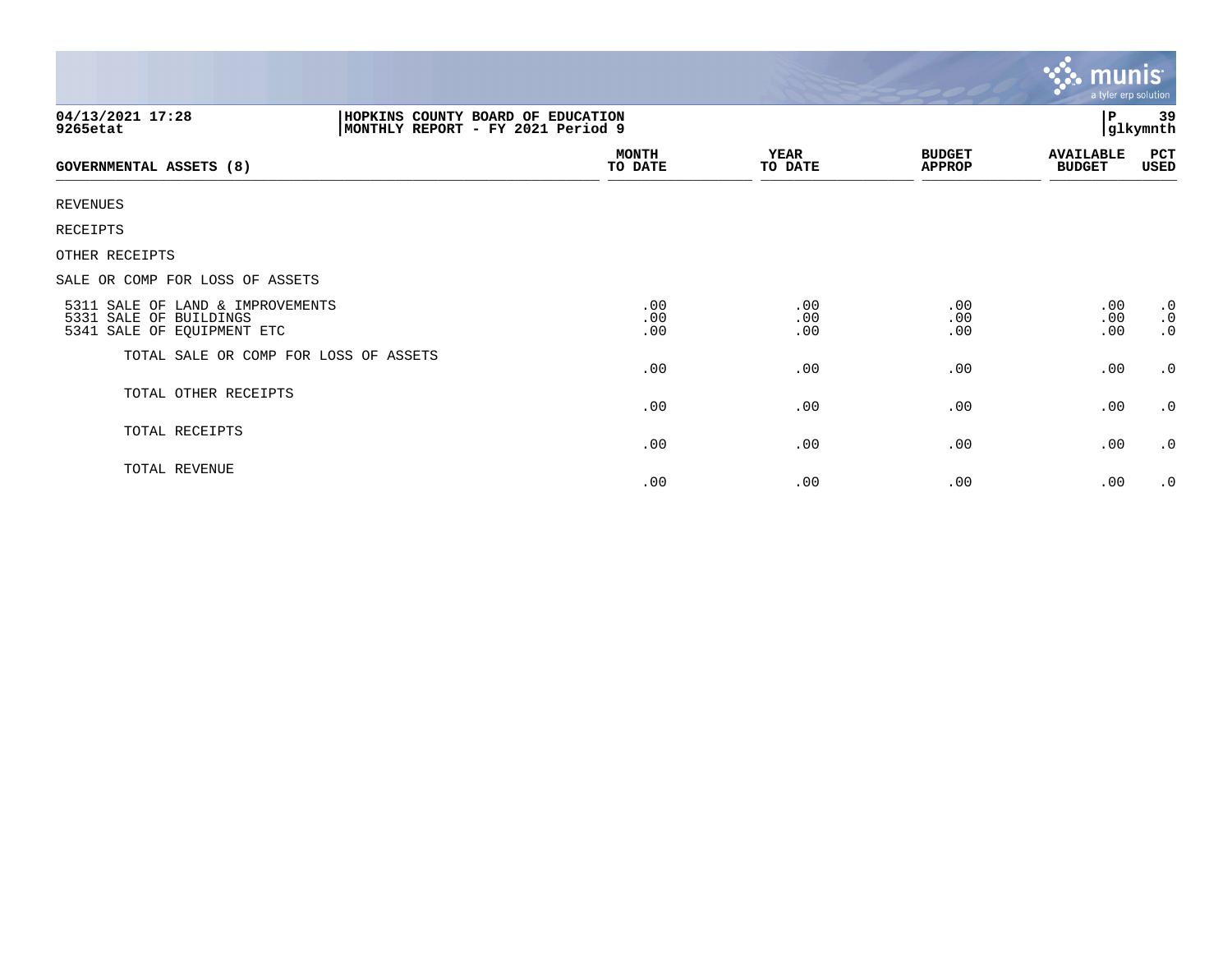|                                                                                          |                                                                        |                         |                        |                                | $\mathbb{C}$ munis<br>a tyler erp solution |                                     |  |
|------------------------------------------------------------------------------------------|------------------------------------------------------------------------|-------------------------|------------------------|--------------------------------|--------------------------------------------|-------------------------------------|--|
| 04/13/2021 17:28<br>9265etat                                                             | HOPKINS COUNTY BOARD OF EDUCATION<br>MONTHLY REPORT - FY 2021 Period 9 |                         |                        |                                | $\, {\bf P}$<br>glkymnth                   |                                     |  |
| <b>GOVERNMENTAL ASSETS (8)</b>                                                           |                                                                        | <b>MONTH</b><br>TO DATE | <b>YEAR</b><br>TO DATE | <b>BUDGET</b><br><b>APPROP</b> | <b>AVAILABLE</b><br><b>BUDGET</b>          | PCT<br><b>USED</b>                  |  |
| <b>REVENUES</b>                                                                          |                                                                        |                         |                        |                                |                                            |                                     |  |
| RECEIPTS                                                                                 |                                                                        |                         |                        |                                |                                            |                                     |  |
| OTHER RECEIPTS                                                                           |                                                                        |                         |                        |                                |                                            |                                     |  |
| SALE OR COMP FOR LOSS OF ASSETS                                                          |                                                                        |                         |                        |                                |                                            |                                     |  |
| 5311 SALE OF LAND & IMPROVEMENTS<br>5331 SALE OF BUILDINGS<br>5341 SALE OF EQUIPMENT ETC |                                                                        | .00<br>.00<br>.00       | .00<br>.00<br>.00      | .00<br>.00<br>.00              | .00<br>.00<br>.00                          | $\cdot$ 0<br>$\cdot$ 0<br>$\cdot$ 0 |  |
| TOTAL SALE OR COMP FOR LOSS OF ASSETS                                                    |                                                                        | .00                     | .00                    | .00                            | .00                                        | $\cdot$ 0                           |  |
| TOTAL OTHER RECEIPTS                                                                     |                                                                        | .00                     | .00                    | .00                            | .00                                        | $\cdot$ 0                           |  |
| TOTAL RECEIPTS                                                                           |                                                                        | .00                     | .00                    | .00                            | .00                                        | $\cdot$ 0                           |  |
| TOTAL REVENUE                                                                            |                                                                        | .00                     | .00                    | .00                            | .00                                        | $\cdot$ 0                           |  |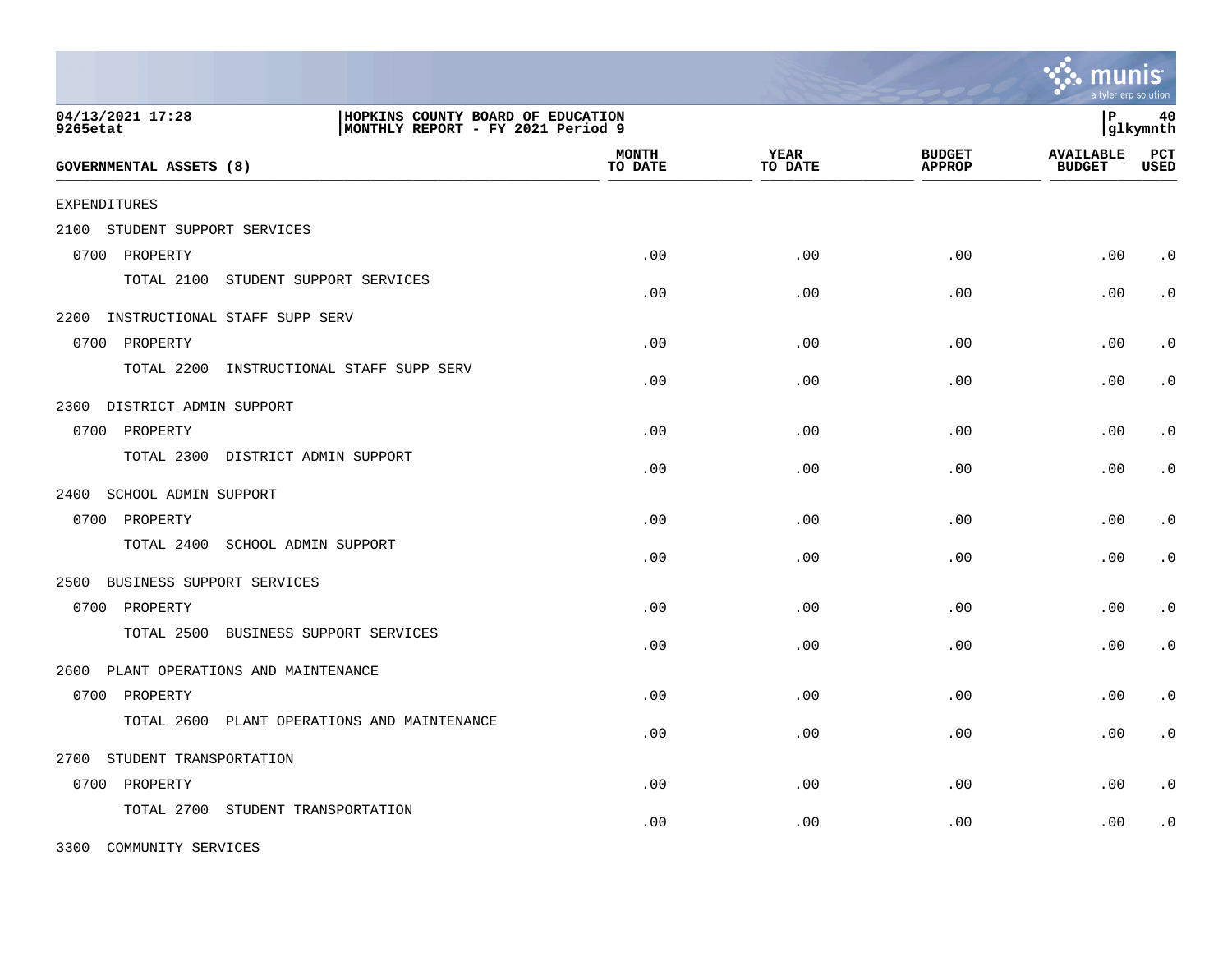|                                          |                                                                        |                         |                        |                                | a tyler erp solution              |                    |
|------------------------------------------|------------------------------------------------------------------------|-------------------------|------------------------|--------------------------------|-----------------------------------|--------------------|
| 04/13/2021 17:28<br>9265etat             | HOPKINS COUNTY BOARD OF EDUCATION<br>MONTHLY REPORT - FY 2021 Period 9 |                         |                        |                                | l P                               | 40<br> glkymnth    |
| <b>GOVERNMENTAL ASSETS (8)</b>           |                                                                        | <b>MONTH</b><br>TO DATE | <b>YEAR</b><br>TO DATE | <b>BUDGET</b><br><b>APPROP</b> | <b>AVAILABLE</b><br><b>BUDGET</b> | PCT<br><b>USED</b> |
| <b>EXPENDITURES</b>                      |                                                                        |                         |                        |                                |                                   |                    |
| STUDENT SUPPORT SERVICES<br>2100         |                                                                        |                         |                        |                                |                                   |                    |
| 0700 PROPERTY                            |                                                                        | .00                     | .00                    | .00                            | .00                               | $\cdot$ 0          |
| TOTAL 2100<br>STUDENT SUPPORT SERVICES   |                                                                        | .00                     | .00                    | .00                            | .00                               | $\cdot$ 0          |
| 2200 INSTRUCTIONAL STAFF SUPP SERV       |                                                                        |                         |                        |                                |                                   |                    |
| 0700 PROPERTY                            |                                                                        | .00                     | .00                    | .00                            | .00                               | $\cdot$ 0          |
| TOTAL 2200                               | INSTRUCTIONAL STAFF SUPP SERV                                          | .00                     | .00                    | .00                            | .00                               | $\cdot$ 0          |
| 2300 DISTRICT ADMIN SUPPORT              |                                                                        |                         |                        |                                |                                   |                    |
| 0700 PROPERTY                            |                                                                        | .00                     | .00                    | .00                            | .00                               | $\cdot$ 0          |
| TOTAL 2300 DISTRICT ADMIN SUPPORT        |                                                                        | .00                     | .00                    | .00                            | .00                               | $\cdot$ 0          |
| 2400<br>SCHOOL ADMIN SUPPORT             |                                                                        |                         |                        |                                |                                   |                    |
| 0700 PROPERTY                            |                                                                        | .00                     | .00                    | .00                            | .00                               | $\cdot$ 0          |
| TOTAL 2400<br>SCHOOL ADMIN SUPPORT       |                                                                        | .00                     | .00                    | .00                            | .00                               | $\cdot$ 0          |
| 2500<br>BUSINESS SUPPORT SERVICES        |                                                                        |                         |                        |                                |                                   |                    |
| 0700 PROPERTY                            |                                                                        | .00                     | .00                    | .00                            | .00                               | $\cdot$ 0          |
| TOTAL 2500<br>BUSINESS SUPPORT SERVICES  |                                                                        | .00                     | .00                    | .00                            | .00                               | $\cdot$ 0          |
| 2600<br>PLANT OPERATIONS AND MAINTENANCE |                                                                        |                         |                        |                                |                                   |                    |
| 0700<br>PROPERTY                         |                                                                        | .00                     | .00                    | .00                            | .00                               | $\cdot$ 0          |
| TOTAL 2600                               | PLANT OPERATIONS AND MAINTENANCE                                       | .00                     | .00                    | .00                            | .00                               | $\cdot$ 0          |
| STUDENT TRANSPORTATION<br>2700           |                                                                        |                         |                        |                                |                                   |                    |
| 0700 PROPERTY                            |                                                                        | .00                     | .00                    | .00                            | .00                               | $\cdot$ 0          |
| TOTAL 2700<br>STUDENT TRANSPORTATION     |                                                                        | .00                     | .00                    | .00                            | .00                               | $\cdot$ 0          |

3300 COMMUNITY SERVICES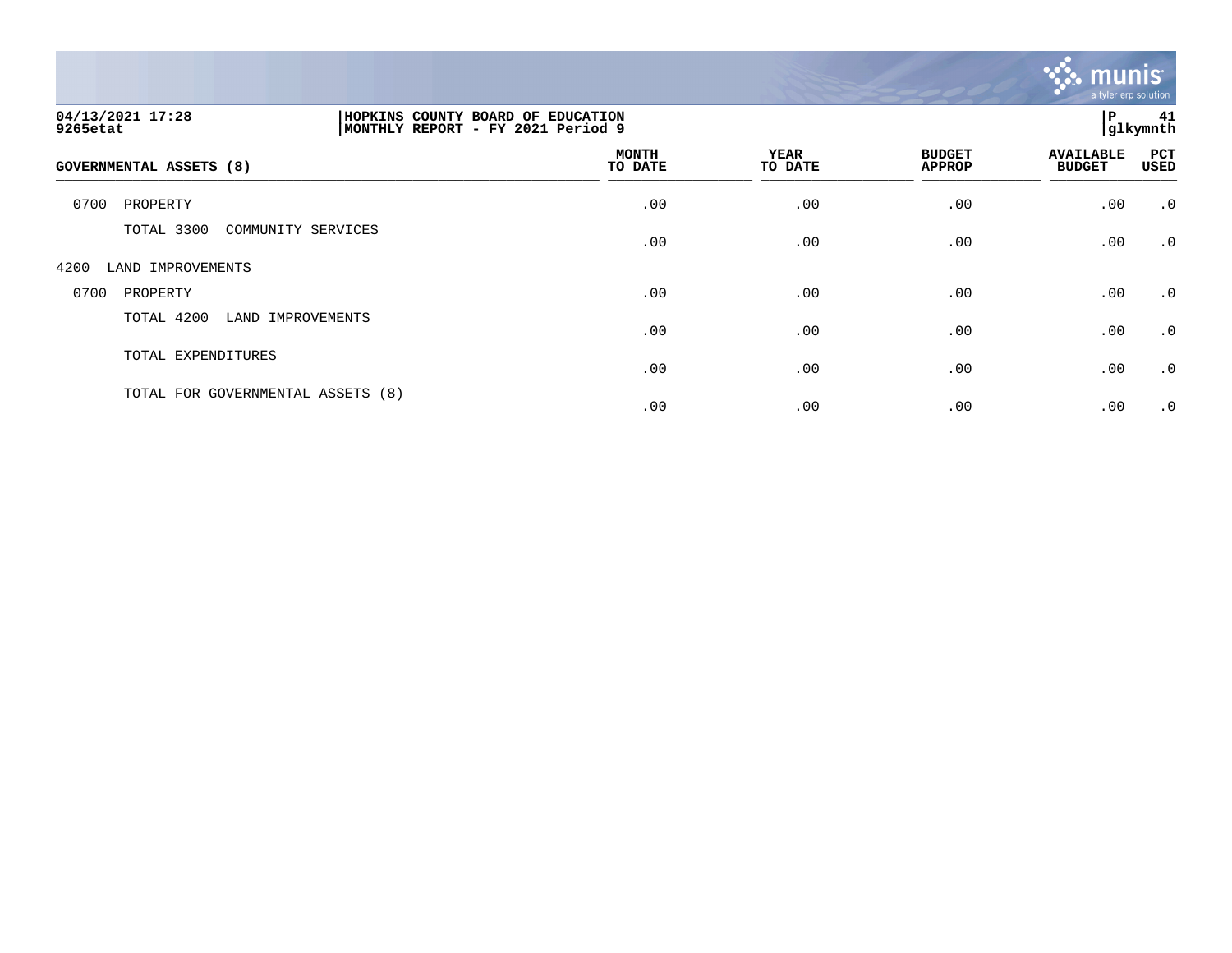

| 04/13/2021 17:28<br>MONTHLY REPORT<br>9265etat | HOPKINS COUNTY BOARD OF EDUCATION<br>l P<br>- FY 2021 Period 9 |                        |                                |                                   | 41<br>glkymnth            |
|------------------------------------------------|----------------------------------------------------------------|------------------------|--------------------------------|-----------------------------------|---------------------------|
| <b>GOVERNMENTAL ASSETS (8)</b>                 | <b>MONTH</b><br>TO DATE                                        | <b>YEAR</b><br>TO DATE | <b>BUDGET</b><br><b>APPROP</b> | <b>AVAILABLE</b><br><b>BUDGET</b> | <b>PCT</b><br><b>USED</b> |
| 0700<br>PROPERTY                               | .00                                                            | .00                    | .00                            | .00                               | $\cdot$ 0                 |
| TOTAL 3300<br>COMMUNITY SERVICES               | .00                                                            | .00                    | .00                            | .00                               | $\cdot$ 0                 |
| 4200<br>LAND IMPROVEMENTS                      |                                                                |                        |                                |                                   |                           |
| 0700<br>PROPERTY                               | .00                                                            | .00                    | .00                            | .00                               | $\cdot$ 0                 |
| TOTAL 4200<br>LAND IMPROVEMENTS                | .00                                                            | .00                    | .00                            | .00                               | $\cdot$ 0                 |
| TOTAL EXPENDITURES                             | .00                                                            | .00                    | .00                            | .00                               | $\cdot$ 0                 |
| TOTAL FOR GOVERNMENTAL ASSETS (8)              | .00                                                            | .00                    | .00                            | .00                               | $\cdot$ 0                 |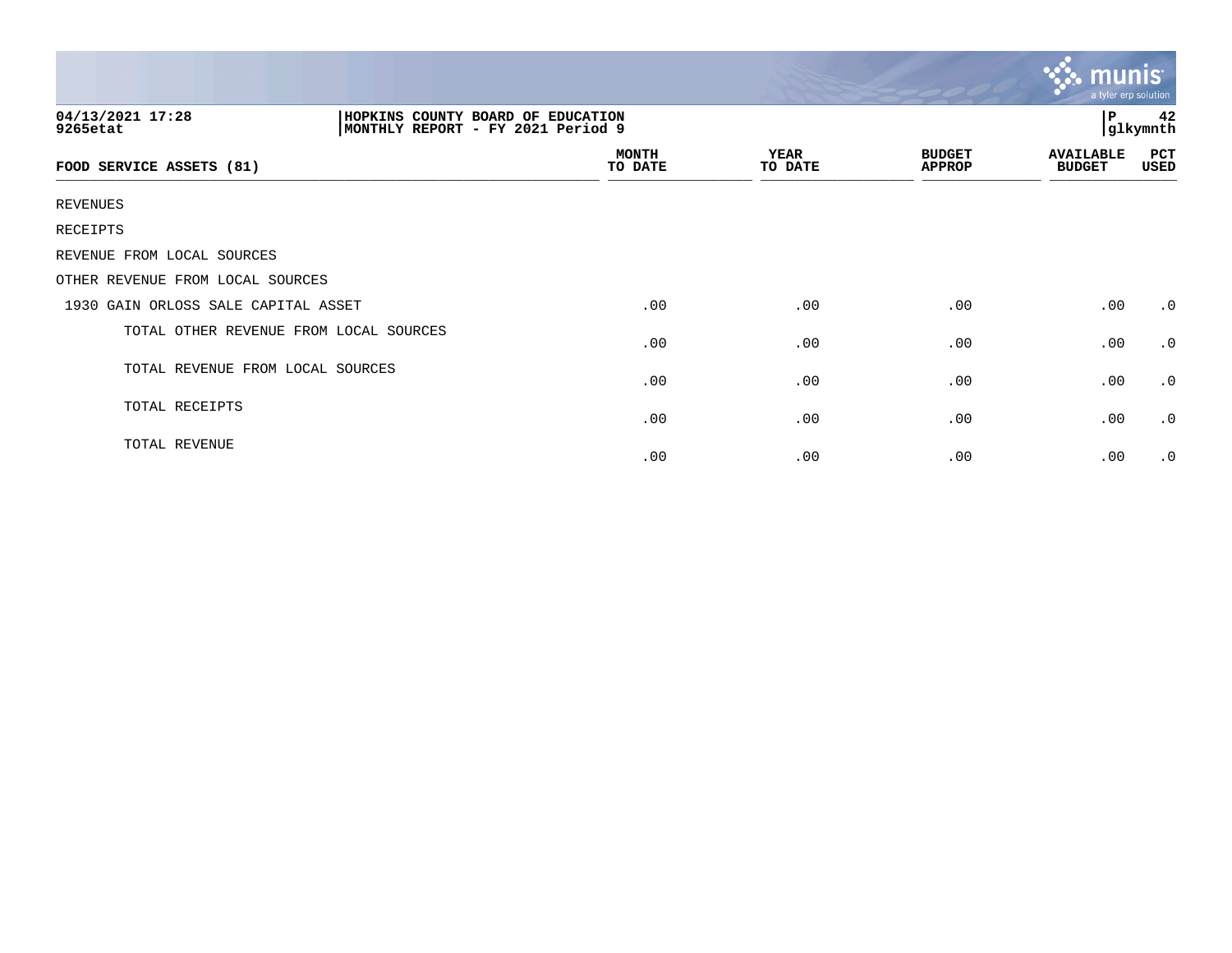| 04/13/2021 17:28<br>HOPKINS COUNTY BOARD OF EDUCATION<br>MONTHLY REPORT - FY 2021 Period 9<br>9265etat |                         |                        |                                | 42<br>$\mathbf{P}$<br>glkymnth    |             |
|--------------------------------------------------------------------------------------------------------|-------------------------|------------------------|--------------------------------|-----------------------------------|-------------|
| FOOD SERVICE ASSETS (81)                                                                               | <b>MONTH</b><br>TO DATE | <b>YEAR</b><br>TO DATE | <b>BUDGET</b><br><b>APPROP</b> | <b>AVAILABLE</b><br><b>BUDGET</b> | PCT<br>USED |
| REVENUES                                                                                               |                         |                        |                                |                                   |             |
| RECEIPTS                                                                                               |                         |                        |                                |                                   |             |
| REVENUE FROM LOCAL SOURCES                                                                             |                         |                        |                                |                                   |             |
| OTHER REVENUE FROM LOCAL SOURCES                                                                       |                         |                        |                                |                                   |             |
| 1930 GAIN ORLOSS SALE CAPITAL ASSET                                                                    | .00                     | .00                    | .00                            | .00                               | $\cdot$ 0   |
| TOTAL OTHER REVENUE FROM LOCAL SOURCES                                                                 | .00                     | .00                    | .00                            | .00                               | $\cdot$ 0   |
| TOTAL REVENUE FROM LOCAL SOURCES                                                                       | .00                     | .00                    | .00                            | .00                               | $\cdot$ 0   |
| TOTAL RECEIPTS                                                                                         | .00                     | .00                    | .00                            | .00                               | $\cdot$ 0   |
| TOTAL REVENUE                                                                                          | .00                     | .00                    | .00                            | .00                               | $\cdot$ 0   |

 $\sim$   $\sim$   $\sim$   $\sim$   $\sim$   $\sim$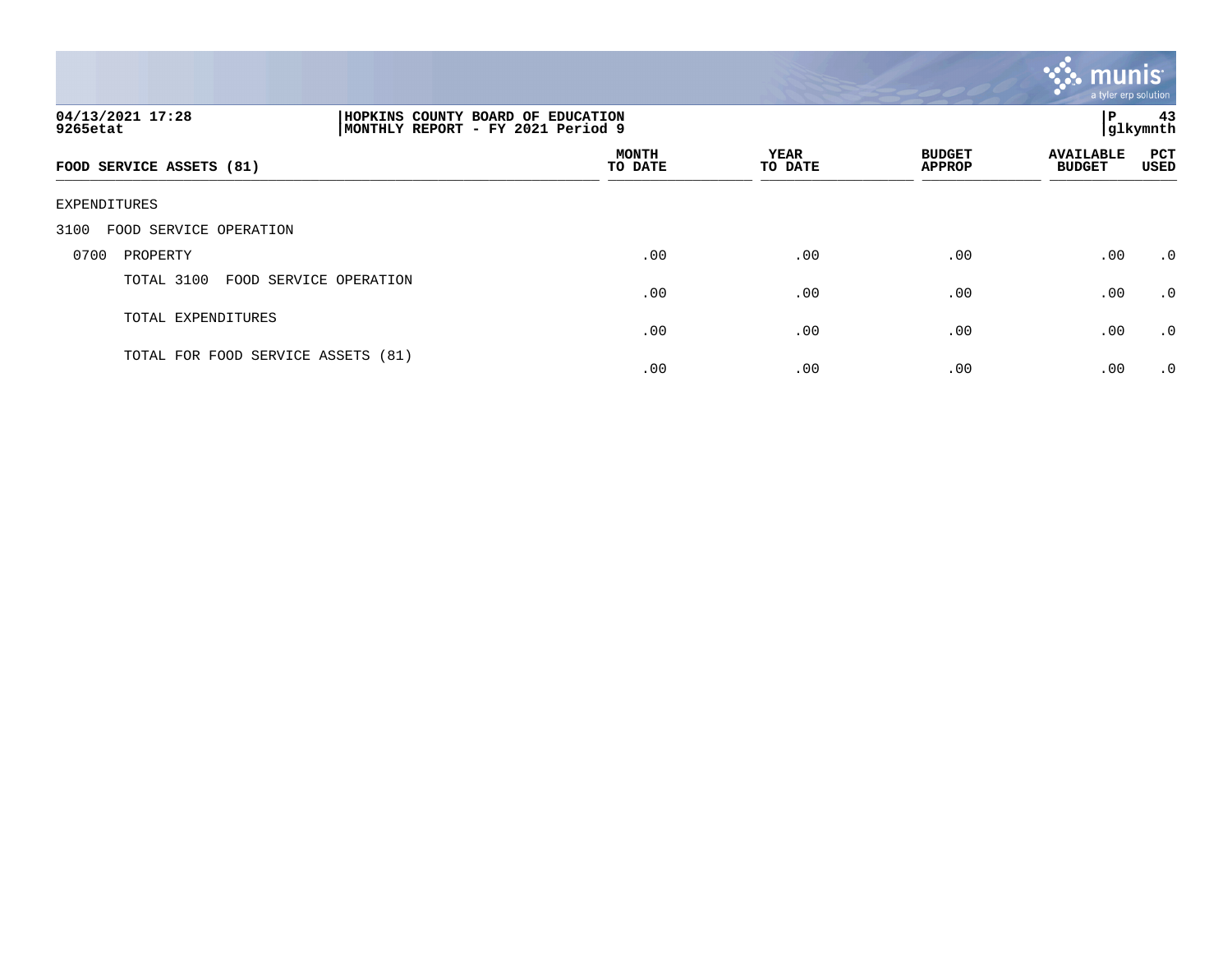

| 04/13/2021 17:28<br>9265etat       |                        | HOPKINS COUNTY BOARD OF EDUCATION<br>MONTHLY REPORT - FY 2021 Period 9 |                 |                                |                                   | 43<br>ΙP<br>glkymnth |  |
|------------------------------------|------------------------|------------------------------------------------------------------------|-----------------|--------------------------------|-----------------------------------|----------------------|--|
| FOOD SERVICE ASSETS (81)           |                        | <b>MONTH</b><br>TO DATE                                                | YEAR<br>TO DATE | <b>BUDGET</b><br><b>APPROP</b> | <b>AVAILABLE</b><br><b>BUDGET</b> | <b>PCT</b><br>USED   |  |
| EXPENDITURES                       |                        |                                                                        |                 |                                |                                   |                      |  |
| FOOD SERVICE OPERATION<br>3100     |                        |                                                                        |                 |                                |                                   |                      |  |
| 0700<br>PROPERTY                   |                        | .00                                                                    | .00             | .00                            | .00                               | $\cdot$ 0            |  |
| TOTAL 3100                         | FOOD SERVICE OPERATION | .00                                                                    | .00             | .00                            | .00                               | .0                   |  |
| TOTAL EXPENDITURES                 |                        | .00                                                                    | .00             | .00                            | .00                               | $\cdot$ 0            |  |
| TOTAL FOR FOOD SERVICE ASSETS (81) |                        | .00                                                                    | .00             | .00                            | .00                               | $\cdot$ 0            |  |